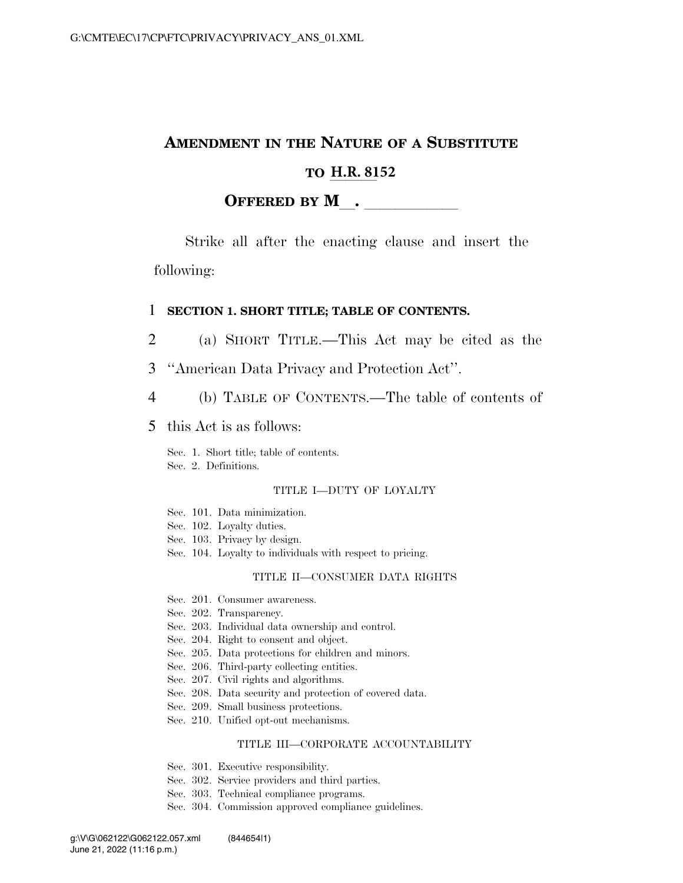## **AMENDMENT IN THE NATURE OF A SUBSTITUTE**

# **TO H.R. 8152**

#### **OFFERED BY M**.

Strike all after the enacting clause and insert the following:

#### 1 **SECTION 1. SHORT TITLE; TABLE OF CONTENTS.**

- 2 (a) SHORT TITLE.—This Act may be cited as the
- 3 ''American Data Privacy and Protection Act''.
- 4 (b) TABLE OF CONTENTS.—The table of contents of
- 5 this Act is as follows:

Sec. 1. Short title; table of contents. Sec. 2. Definitions.

#### TITLE I—DUTY OF LOYALTY

- Sec. 101. Data minimization.
- Sec. 102. Loyalty duties.
- Sec. 103. Privacy by design.
- Sec. 104. Loyalty to individuals with respect to pricing.

#### TITLE II—CONSUMER DATA RIGHTS

- Sec. 201. Consumer awareness.
- Sec. 202. Transparency.
- Sec. 203. Individual data ownership and control.
- Sec. 204. Right to consent and object.
- Sec. 205. Data protections for children and minors.
- Sec. 206. Third-party collecting entities.
- Sec. 207. Civil rights and algorithms.
- Sec. 208. Data security and protection of covered data.
- Sec. 209. Small business protections.
- Sec. 210. Unified opt-out mechanisms.

#### TITLE III—CORPORATE ACCOUNTABILITY

- Sec. 301. Executive responsibility.
- Sec. 302. Service providers and third parties.
- Sec. 303. Technical compliance programs.
- Sec. 304. Commission approved compliance guidelines.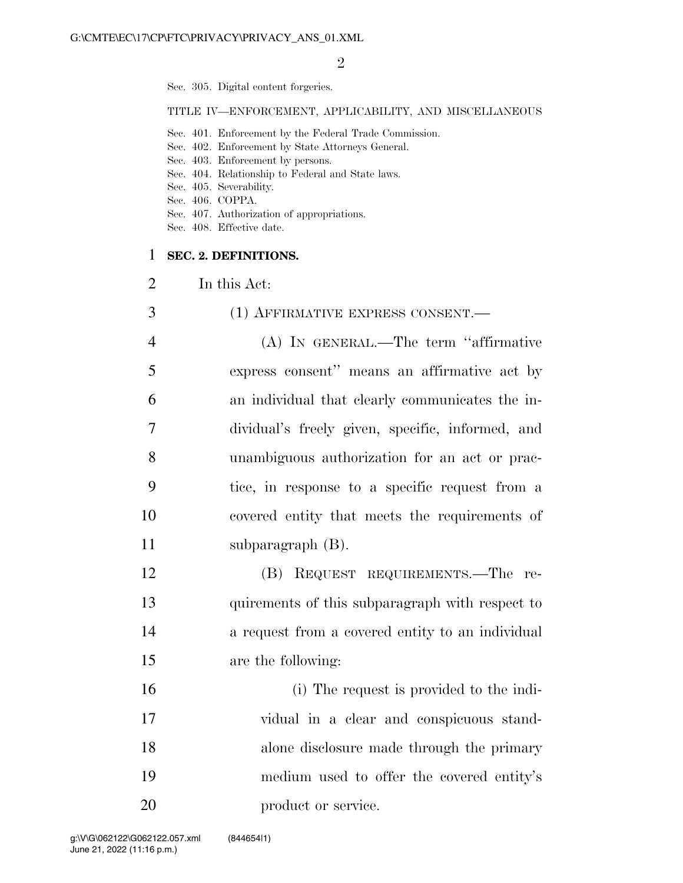$\mathfrak{D}$ 

Sec. 305. Digital content forgeries.

TITLE IV—ENFORCEMENT, APPLICABILITY, AND MISCELLANEOUS

- Sec. 401. Enforcement by the Federal Trade Commission.
- Sec. 402. Enforcement by State Attorneys General.
- Sec. 403. Enforcement by persons.
- Sec. 404. Relationship to Federal and State laws.
- Sec. 405. Severability.
- Sec. 406. COPPA.
- Sec. 407. Authorization of appropriations.
- Sec. 408. Effective date.

#### 1 **SEC. 2. DEFINITIONS.**

- 2 In this Act:
- 3 (1) AFFIRMATIVE EXPRESS CONSENT. 4 (A) IN GENERAL.—The term ''affirmative 5 express consent'' means an affirmative act by 6 an individual that clearly communicates the in-7 dividual's freely given, specific, informed, and 8 unambiguous authorization for an act or prac-9 tice, in response to a specific request from a 10 covered entity that meets the requirements of 11 subparagraph (B).
- 12 (B) REQUEST REQUIREMENTS.—The re-13 quirements of this subparagraph with respect to 14 a request from a covered entity to an individual 15 are the following:
- 16 (i) The request is provided to the indi-17 vidual in a clear and conspicuous stand-18 alone disclosure made through the primary 19 medium used to offer the covered entity's 20 product or service.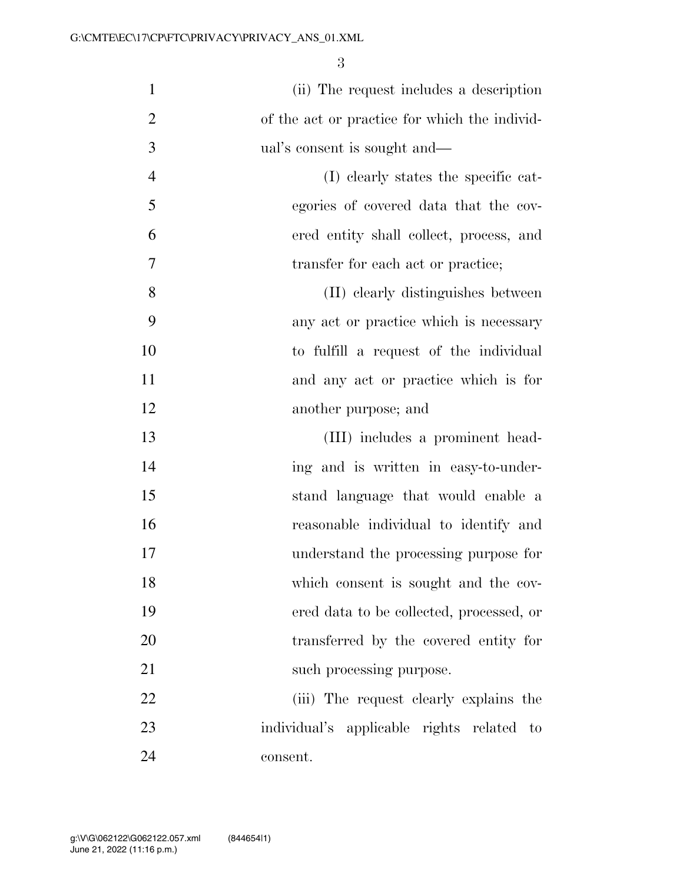| $\mathbf{1}$   | (ii) The request includes a description       |
|----------------|-----------------------------------------------|
| $\overline{2}$ | of the act or practice for which the individ- |
| 3              | ual's consent is sought and—                  |
| $\overline{4}$ | (I) clearly states the specific cat-          |
| 5              | egories of covered data that the cov-         |
| 6              | ered entity shall collect, process, and       |
| $\tau$         | transfer for each act or practice;            |
| 8              | (II) clearly distinguishes between            |
| 9              | any act or practice which is necessary        |
| 10             | to fulfill a request of the individual        |
| 11             | and any act or practice which is for          |
| 12             | another purpose; and                          |
| 13             | (III) includes a prominent head-              |
| 14             | ing and is written in easy-to-under-          |
| 15             | stand language that would enable a            |
| 16             | reasonable individual to identify and         |
| 17             | understand the processing purpose for         |
| 18             | which consent is sought and the cov-          |
| 19             | ered data to be collected, processed, or      |
| 20             | transferred by the covered entity for         |
| 21             | such processing purpose.                      |
| 22             | (iii) The request clearly explains the        |
| 23             | individual's applicable rights related to     |
| 24             | consent.                                      |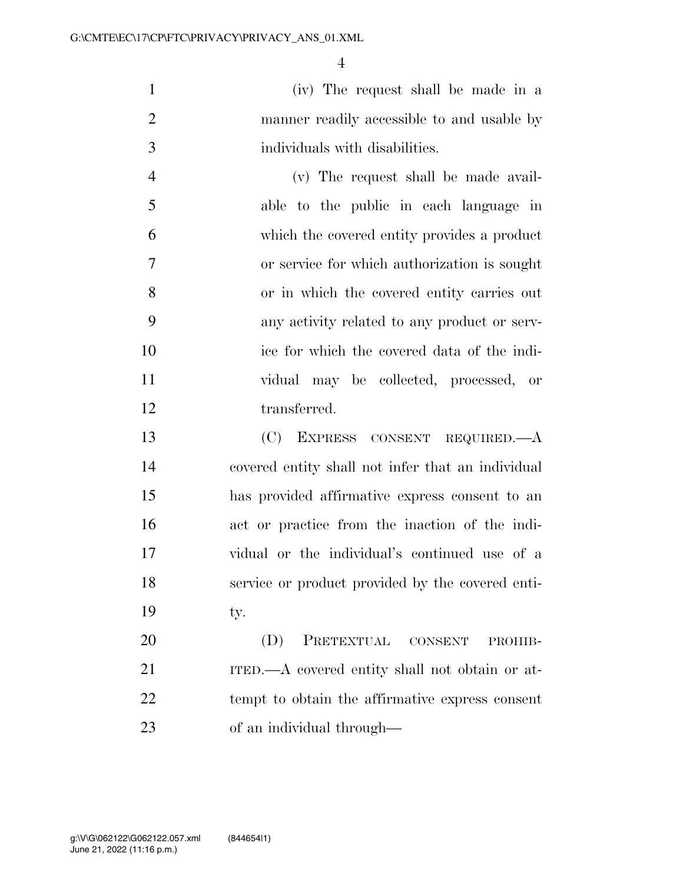(iv) The request shall be made in a manner readily accessible to and usable by individuals with disabilities.

 (v) The request shall be made avail- able to the public in each language in which the covered entity provides a product or service for which authorization is sought or in which the covered entity carries out any activity related to any product or serv- ice for which the covered data of the indi- vidual may be collected, processed, or transferred.

 (C) EXPRESS CONSENT REQUIRED.—A covered entity shall not infer that an individual has provided affirmative express consent to an act or practice from the inaction of the indi- vidual or the individual's continued use of a service or product provided by the covered enti-19 ty.

 (D) PRETEXTUAL CONSENT PROHIB- ITED.—A covered entity shall not obtain or at- tempt to obtain the affirmative express consent of an individual through—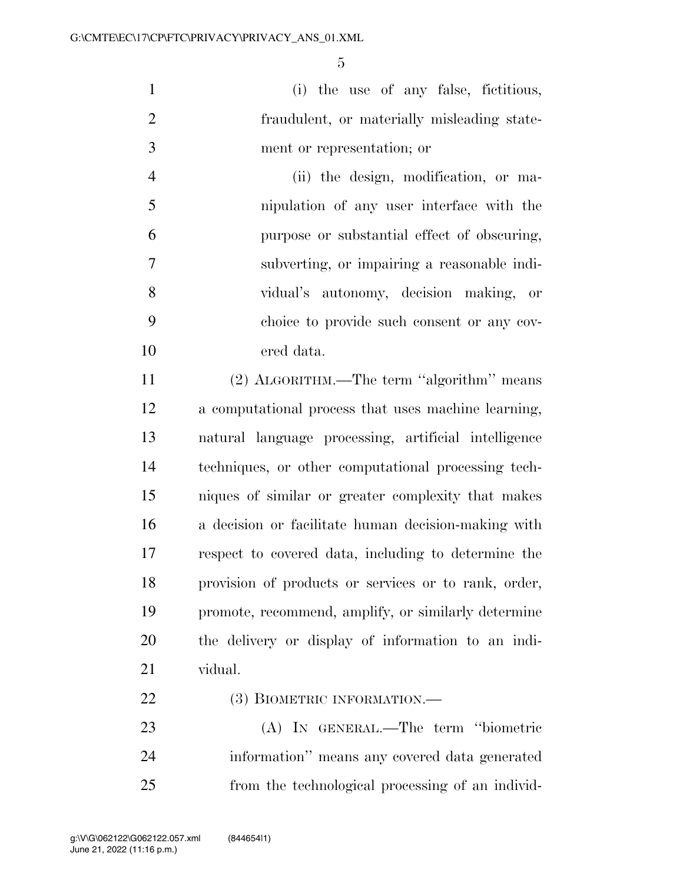(i) the use of any false, fictitious, fraudulent, or materially misleading state-ment or representation; or

 (ii) the design, modification, or ma- nipulation of any user interface with the purpose or substantial effect of obscuring, subverting, or impairing a reasonable indi- vidual's autonomy, decision making, or choice to provide such consent or any cov-ered data.

 (2) ALGORITHM.—The term ''algorithm'' means a computational process that uses machine learning, natural language processing, artificial intelligence techniques, or other computational processing tech- niques of similar or greater complexity that makes a decision or facilitate human decision-making with respect to covered data, including to determine the provision of products or services or to rank, order, promote, recommend, amplify, or similarly determine the delivery or display of information to an indi-vidual.

## 22 (3) BIOMETRIC INFORMATION.—

 (A) IN GENERAL.—The term ''biometric information'' means any covered data generated from the technological processing of an individ-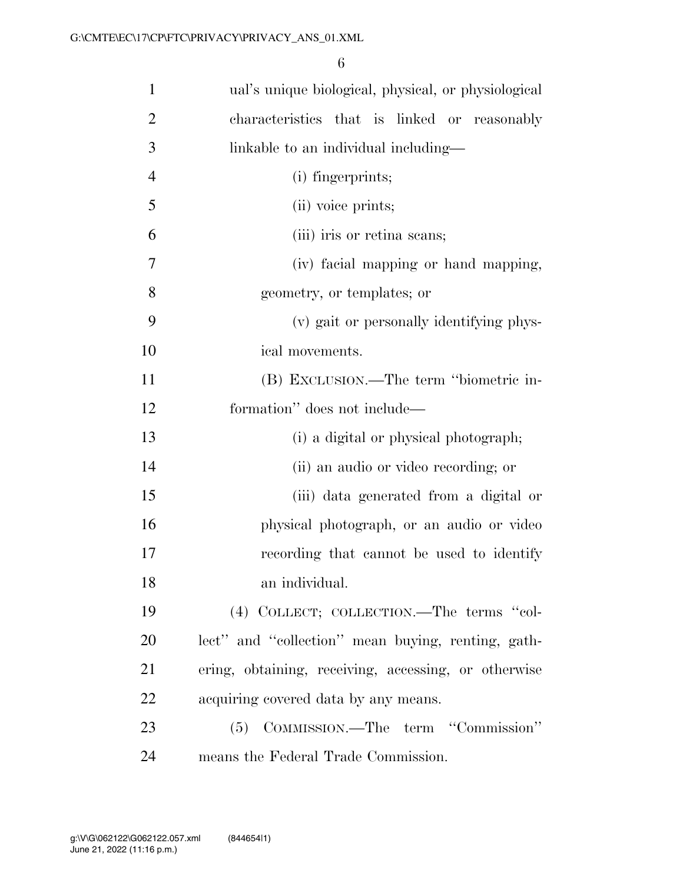| $\mathbf{1}$   | ual's unique biological, physical, or physiological  |
|----------------|------------------------------------------------------|
| $\overline{2}$ | characteristics that is linked or reasonably         |
| 3              | linkable to an individual including—                 |
| $\overline{4}$ | (i) fingerprints;                                    |
| 5              | (ii) voice prints;                                   |
| 6              | (iii) iris or retina scans;                          |
| 7              | (iv) facial mapping or hand mapping,                 |
| 8              | geometry, or templates; or                           |
| 9              | (v) gait or personally identifying phys-             |
| 10             | ical movements.                                      |
| 11             | (B) EXCLUSION.—The term "biometric in-               |
| 12             | formation" does not include—                         |
| 13             | (i) a digital or physical photograph;                |
| 14             | (ii) an audio or video recording; or                 |
| 15             | (iii) data generated from a digital or               |
| 16             | physical photograph, or an audio or video            |
| 17             | recording that cannot be used to identify            |
| 18             | an individual.                                       |
| 19             | (4) COLLECT; COLLECTION.—The terms "col-             |
| 20             | lect" and "collection" mean buying, renting, gath-   |
| 21             | ering, obtaining, receiving, accessing, or otherwise |
| 22             | acquiring covered data by any means.                 |
| 23             | (5) COMMISSION.—The term "Commission"                |
| 24             | means the Federal Trade Commission.                  |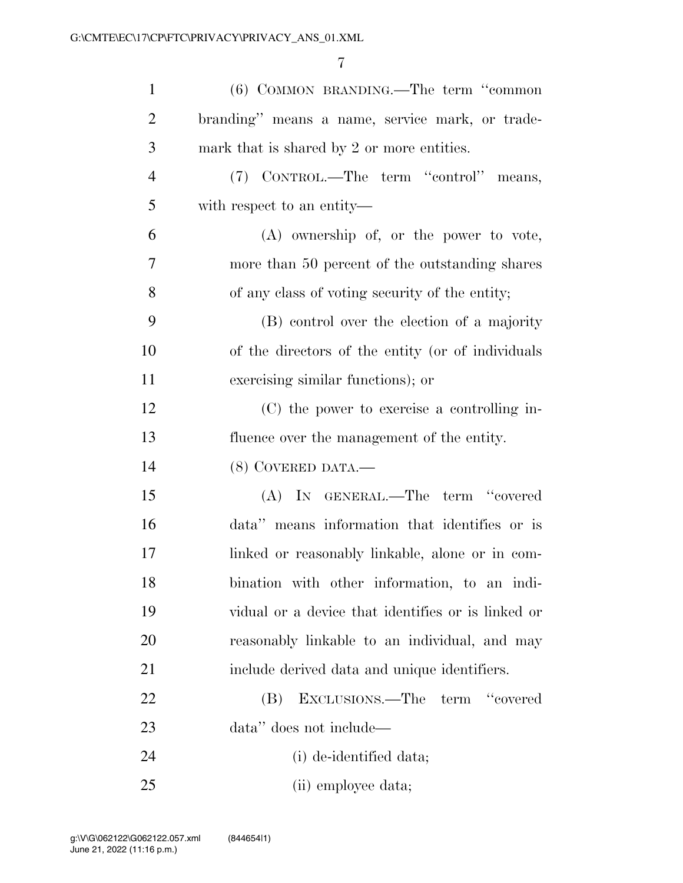| $\mathbf{1}$   | (6) COMMON BRANDING.—The term "common              |
|----------------|----------------------------------------------------|
| $\overline{2}$ | branding" means a name, service mark, or trade-    |
| 3              | mark that is shared by 2 or more entities.         |
| $\overline{4}$ | (7) CONTROL.—The term "control" means,             |
| 5              | with respect to an entity—                         |
| 6              | $(A)$ ownership of, or the power to vote,          |
| 7              | more than 50 percent of the outstanding shares     |
| 8              | of any class of voting security of the entity;     |
| 9              | (B) control over the election of a majority        |
| 10             | of the directors of the entity (or of individuals  |
| 11             | exercising similar functions); or                  |
| 12             | (C) the power to exercise a controlling in-        |
| 13             | fluence over the management of the entity.         |
| 14             | (8) COVERED DATA.—                                 |
| 15             | (A) IN GENERAL.—The term "covered                  |
| 16             | data" means information that identifies or is      |
| 17             | linked or reasonably linkable, alone or in com-    |
| 18             | bination with other information, to an indi-       |
| 19             | vidual or a device that identifies or is linked or |
| 20             | reasonably linkable to an individual, and may      |
| 21             | include derived data and unique identifiers.       |
| 22             | EXCLUSIONS.—The term "covered<br>(B)               |
| 23             | data" does not include—                            |
| 24             | (i) de-identified data;                            |
| 25             | (ii) employee data;                                |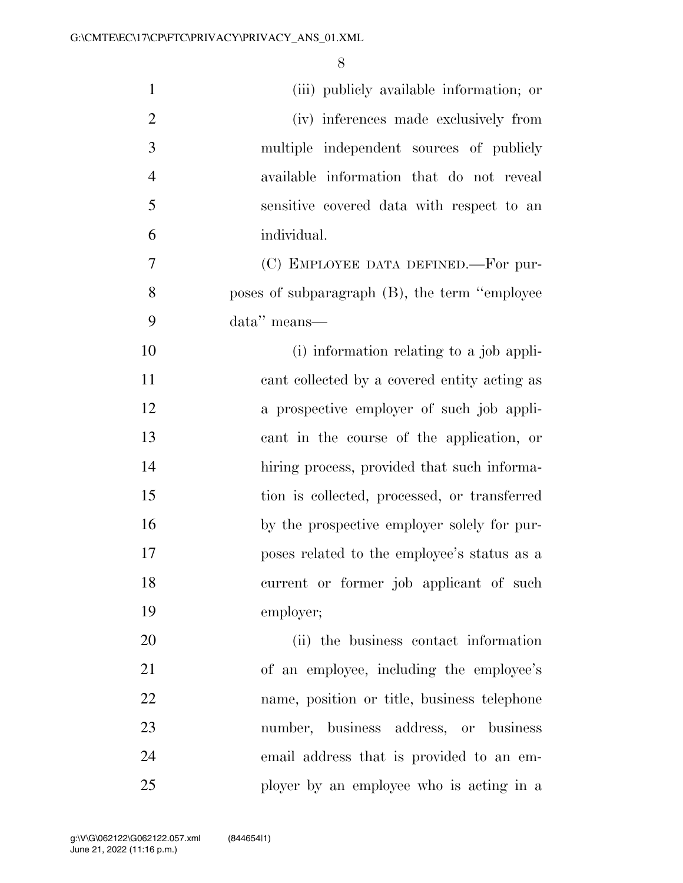| $\mathbf{1}$   | (iii) publicly available information; or      |
|----------------|-----------------------------------------------|
| $\overline{2}$ | (iv) inferences made exclusively from         |
| 3              | multiple independent sources of publicly      |
| $\overline{4}$ | available information that do not reveal      |
| 5              | sensitive covered data with respect to an     |
| 6              | individual.                                   |
| 7              | (C) EMPLOYEE DATA DEFINED.—For pur-           |
| 8              | poses of subparagraph (B), the term "employee |
| 9              | data" means-                                  |
| 10             | (i) information relating to a job appli-      |
| 11             | cant collected by a covered entity acting as  |
| 12             | a prospective employer of such job appli-     |
| 13             | cant in the course of the application, or     |
| 14             | hiring process, provided that such informa-   |
| 15             | tion is collected, processed, or transferred  |
| 16             | by the prospective employer solely for pur-   |
| 17             | poses related to the employee's status as a   |
| 18             | current or former job applicant of such       |
| 19             | employer;                                     |
| 20             | (ii) the business contact information         |
| 21             | of an employee, including the employee's      |
| 22             | name, position or title, business telephone   |
| 23             | number, business address, or business         |
| 24             | email address that is provided to an em-      |
| 25             | ployer by an employee who is acting in a      |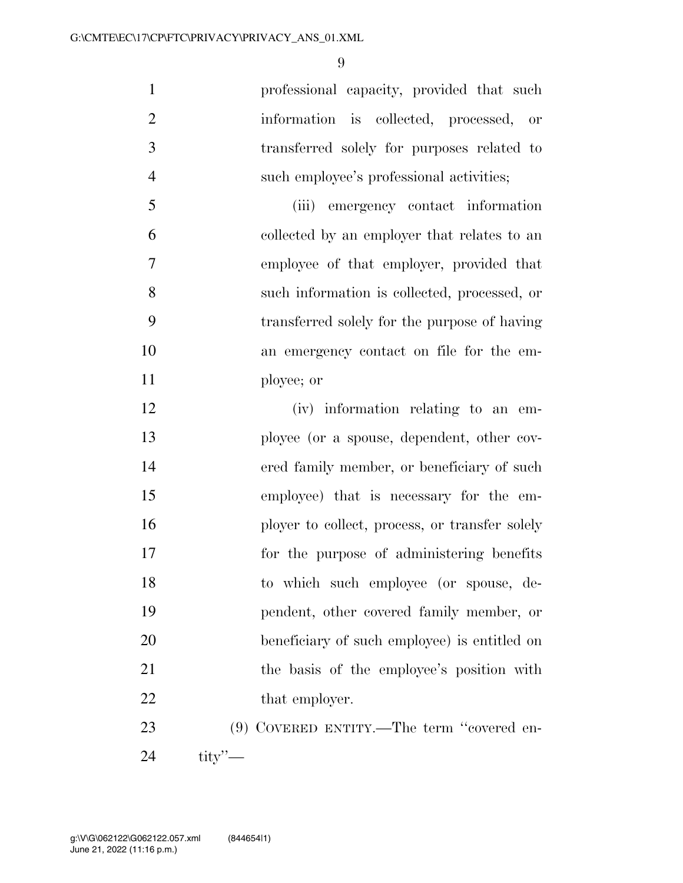professional capacity, provided that such information is collected, processed, or transferred solely for purposes related to such employee's professional activities;

 (iii) emergency contact information collected by an employer that relates to an employee of that employer, provided that such information is collected, processed, or transferred solely for the purpose of having an emergency contact on file for the em-ployee; or

 (iv) information relating to an em- ployee (or a spouse, dependent, other cov- ered family member, or beneficiary of such employee) that is necessary for the em-16 ployer to collect, process, or transfer solely for the purpose of administering benefits to which such employee (or spouse, de- pendent, other covered family member, or beneficiary of such employee) is entitled on 21 the basis of the employee's position with 22 that employer.

23 (9) COVERED ENTITY.—The term "covered en-tity''—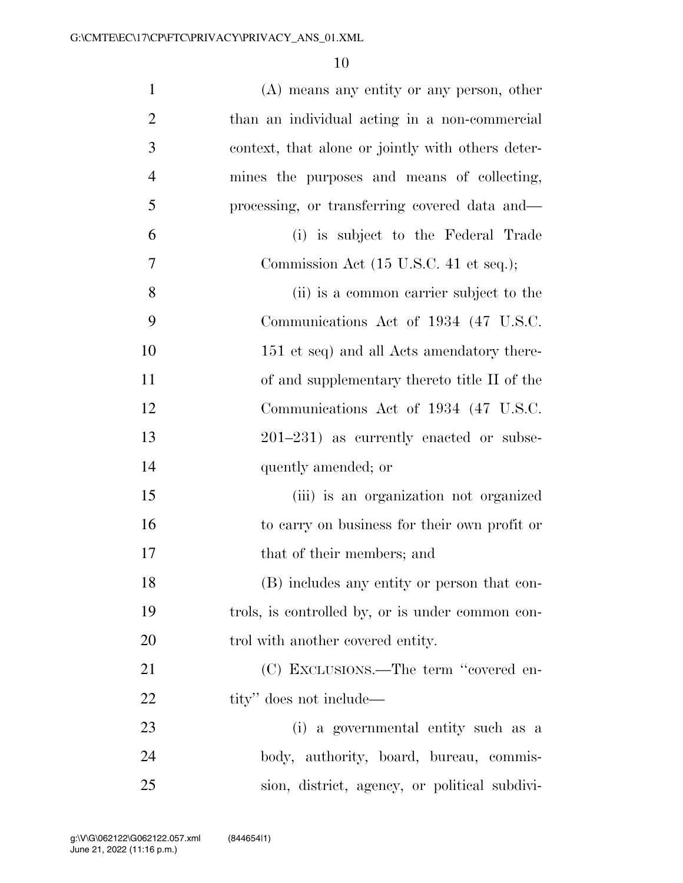| $\mathbf{1}$   | $(A)$ means any entity or any person, other       |
|----------------|---------------------------------------------------|
| $\overline{2}$ | than an individual acting in a non-commercial     |
| 3              | context, that alone or jointly with others deter- |
| $\overline{4}$ | mines the purposes and means of collecting,       |
| 5              | processing, or transferring covered data and—     |
| 6              | (i) is subject to the Federal Trade               |
| 7              | Commission Act (15 U.S.C. 41 et seq.);            |
| 8              | (ii) is a common carrier subject to the           |
| 9              | Communications Act of 1934 (47 U.S.C.             |
| 10             | 151 et seq) and all Acts amendatory there-        |
| 11             | of and supplementary thereto title II of the      |
| 12             | Communications Act of 1934 (47 U.S.C.             |
| 13             | $201-231$ ) as currently enacted or subse-        |
| 14             | quently amended; or                               |
| 15             | (iii) is an organization not organized            |
| 16             | to carry on business for their own profit or      |
| 17             | that of their members; and                        |
| 18             | (B) includes any entity or person that con-       |
| 19             | trols, is controlled by, or is under common con-  |
| 20             | trol with another covered entity.                 |
| 21             | (C) EXCLUSIONS.—The term "covered en-             |
| 22             | tity" does not include—                           |
| 23             | (i) a governmental entity such as a               |
| 24             | body, authority, board, bureau, commis-           |
| 25             | sion, district, agency, or political subdivi-     |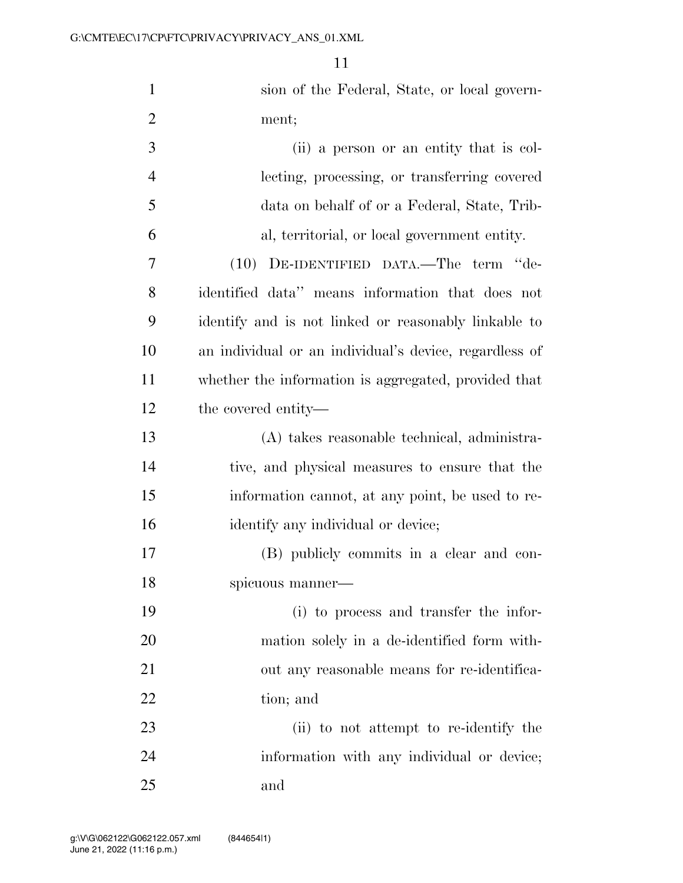| $\mathbf{1}$   | sion of the Federal, State, or local govern-           |
|----------------|--------------------------------------------------------|
| $\overline{2}$ | ment;                                                  |
| 3              | (ii) a person or an entity that is col-                |
| $\overline{4}$ | lecting, processing, or transferring covered           |
| 5              | data on behalf of or a Federal, State, Trib-           |
| 6              | al, territorial, or local government entity.           |
| 7              | (10) DE-IDENTIFIED DATA.—The term "de-                 |
| 8              | identified data" means information that does not       |
| 9              | identify and is not linked or reasonably linkable to   |
| 10             | an individual or an individual's device, regardless of |
| 11             | whether the information is aggregated, provided that   |
| 12             | the covered entity—                                    |
| 13             | (A) takes reasonable technical, administra-            |
| 14             | tive, and physical measures to ensure that the         |
| 15             | information cannot, at any point, be used to re-       |
| 16             | identify any individual or device;                     |
| 17             | (B) publicly commits in a clear and con-               |
| 18             | spicuous manner-                                       |
| 19             | (i) to process and transfer the infor-                 |
| 20             | mation solely in a de-identified form with-            |
| 21             | out any reasonable means for re-identifica-            |
| 22             | tion; and                                              |
| 23             | (ii) to not attempt to re-identify the                 |
| 24             | information with any individual or device;             |
| 25             | and                                                    |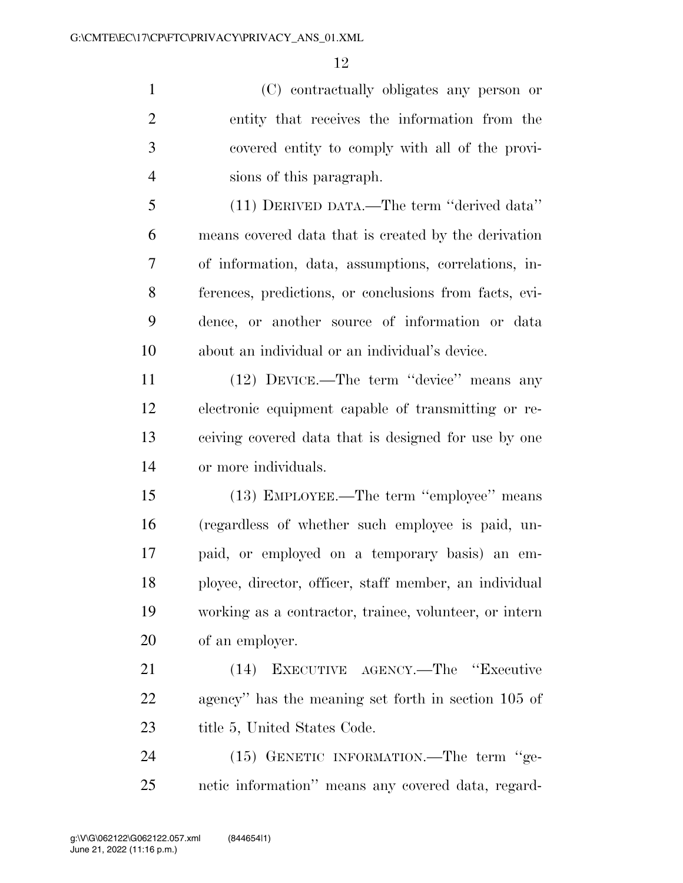(C) contractually obligates any person or entity that receives the information from the covered entity to comply with all of the provi-sions of this paragraph.

 (11) DERIVED DATA.—The term ''derived data'' means covered data that is created by the derivation of information, data, assumptions, correlations, in- ferences, predictions, or conclusions from facts, evi- dence, or another source of information or data about an individual or an individual's device.

 (12) DEVICE.—The term ''device'' means any electronic equipment capable of transmitting or re- ceiving covered data that is designed for use by one or more individuals.

 (13) EMPLOYEE.—The term ''employee'' means (regardless of whether such employee is paid, un- paid, or employed on a temporary basis) an em- ployee, director, officer, staff member, an individual working as a contractor, trainee, volunteer, or intern of an employer.

 (14) EXECUTIVE AGENCY.—The ''Executive agency'' has the meaning set forth in section 105 of 23 title 5, United States Code.

24 (15) GENETIC INFORMATION.—The term "ge-netic information'' means any covered data, regard-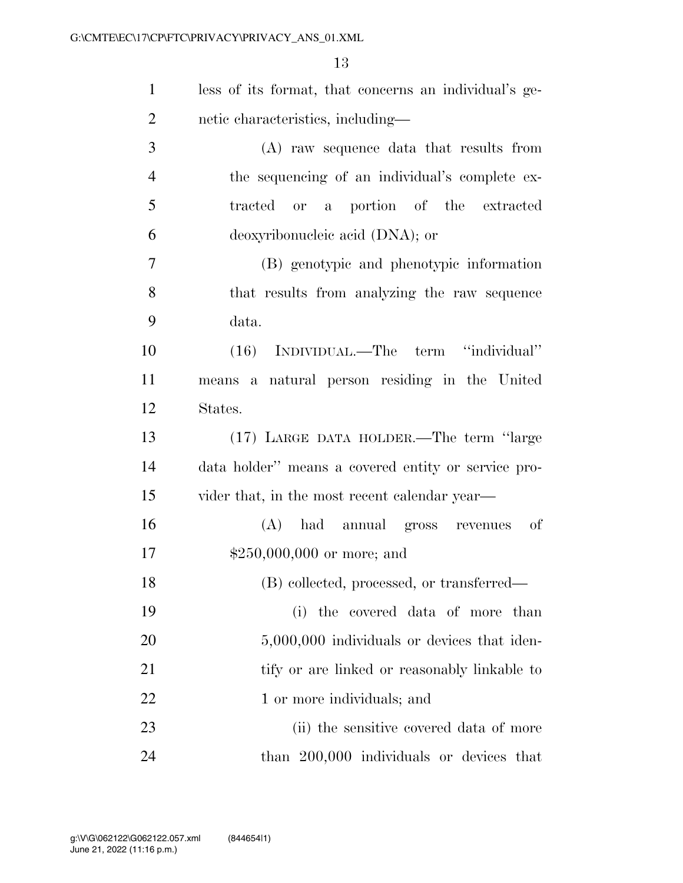| $\mathbf{1}$   | less of its format, that concerns an individual's ge- |
|----------------|-------------------------------------------------------|
| $\overline{2}$ | netic characteristics, including-                     |
| 3              | (A) raw sequence data that results from               |
| $\overline{4}$ | the sequencing of an individual's complete ex-        |
| 5              | tracted or a portion of the extracted                 |
| 6              | deoxyribonucleic acid (DNA); or                       |
| $\overline{7}$ | (B) genotypic and phenotypic information              |
| 8              | that results from analyzing the raw sequence          |
| 9              | data.                                                 |
| 10             | (16) INDIVIDUAL.—The term "individual"                |
| 11             | means a natural person residing in the United         |
| 12             | States.                                               |
| 13             | (17) LARGE DATA HOLDER.—The term "large               |
| 14             | data holder" means a covered entity or service pro-   |
| 15             | vider that, in the most recent calendar year—         |
| 16             | <sub>of</sub><br>(A) had annual gross revenues        |
| 17             | $$250,000,000$ or more; and                           |
| 18             | (B) collected, processed, or transferred—             |
| 19             | (i) the covered data of more than                     |
| 20             | $5,000,000$ individuals or devices that iden-         |
| 21             | tify or are linked or reasonably linkable to          |
| 22             | 1 or more individuals; and                            |
| 23             | (ii) the sensitive covered data of more               |
| 24             | than 200,000 individuals or devices that              |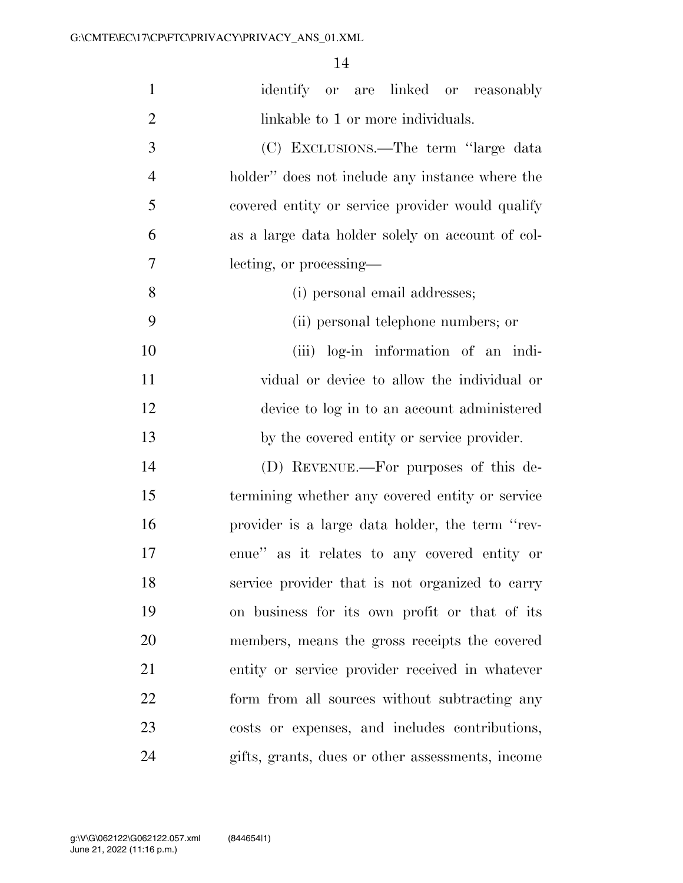| $\mathbf{1}$   | identify or are linked or reasonably             |
|----------------|--------------------------------------------------|
| $\overline{2}$ | linkable to 1 or more individuals.               |
| 3              | (C) EXCLUSIONS.—The term "large data             |
| $\overline{4}$ | holder" does not include any instance where the  |
| 5              | covered entity or service provider would qualify |
| 6              | as a large data holder solely on account of col- |
| 7              | lecting, or processing—                          |
| $8\,$          | (i) personal email addresses;                    |
| 9              | (ii) personal telephone numbers; or              |
| 10             | (iii) log-in information of an indi-             |
| 11             | vidual or device to allow the individual or      |
| 12             | device to log in to an account administered      |
| 13             | by the covered entity or service provider.       |
| 14             | (D) REVENUE.—For purposes of this de-            |
| 15             | termining whether any covered entity or service  |
| 16             | provider is a large data holder, the term "rev-  |
| 17             | enue" as it relates to any covered entity or     |
| 18             | service provider that is not organized to carry  |
| 19             | on business for its own profit or that of its    |
| 20             | members, means the gross receipts the covered    |
| 21             | entity or service provider received in whatever  |
| 22             | form from all sources without subtracting any    |
| 23             | costs or expenses, and includes contributions,   |
| 24             | gifts, grants, dues or other assessments, income |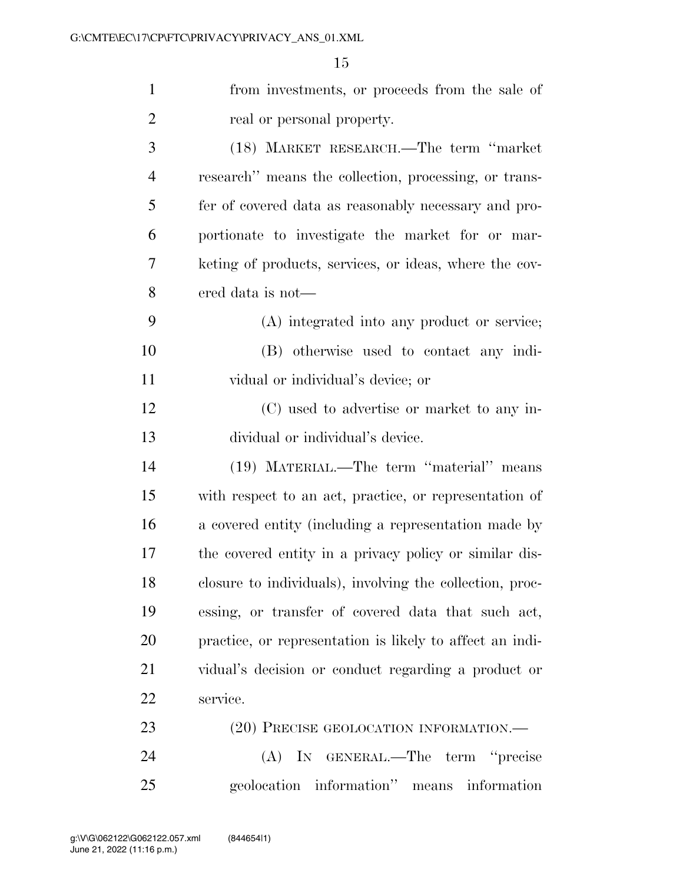| $\mathbf{1}$   | from investments, or proceeds from the sale of           |
|----------------|----------------------------------------------------------|
| $\overline{2}$ | real or personal property.                               |
| 3              | (18) MARKET RESEARCH.—The term "market"                  |
| $\overline{4}$ | research" means the collection, processing, or trans-    |
| 5              | fer of covered data as reasonably necessary and pro-     |
| 6              | portionate to investigate the market for or mar-         |
| 7              | keting of products, services, or ideas, where the cov-   |
| 8              | ered data is not—                                        |
| 9              | (A) integrated into any product or service;              |
| 10             | (B) otherwise used to contact any indi-                  |
| 11             | vidual or individual's device; or                        |
| 12             | (C) used to advertise or market to any in-               |
| 13             | dividual or individual's device.                         |
| 14             | (19) MATERIAL.—The term "material" means                 |
| 15             | with respect to an act, practice, or representation of   |
| 16             | a covered entity (including a representation made by     |
| 17             | the covered entity in a privacy policy or similar dis-   |
| 18             | closure to individuals), involving the collection, proc- |
| 19             | essing, or transfer of covered data that such act,       |
| 20             | practice, or representation is likely to affect an indi- |
| 21             | vidual's decision or conduct regarding a product or      |
| 22             | service.                                                 |
| 23             | (20) PRECISE GEOLOCATION INFORMATION.—                   |
| 24             | (A) IN GENERAL.—The term "precise                        |
| 25             | geolocation information" means information               |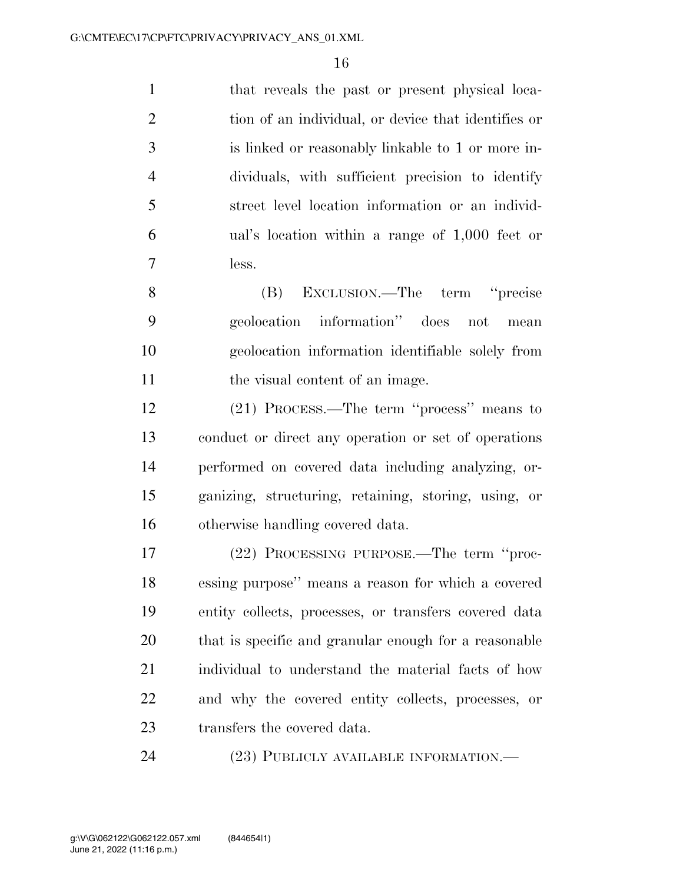that reveals the past or present physical loca-2 tion of an individual, or device that identifies or is linked or reasonably linkable to 1 or more in- dividuals, with sufficient precision to identify street level location information or an individ- ual's location within a range of 1,000 feet or less.

 (B) EXCLUSION.—The term ''precise geolocation information'' does not mean geolocation information identifiable solely from 11 the visual content of an image.

 (21) PROCESS.—The term ''process'' means to conduct or direct any operation or set of operations performed on covered data including analyzing, or- ganizing, structuring, retaining, storing, using, or otherwise handling covered data.

 (22) PROCESSING PURPOSE.—The term ''proc- essing purpose'' means a reason for which a covered entity collects, processes, or transfers covered data that is specific and granular enough for a reasonable individual to understand the material facts of how and why the covered entity collects, processes, or transfers the covered data.

(23) PUBLICLY AVAILABLE INFORMATION.—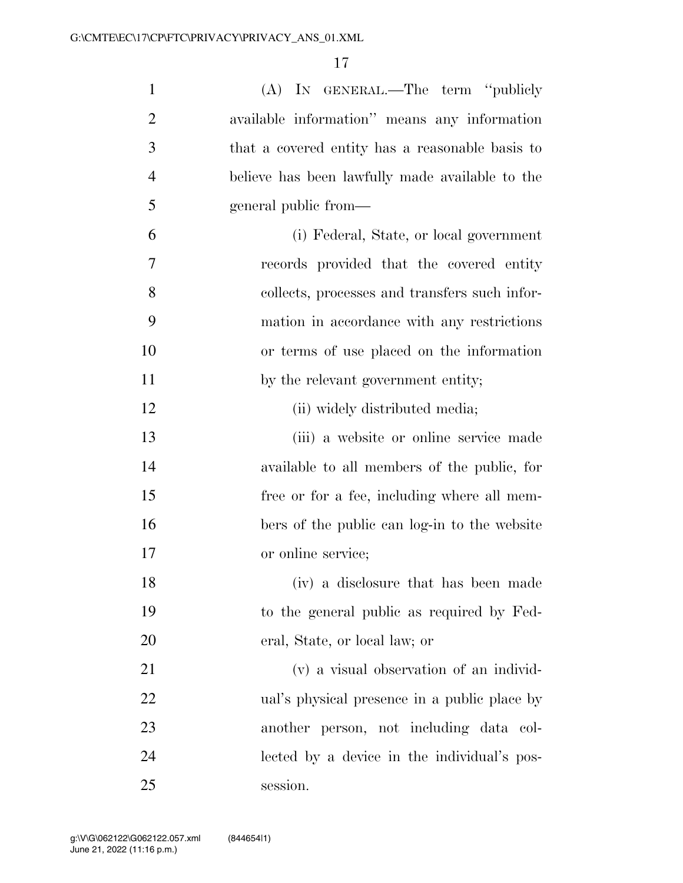| $\mathbf{1}$   | (A) IN GENERAL.—The term "publicly              |
|----------------|-------------------------------------------------|
| $\overline{2}$ | available information" means any information    |
| 3              | that a covered entity has a reasonable basis to |
| $\overline{4}$ | believe has been lawfully made available to the |
| 5              | general public from—                            |
| 6              | (i) Federal, State, or local government         |
| 7              | records provided that the covered entity        |
| 8              | collects, processes and transfers such infor-   |
| 9              | mation in accordance with any restrictions      |
| 10             | or terms of use placed on the information       |
| 11             | by the relevant government entity;              |
| 12             | (ii) widely distributed media;                  |
| 13             | (iii) a website or online service made          |
| 14             | available to all members of the public, for     |
| 15             | free or for a fee, including where all mem-     |
| 16             | bers of the public can log-in to the website    |
| 17             | or online service;                              |
| 18             | (iv) a disclosure that has been made            |
| 19             | to the general public as required by Fed-       |
| 20             | eral, State, or local law; or                   |
| 21             | (v) a visual observation of an individ-         |
| 22             | ual's physical presence in a public place by    |
| 23             | another person, not including data col-         |
| 24             | lected by a device in the individual's pos-     |
| 25             | session.                                        |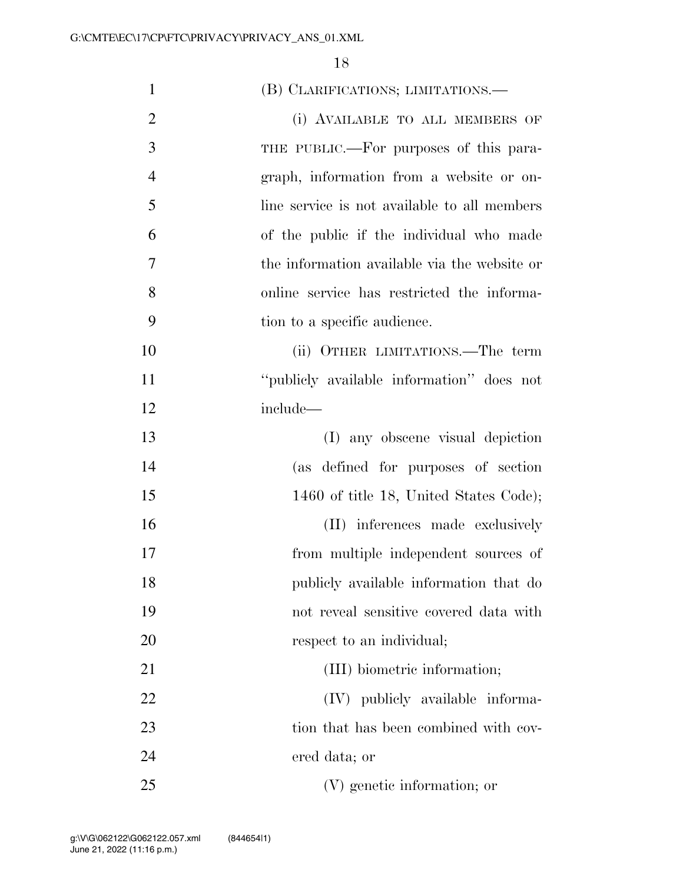| $\mathbf{1}$   | (B) CLARIFICATIONS; LIMITATIONS.—            |
|----------------|----------------------------------------------|
| $\overline{2}$ | (i) AVAILABLE TO ALL MEMBERS OF              |
| 3              | THE PUBLIC.—For purposes of this para-       |
| $\overline{4}$ | graph, information from a website or on-     |
| 5              | line service is not available to all members |
| 6              | of the public if the individual who made     |
| 7              | the information available via the website or |
| 8              | online service has restricted the informa-   |
| 9              | tion to a specific audience.                 |
| 10             | (ii) OTHER LIMITATIONS.—The term             |
| 11             | "publicly available information" does not    |
| 12             | include-                                     |
| 13             | (I) any obscene visual depiction             |
| 14             | (as defined for purposes of section          |
| 15             | 1460 of title 18, United States Code);       |
| 16             | (II) inferences made exclusively             |
| 17             | from multiple independent sources of         |
| 18             | publicly available information that do       |
| 19             | not reveal sensitive covered data with       |
| 20             | respect to an individual;                    |
| 21             | (III) biometric information;                 |
| 22             | (IV) publicly available informa-             |
| 23             | tion that has been combined with cov-        |
| 24             | ered data; or                                |
| 25             | (V) genetic information; or                  |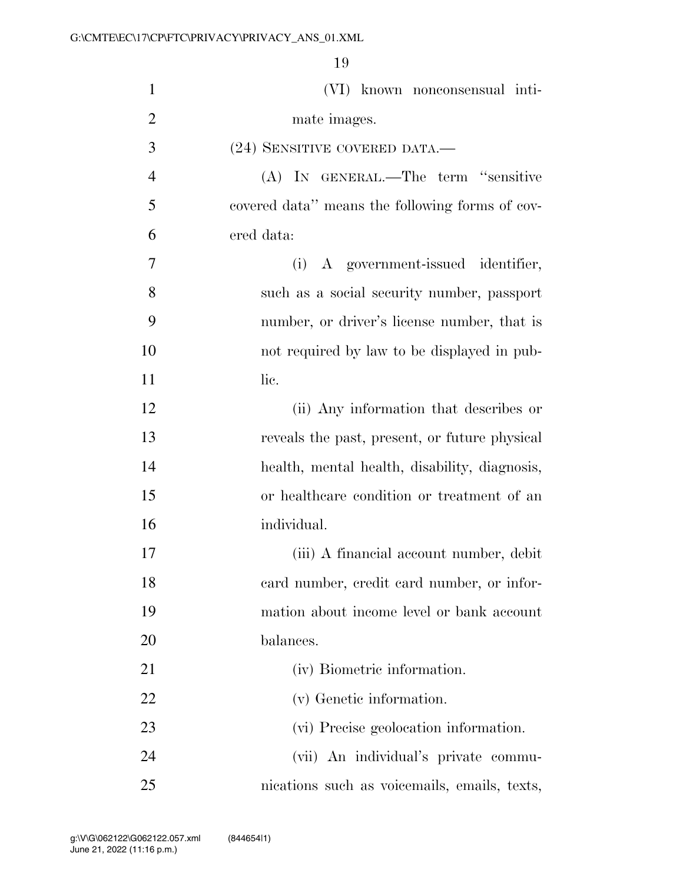(VI) known nonconsensual inti-2 mate images. (24) SENSITIVE COVERED DATA.— (A) IN GENERAL.—The term ''sensitive covered data'' means the following forms of cov- ered data: (i) A government-issued identifier, such as a social security number, passport number, or driver's license number, that is not required by law to be displayed in pub-11 lie. (ii) Any information that describes or reveals the past, present, or future physical health, mental health, disability, diagnosis, or healthcare condition or treatment of an individual. (iii) A financial account number, debit card number, credit card number, or infor- mation about income level or bank account balances. 21 (iv) Biometric information. (v) Genetic information. (vi) Precise geolocation information. (vii) An individual's private commu-nications such as voicemails, emails, texts,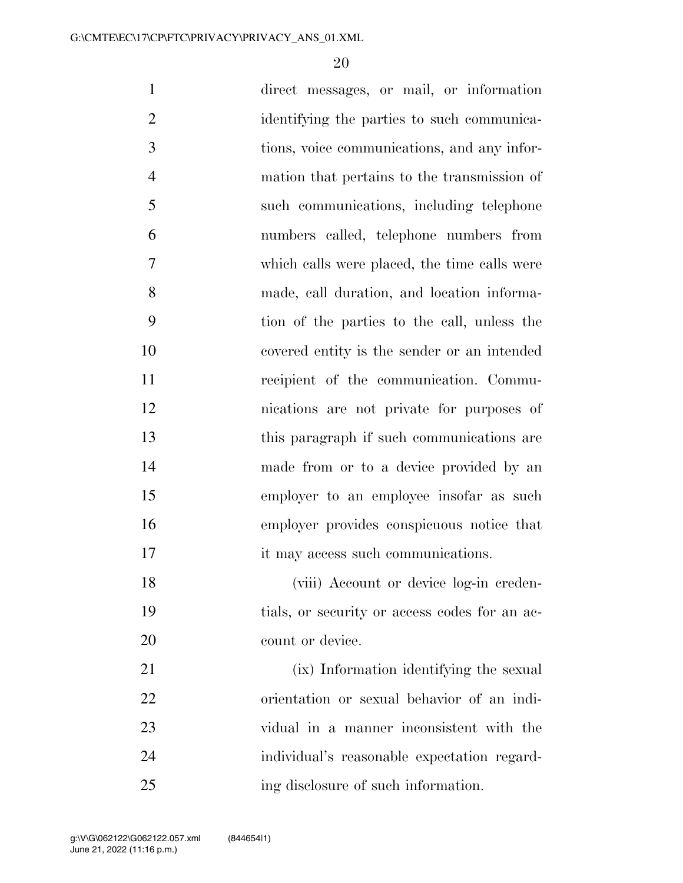| $\mathbf{1}$   | direct messages, or mail, or information      |
|----------------|-----------------------------------------------|
| $\overline{2}$ | identifying the parties to such communica-    |
| 3              | tions, voice communications, and any infor-   |
| $\overline{4}$ | mation that pertains to the transmission of   |
| 5              | such communications, including telephone      |
| 6              | numbers called, telephone numbers from        |
| $\tau$         | which calls were placed, the time calls were  |
| 8              | made, call duration, and location informa-    |
| 9              | tion of the parties to the call, unless the   |
| 10             | covered entity is the sender or an intended   |
| 11             | recipient of the communication. Commu-        |
| 12             | nications are not private for purposes of     |
| 13             | this paragraph if such communications are     |
| 14             | made from or to a device provided by an       |
| 15             | employer to an employee insofar as such       |
| 16             | employer provides conspicuous notice that     |
| 17             | it may access such communications.            |
| 18             | (viii) Account or device log-in creden-       |
| 19             | tials, or security or access codes for an ac- |
| 20             | count or device.                              |
| 21             | (ix) Information identifying the sexual       |
| 22             | orientation or sexual behavior of an indi-    |
| 23             | vidual in a manner inconsistent with the      |
| 24             | individual's reasonable expectation regard-   |
| 25             | ing disclosure of such information.           |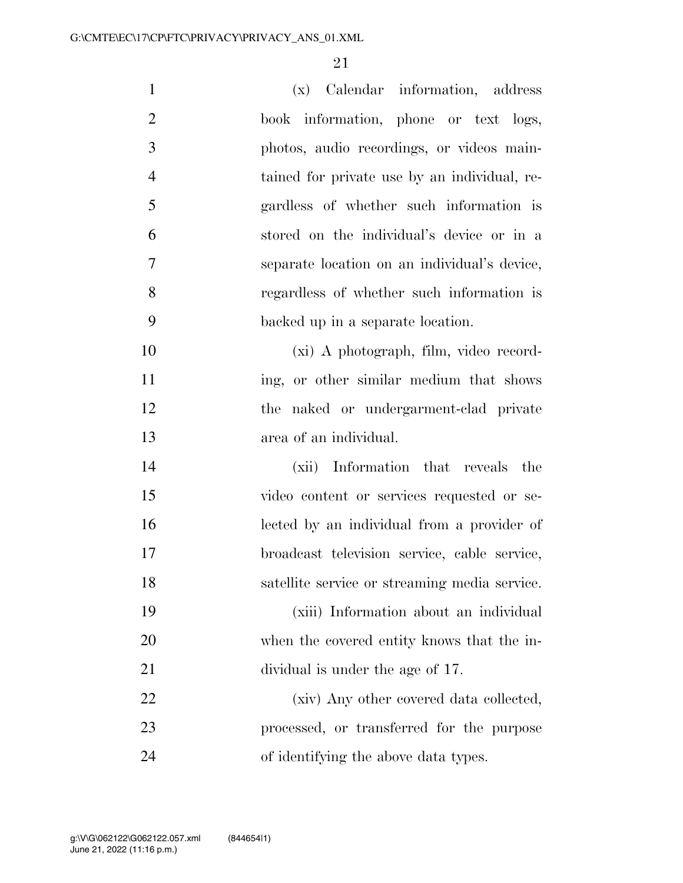| $\mathbf{1}$   | (x) Calendar information, address             |
|----------------|-----------------------------------------------|
| $\overline{2}$ | book information, phone or text logs,         |
| 3              | photos, audio recordings, or videos main-     |
| $\overline{4}$ | tained for private use by an individual, re-  |
| 5              | gardless of whether such information is       |
| 6              | stored on the individual's device or in a     |
| 7              | separate location on an individual's device,  |
| 8              | regardless of whether such information is     |
| 9              | backed up in a separate location.             |
| 10             | (xi) A photograph, film, video record-        |
| 11             | ing, or other similar medium that shows       |
| 12             | the naked or undergarment-clad private        |
| 13             | area of an individual.                        |
| 14             | (xii) Information that reveals the            |
| 15             | video content or services requested or se-    |
| 16             | lected by an individual from a provider of    |
| 17             | broadcast television service, cable service,  |
| 18             | satellite service or streaming media service. |
| 19             | (xiii) Information about an individual        |
| 20             | when the covered entity knows that the in-    |
| 21             | dividual is under the age of 17.              |
| 22             | (xiv) Any other covered data collected,       |
| 23             | processed, or transferred for the purpose     |
| 24             | of identifying the above data types.          |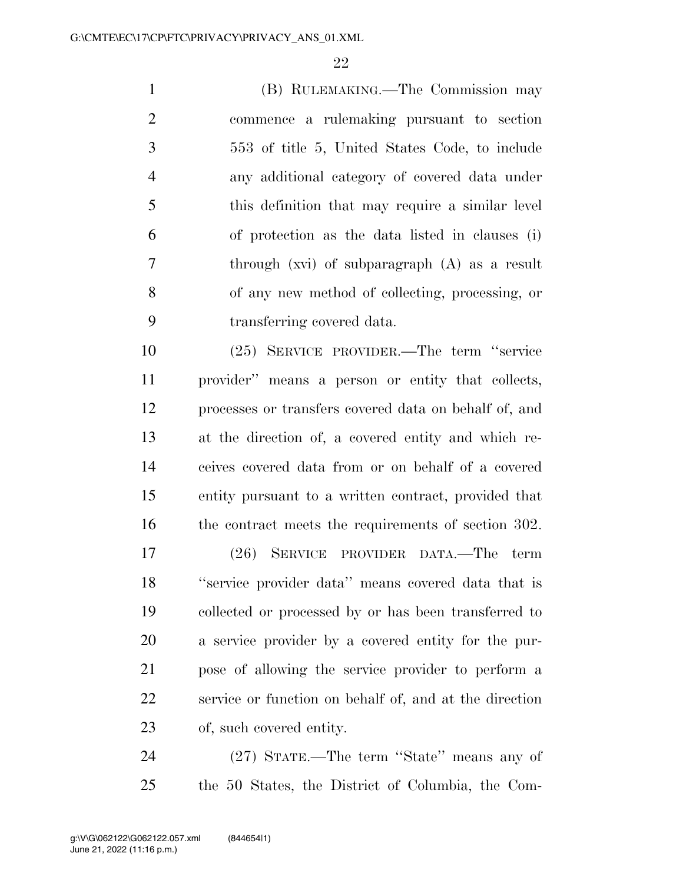(B) RULEMAKING.—The Commission may commence a rulemaking pursuant to section 553 of title 5, United States Code, to include any additional category of covered data under this definition that may require a similar level of protection as the data listed in clauses (i) through (xvi) of subparagraph (A) as a result of any new method of collecting, processing, or transferring covered data.

 (25) SERVICE PROVIDER.—The term ''service provider'' means a person or entity that collects, processes or transfers covered data on behalf of, and at the direction of, a covered entity and which re- ceives covered data from or on behalf of a covered entity pursuant to a written contract, provided that 16 the contract meets the requirements of section 302.

 (26) SERVICE PROVIDER DATA.—The term ''service provider data'' means covered data that is collected or processed by or has been transferred to a service provider by a covered entity for the pur- pose of allowing the service provider to perform a service or function on behalf of, and at the direction of, such covered entity.

 (27) STATE.—The term ''State'' means any of the 50 States, the District of Columbia, the Com-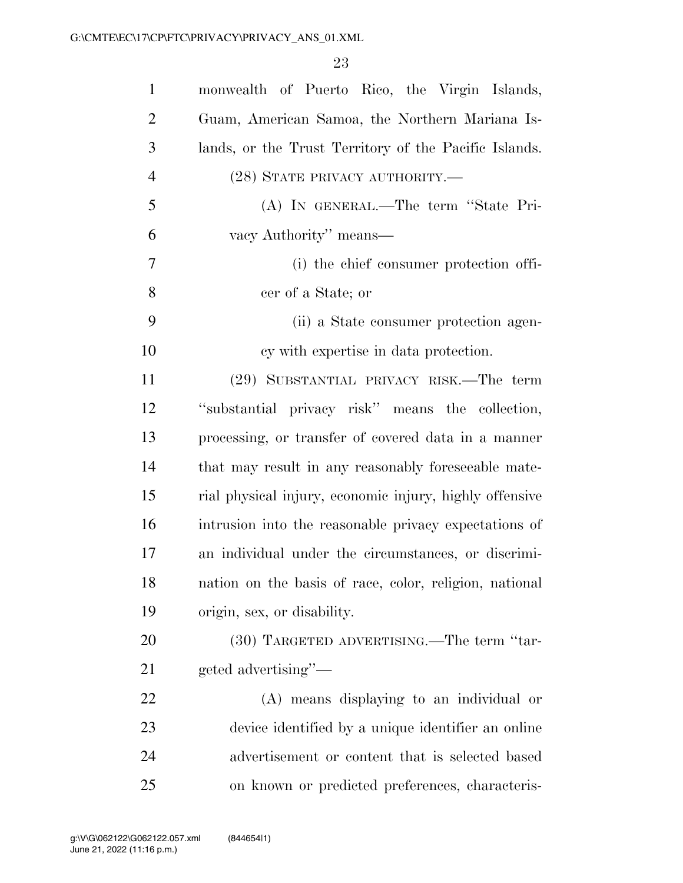| $\mathbf{1}$   | monwealth of Puerto Rico, the Virgin Islands,           |
|----------------|---------------------------------------------------------|
| $\overline{2}$ | Guam, American Samoa, the Northern Mariana Is-          |
| 3              | lands, or the Trust Territory of the Pacific Islands.   |
| $\overline{4}$ | (28) STATE PRIVACY AUTHORITY.—                          |
| 5              | (A) IN GENERAL.—The term "State Pri-                    |
| 6              | vacy Authority" means—                                  |
| 7              | (i) the chief consumer protection offi-                 |
| 8              | cer of a State; or                                      |
| 9              | (ii) a State consumer protection agen-                  |
| 10             | cy with expertise in data protection.                   |
| 11             | (29) SUBSTANTIAL PRIVACY RISK.—The term                 |
| 12             | "substantial privacy risk" means the collection,        |
| 13             | processing, or transfer of covered data in a manner     |
| 14             | that may result in any reasonably foreseeable mate-     |
| 15             | rial physical injury, economic injury, highly offensive |
| 16             | intrusion into the reasonable privacy expectations of   |
| 17             | an individual under the circumstances, or discrimi-     |
| 18             | nation on the basis of race, color, religion, national  |
| 19             | origin, sex, or disability.                             |
| 20             | (30) TARGETED ADVERTISING.—The term "tar-               |
| 21             | geted advertising"—                                     |
| 22             | (A) means displaying to an individual or                |
| 23             | device identified by a unique identifier an online      |
| 24             | advertisement or content that is selected based         |
| 25             | on known or predicted preferences, characteris-         |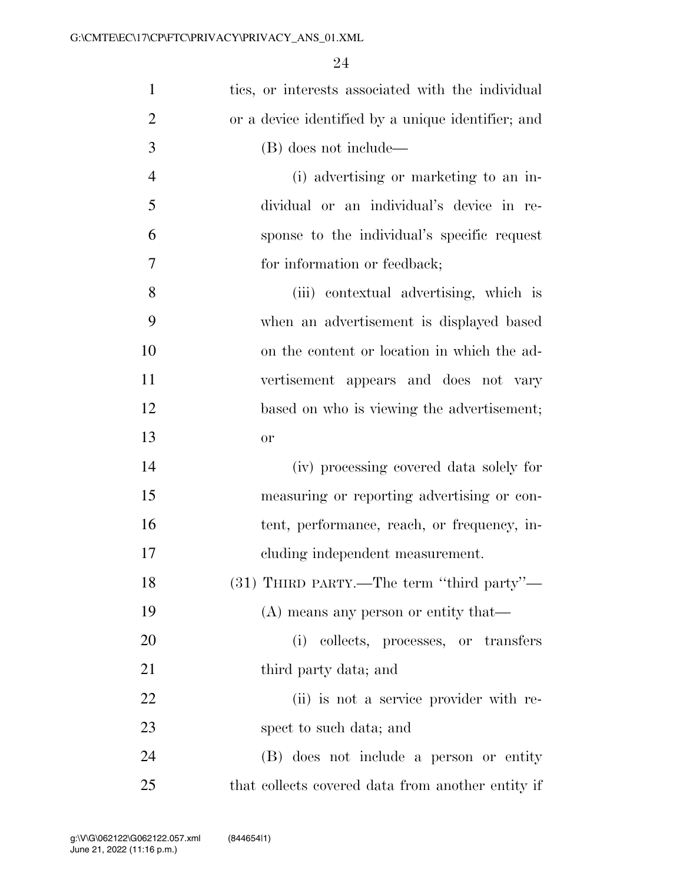| $\mathbf{1}$   | tics, or interests associated with the individual  |
|----------------|----------------------------------------------------|
| $\overline{2}$ | or a device identified by a unique identifier; and |
| 3              | (B) does not include—                              |
| $\overline{4}$ | (i) advertising or marketing to an in-             |
| 5              | dividual or an individual's device in re-          |
| 6              | sponse to the individual's specific request        |
| 7              | for information or feedback;                       |
| 8              | (iii) contextual advertising, which is             |
| 9              | when an advertisement is displayed based           |
| 10             | on the content or location in which the ad-        |
| 11             | vertisement appears and does not vary              |
| 12             | based on who is viewing the advertisement;         |
| 13             | or                                                 |
| 14             | (iv) processing covered data solely for            |
| 15             | measuring or reporting advertising or con-         |
| 16             | tent, performance, reach, or frequency, in-        |
| 17             | cluding independent measurement.                   |
| 18             | (31) THIRD PARTY.—The term "third party"—          |
| 19             | (A) means any person or entity that—               |
| 20             | collects, processes, or transfers<br>(i)           |
| 21             | third party data; and                              |
| 22             | (ii) is not a service provider with re-            |
| 23             | spect to such data; and                            |
| 24             | (B) does not include a person or entity            |
| 25             | that collects covered data from another entity if  |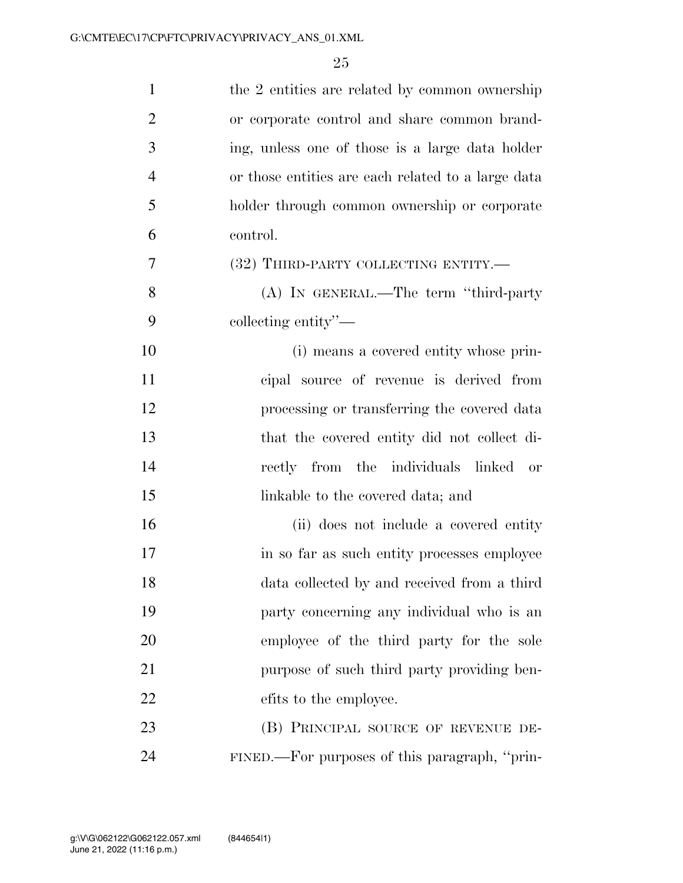| $\mathbf{1}$   | the 2 entities are related by common ownership     |
|----------------|----------------------------------------------------|
| $\overline{2}$ | or corporate control and share common brand-       |
| 3              | ing, unless one of those is a large data holder    |
| $\overline{4}$ | or those entities are each related to a large data |
| 5              | holder through common ownership or corporate       |
| 6              | control.                                           |
| 7              | (32) THIRD-PARTY COLLECTING ENTITY.—               |
| 8              | (A) IN GENERAL.—The term "third-party"             |
| 9              | collecting entity"—                                |
| 10             | (i) means a covered entity whose prin-             |
| 11             | cipal source of revenue is derived from            |
| 12             | processing or transferring the covered data        |
| 13             | that the covered entity did not collect di-        |
| 14             | rectly from the individuals linked or              |
| 15             | linkable to the covered data; and                  |
| 16             | (ii) does not include a covered entity             |
| 17             | in so far as such entity processes employee        |
| 18             | data collected by and received from a third        |
| 19             | party concerning any individual who is an          |
| 20             | employee of the third party for the sole           |
| 21             | purpose of such third party providing ben-         |
| 22             | efits to the employee.                             |
| 23             | (B) PRINCIPAL SOURCE OF REVENUE DE-                |
| 24             | FINED.—For purposes of this paragraph, "prin-      |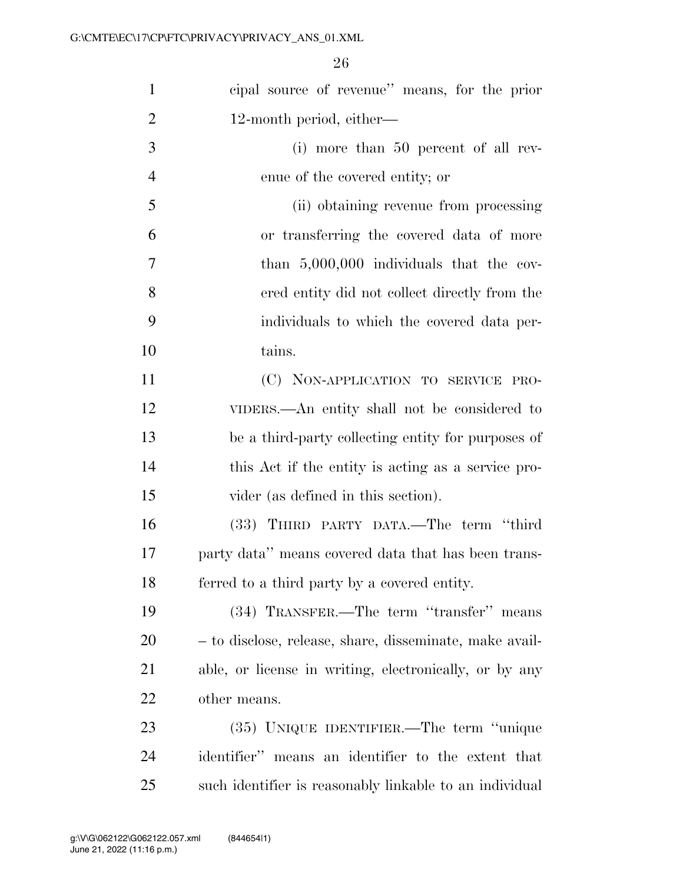| $\mathbf{1}$   | cipal source of revenue" means, for the prior           |
|----------------|---------------------------------------------------------|
| $\overline{2}$ | 12-month period, either—                                |
| 3              | $(i)$ more than 50 percent of all rev-                  |
| $\overline{4}$ | enue of the covered entity; or                          |
| 5              | (ii) obtaining revenue from processing                  |
| 6              | or transferring the covered data of more                |
| 7              | than $5,000,000$ individuals that the cov-              |
| 8              | ered entity did not collect directly from the           |
| 9              | individuals to which the covered data per-              |
| 10             | tains.                                                  |
| 11             | (C) NON-APPLICATION TO SERVICE PRO-                     |
| 12             | VIDERS.—An entity shall not be considered to            |
| 13             | be a third-party collecting entity for purposes of      |
| 14             | this Act if the entity is acting as a service pro-      |
| 15             | vider (as defined in this section).                     |
| 16             | (33) THIRD PARTY DATA.—The term "third                  |
| 17             | party data" means covered data that has been trans-     |
| 18             | ferred to a third party by a covered entity.            |
| 19             | (34) TRANSFER.—The term "transfer" means                |
| 20             | - to disclose, release, share, disseminate, make avail- |
| 21             | able, or license in writing, electronically, or by any  |
| 22             | other means.                                            |
| 23             | (35) UNIQUE IDENTIFIER.—The term "unique                |
| 24             | identifier" means an identifier to the extent that      |
| 25             | such identifier is reasonably linkable to an individual |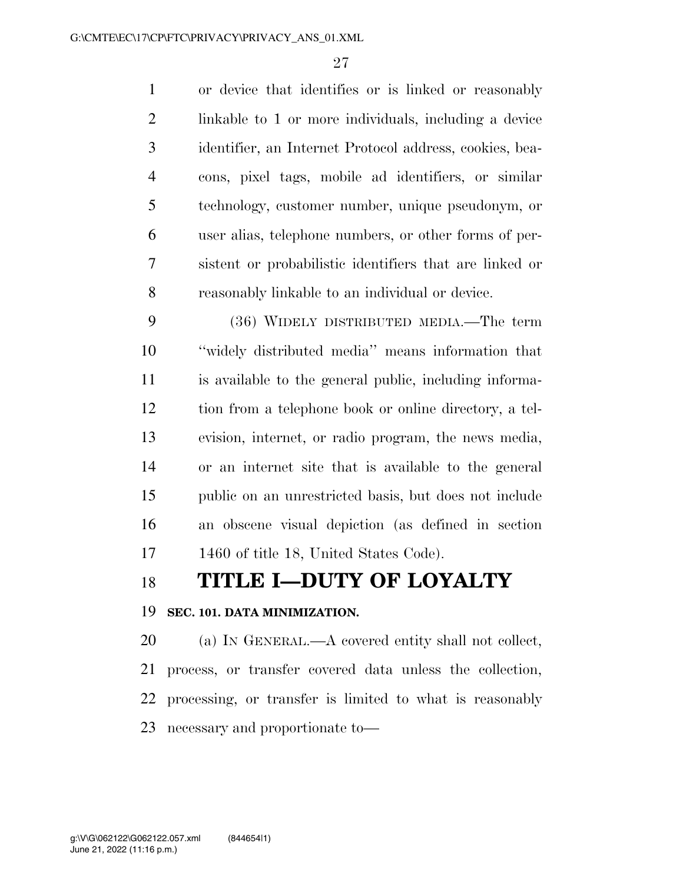or device that identifies or is linked or reasonably linkable to 1 or more individuals, including a device identifier, an Internet Protocol address, cookies, bea- cons, pixel tags, mobile ad identifiers, or similar technology, customer number, unique pseudonym, or user alias, telephone numbers, or other forms of per- sistent or probabilistic identifiers that are linked or reasonably linkable to an individual or device.

 (36) WIDELY DISTRIBUTED MEDIA.—The term ''widely distributed media'' means information that is available to the general public, including informa- tion from a telephone book or online directory, a tel- evision, internet, or radio program, the news media, or an internet site that is available to the general public on an unrestricted basis, but does not include an obscene visual depiction (as defined in section 1460 of title 18, United States Code).

# **TITLE I—DUTY OF LOYALTY**

#### **SEC. 101. DATA MINIMIZATION.**

 (a) IN GENERAL.—A covered entity shall not collect, process, or transfer covered data unless the collection, processing, or transfer is limited to what is reasonably necessary and proportionate to—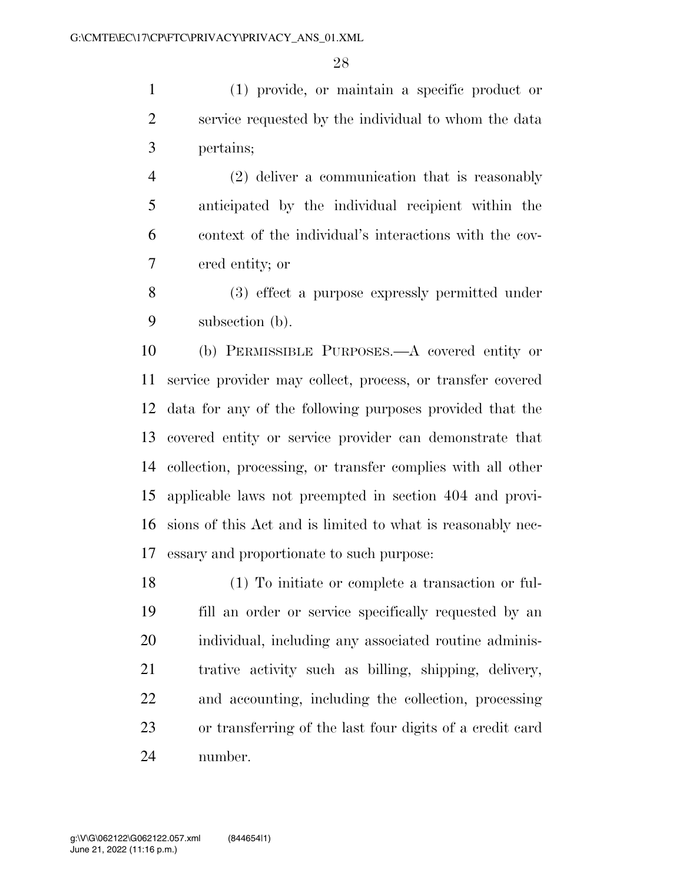(1) provide, or maintain a specific product or service requested by the individual to whom the data pertains;

 (2) deliver a communication that is reasonably anticipated by the individual recipient within the context of the individual's interactions with the cov-ered entity; or

 (3) effect a purpose expressly permitted under subsection (b).

 (b) PERMISSIBLE PURPOSES.—A covered entity or service provider may collect, process, or transfer covered data for any of the following purposes provided that the covered entity or service provider can demonstrate that collection, processing, or transfer complies with all other applicable laws not preempted in section 404 and provi- sions of this Act and is limited to what is reasonably nec-essary and proportionate to such purpose:

 (1) To initiate or complete a transaction or ful- fill an order or service specifically requested by an individual, including any associated routine adminis- trative activity such as billing, shipping, delivery, and accounting, including the collection, processing or transferring of the last four digits of a credit card number.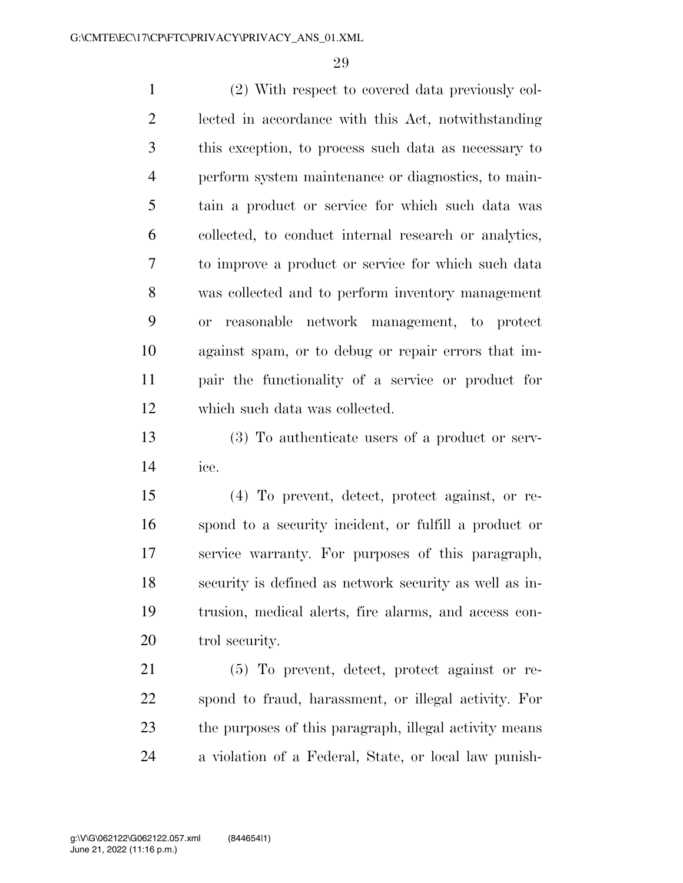(2) With respect to covered data previously col- lected in accordance with this Act, notwithstanding this exception, to process such data as necessary to perform system maintenance or diagnostics, to main- tain a product or service for which such data was collected, to conduct internal research or analytics, to improve a product or service for which such data was collected and to perform inventory management or reasonable network management, to protect against spam, or to debug or repair errors that im- pair the functionality of a service or product for which such data was collected.

 (3) To authenticate users of a product or serv-ice.

 (4) To prevent, detect, protect against, or re- spond to a security incident, or fulfill a product or service warranty. For purposes of this paragraph, security is defined as network security as well as in- trusion, medical alerts, fire alarms, and access con-trol security.

 (5) To prevent, detect, protect against or re- spond to fraud, harassment, or illegal activity. For 23 the purposes of this paragraph, illegal activity means a violation of a Federal, State, or local law punish-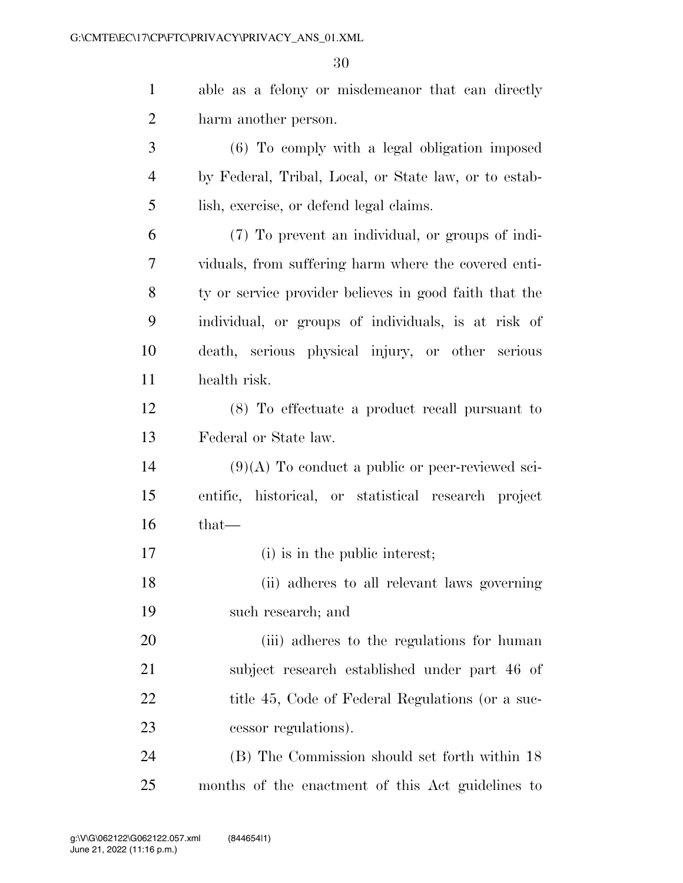able as a felony or misdemeanor that can directly

| $\overline{2}$ | harm another person.                                   |
|----------------|--------------------------------------------------------|
| 3              | (6) To comply with a legal obligation imposed          |
| 4              | by Federal, Tribal, Local, or State law, or to estab-  |
| 5              | lish, exercise, or defend legal claims.                |
| 6              | (7) To prevent an individual, or groups of indi-       |
| 7              | viduals, from suffering harm where the covered enti-   |
| 8              | ty or service provider believes in good faith that the |
| 9              | individual, or groups of individuals, is at risk of    |
| 10             | death, serious physical injury, or other serious       |
| 11             | health risk.                                           |
| 12             | (8) To effectuate a product recall pursuant to         |
| 13             | Federal or State law.                                  |
| 14             | $(9)(A)$ To conduct a public or peer-reviewed sci-     |
| 15             | entific, historical, or statistical research project   |
| 16             | that-                                                  |
| 17             | (i) is in the public interest;                         |
| 18             | (ii) adheres to all relevant laws governing            |
| 19             | such research; and                                     |
| 20             | (iii) adheres to the regulations for human             |
| 21             | subject research established under part 46 of          |
| 22             | title 45, Code of Federal Regulations (or a suc-       |
| 23             | cessor regulations).                                   |
| 24             | (B) The Commission should set forth within 18          |
| 25             | months of the enactment of this Act guidelines to      |
|                |                                                        |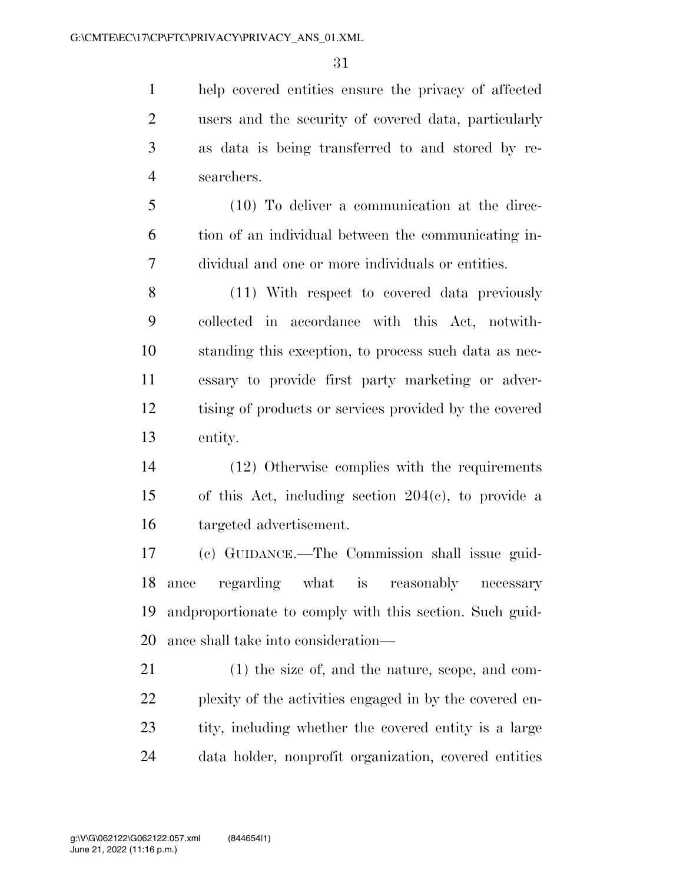help covered entities ensure the privacy of affected users and the security of covered data, particularly as data is being transferred to and stored by re-searchers.

 (10) To deliver a communication at the direc- tion of an individual between the communicating in-dividual and one or more individuals or entities.

 (11) With respect to covered data previously collected in accordance with this Act, notwith- standing this exception, to process such data as nec- essary to provide first party marketing or adver- tising of products or services provided by the covered entity.

 (12) Otherwise complies with the requirements of this Act, including section 204(c), to provide a targeted advertisement.

 (c) GUIDANCE.—The Commission shall issue guid- ance regarding what is reasonably necessary andproportionate to comply with this section. Such guid-ance shall take into consideration—

 (1) the size of, and the nature, scope, and com- plexity of the activities engaged in by the covered en- tity, including whether the covered entity is a large data holder, nonprofit organization, covered entities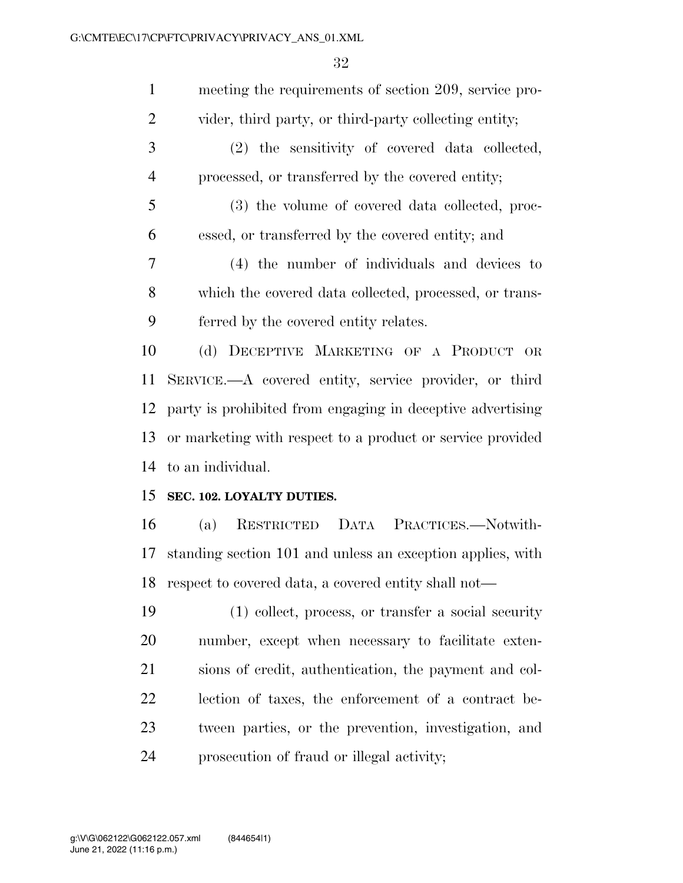| $\mathbf{1}$   | meeting the requirements of section 209, service pro-      |
|----------------|------------------------------------------------------------|
| $\overline{2}$ | vider, third party, or third-party collecting entity;      |
| 3              | (2) the sensitivity of covered data collected,             |
| $\overline{4}$ | processed, or transferred by the covered entity;           |
| 5              | (3) the volume of covered data collected, proc-            |
| 6              | essed, or transferred by the covered entity; and           |
| 7              | (4) the number of individuals and devices to               |
| 8              | which the covered data collected, processed, or trans-     |
| 9              | ferred by the covered entity relates.                      |
| 10             | (d) DECEPTIVE MARKETING OF A PRODUCT<br>OR                 |
| 11             | SERVICE.—A covered entity, service provider, or third      |
| 12             | party is prohibited from engaging in deceptive advertising |
| 13             | or marketing with respect to a product or service provided |
| 14             | to an individual.                                          |
| 15             | SEC. 102. LOYALTY DUTIES.                                  |
| 16             | RESTRICTED DATA PRACTICES.-Notwith-<br>(a)                 |
| 17             | standing section 101 and unless an exception applies, with |
| 18             | respect to covered data, a covered entity shall not—       |
| 19             | $(1)$ collect, process, or transfer a social security      |
| 20             | number, except when necessary to facilitate exten-         |
| 21             | sions of credit, authentication, the payment and col-      |
| 22             | lection of taxes, the enforcement of a contract be-        |
| 23             | tween parties, or the prevention, investigation, and       |
| 24             | prosecution of fraud or illegal activity;                  |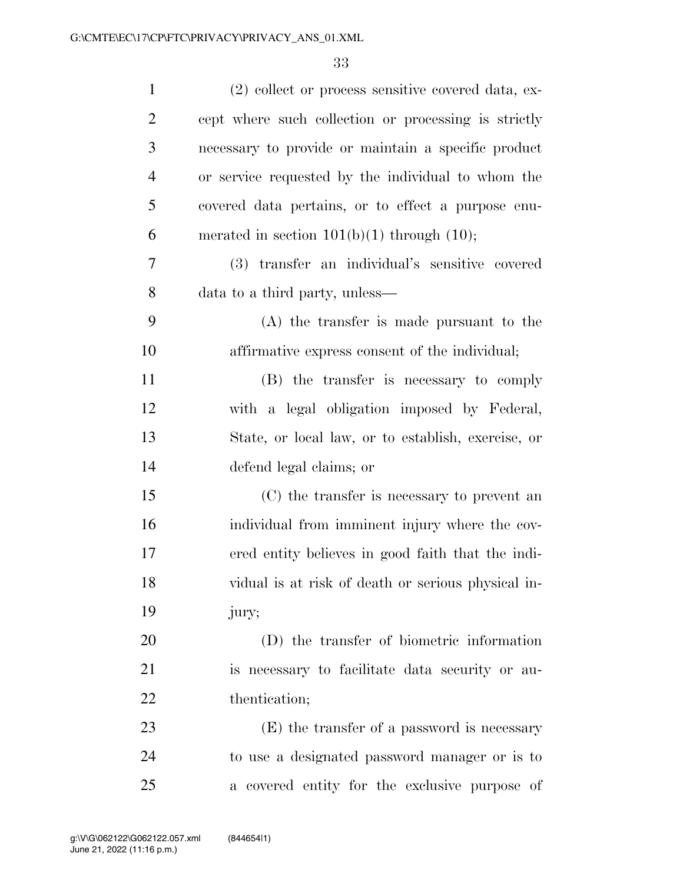| $\mathbf{1}$   | (2) collect or process sensitive covered data, ex-   |
|----------------|------------------------------------------------------|
| $\overline{2}$ | cept where such collection or processing is strictly |
| 3              | necessary to provide or maintain a specific product  |
| $\overline{4}$ | or service requested by the individual to whom the   |
| 5              | covered data pertains, or to effect a purpose enu-   |
| 6              | merated in section $101(b)(1)$ through $(10)$ ;      |
| 7              | (3) transfer an individual's sensitive covered       |
| 8              | data to a third party, unless—                       |
| 9              | $(A)$ the transfer is made pursuant to the           |
| 10             | affirmative express consent of the individual;       |
| 11             | (B) the transfer is necessary to comply              |
| 12             | with a legal obligation imposed by Federal,          |
| 13             | State, or local law, or to establish, exercise, or   |
| 14             | defend legal claims; or                              |
| 15             | (C) the transfer is necessary to prevent an          |
| 16             | individual from imminent injury where the cov-       |
| 17             | ered entity believes in good faith that the indi-    |
| 18             | vidual is at risk of death or serious physical in-   |
| 19             | jury;                                                |
| 20             | (D) the transfer of biometric information            |
| 21             | is necessary to facilitate data security or au-      |
| 22             | thentication;                                        |
| 23             | (E) the transfer of a password is necessary          |
| 24             | to use a designated password manager or is to        |
| 25             | a covered entity for the exclusive purpose of        |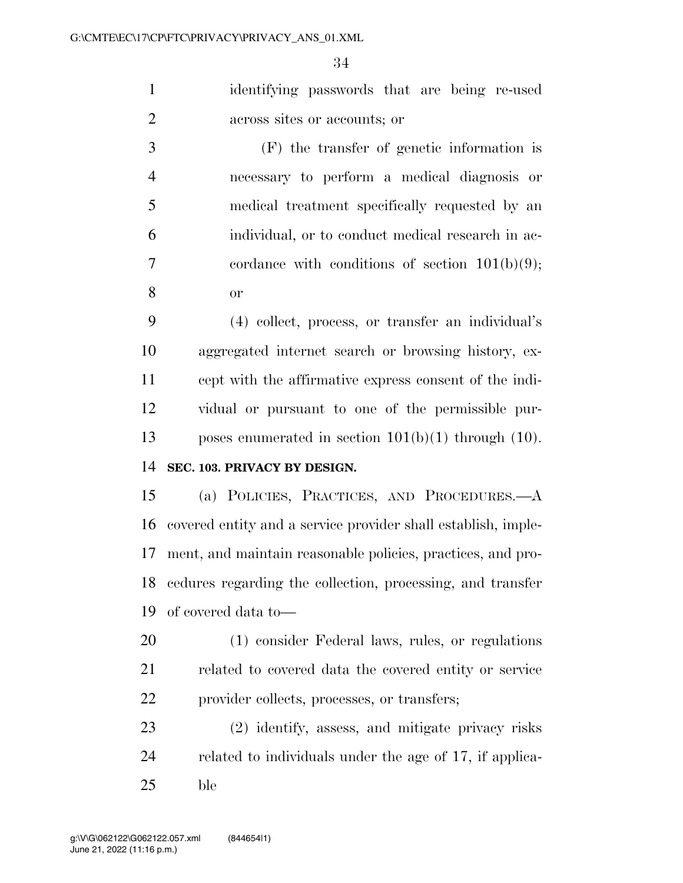identifying passwords that are being re-used across sites or accounts; or

 (F) the transfer of genetic information is necessary to perform a medical diagnosis or medical treatment specifically requested by an individual, or to conduct medical research in ac- cordance with conditions of section 101(b)(9); or

 (4) collect, process, or transfer an individual's aggregated internet search or browsing history, ex- cept with the affirmative express consent of the indi- vidual or pursuant to one of the permissible pur-poses enumerated in section 101(b)(1) through (10).

### **SEC. 103. PRIVACY BY DESIGN.**

 (a) POLICIES, PRACTICES, AND PROCEDURES.—A covered entity and a service provider shall establish, imple- ment, and maintain reasonable policies, practices, and pro- cedures regarding the collection, processing, and transfer of covered data to—

 (1) consider Federal laws, rules, or regulations related to covered data the covered entity or service provider collects, processes, or transfers;

 (2) identify, assess, and mitigate privacy risks related to individuals under the age of 17, if applica-ble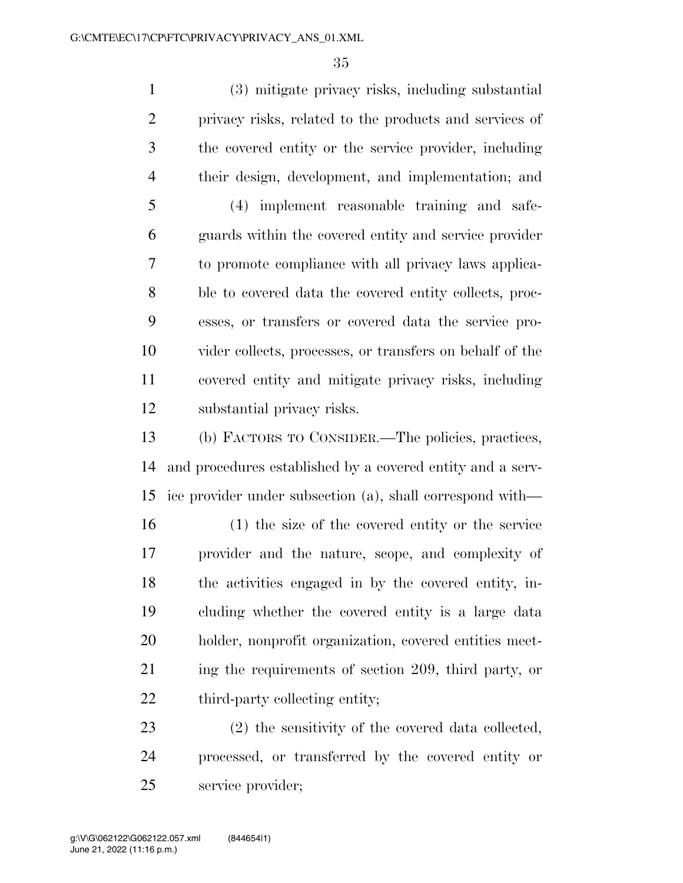(3) mitigate privacy risks, including substantial privacy risks, related to the products and services of the covered entity or the service provider, including their design, development, and implementation; and (4) implement reasonable training and safe- guards within the covered entity and service provider to promote compliance with all privacy laws applica- ble to covered data the covered entity collects, proc- esses, or transfers or covered data the service pro- vider collects, processes, or transfers on behalf of the covered entity and mitigate privacy risks, including substantial privacy risks.

 (b) FACTORS TO CONSIDER.—The policies, practices, and procedures established by a covered entity and a serv-ice provider under subsection (a), shall correspond with—

 (1) the size of the covered entity or the service provider and the nature, scope, and complexity of the activities engaged in by the covered entity, in- cluding whether the covered entity is a large data holder, nonprofit organization, covered entities meet-21 ing the requirements of section 209, third party, or 22 third-party collecting entity;

 (2) the sensitivity of the covered data collected, processed, or transferred by the covered entity or service provider;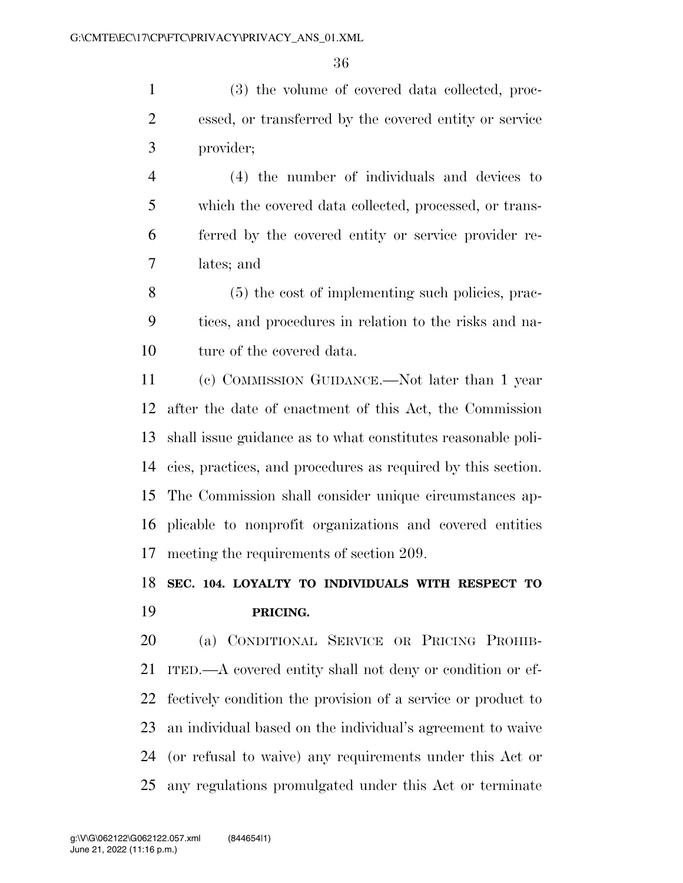(3) the volume of covered data collected, proc- essed, or transferred by the covered entity or service provider;

 (4) the number of individuals and devices to which the covered data collected, processed, or trans- ferred by the covered entity or service provider re-lates; and

 (5) the cost of implementing such policies, prac- tices, and procedures in relation to the risks and na-ture of the covered data.

 (c) COMMISSION GUIDANCE.—Not later than 1 year after the date of enactment of this Act, the Commission shall issue guidance as to what constitutes reasonable poli- cies, practices, and procedures as required by this section. The Commission shall consider unique circumstances ap- plicable to nonprofit organizations and covered entities meeting the requirements of section 209.

# **SEC. 104. LOYALTY TO INDIVIDUALS WITH RESPECT TO PRICING.**

 (a) CONDITIONAL SERVICE OR PRICING PROHIB- ITED.—A covered entity shall not deny or condition or ef- fectively condition the provision of a service or product to an individual based on the individual's agreement to waive (or refusal to waive) any requirements under this Act or any regulations promulgated under this Act or terminate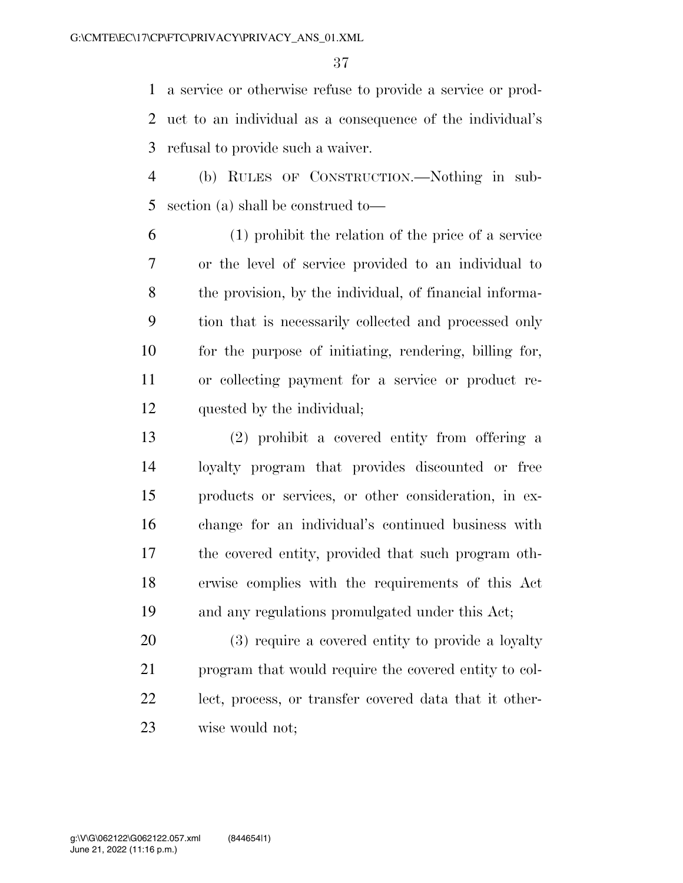a service or otherwise refuse to provide a service or prod- uct to an individual as a consequence of the individual's refusal to provide such a waiver.

 (b) RULES OF CONSTRUCTION.—Nothing in sub-section (a) shall be construed to—

 (1) prohibit the relation of the price of a service or the level of service provided to an individual to the provision, by the individual, of financial informa- tion that is necessarily collected and processed only for the purpose of initiating, rendering, billing for, or collecting payment for a service or product re-quested by the individual;

 (2) prohibit a covered entity from offering a loyalty program that provides discounted or free products or services, or other consideration, in ex- change for an individual's continued business with the covered entity, provided that such program oth- erwise complies with the requirements of this Act and any regulations promulgated under this Act;

 (3) require a covered entity to provide a loyalty program that would require the covered entity to col- lect, process, or transfer covered data that it other-wise would not;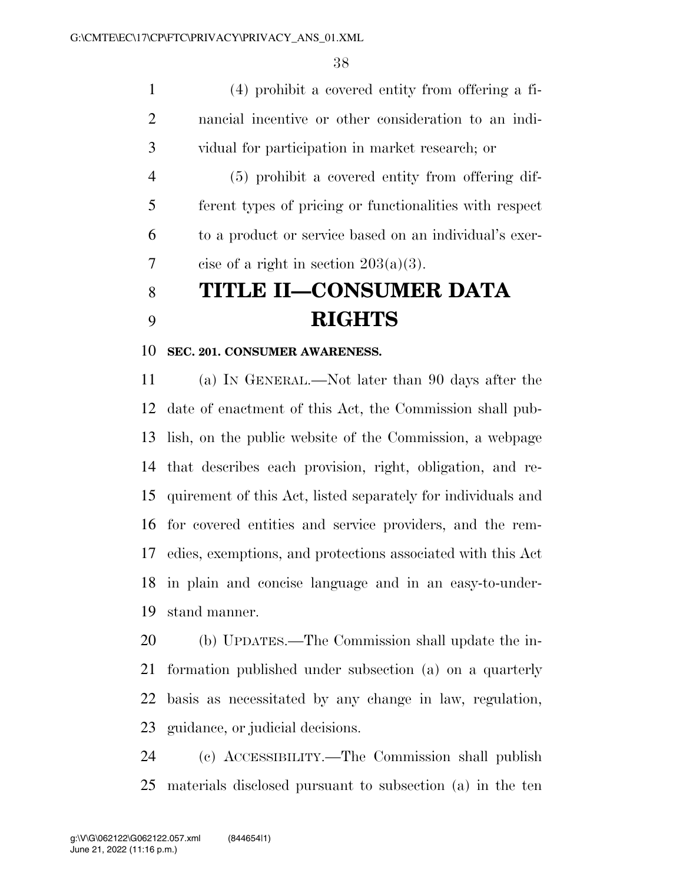(4) prohibit a covered entity from offering a fi- nancial incentive or other consideration to an indi-vidual for participation in market research; or

 (5) prohibit a covered entity from offering dif- ferent types of pricing or functionalities with respect to a product or service based on an individual's exer-7 cise of a right in section  $203(a)(3)$ .

# **TITLE II—CONSUMER DATA RIGHTS**

#### **SEC. 201. CONSUMER AWARENESS.**

 (a) IN GENERAL.—Not later than 90 days after the date of enactment of this Act, the Commission shall pub- lish, on the public website of the Commission, a webpage that describes each provision, right, obligation, and re- quirement of this Act, listed separately for individuals and for covered entities and service providers, and the rem- edies, exemptions, and protections associated with this Act in plain and concise language and in an easy-to-under-stand manner.

 (b) UPDATES.—The Commission shall update the in- formation published under subsection (a) on a quarterly basis as necessitated by any change in law, regulation, guidance, or judicial decisions.

 (c) ACCESSIBILITY.—The Commission shall publish materials disclosed pursuant to subsection (a) in the ten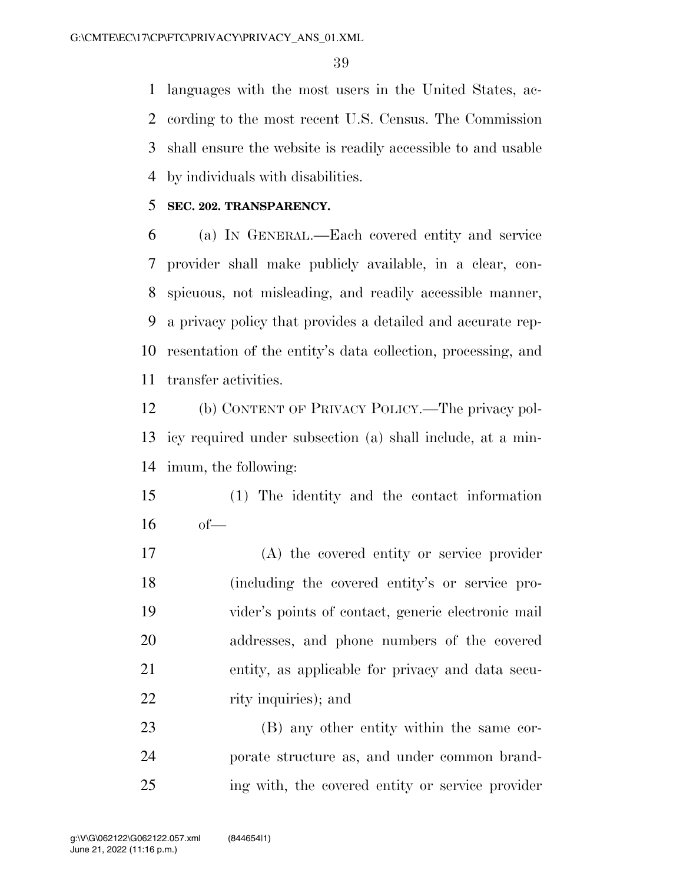languages with the most users in the United States, ac- cording to the most recent U.S. Census. The Commission shall ensure the website is readily accessible to and usable by individuals with disabilities.

## **SEC. 202. TRANSPARENCY.**

 (a) IN GENERAL.—Each covered entity and service provider shall make publicly available, in a clear, con- spicuous, not misleading, and readily accessible manner, a privacy policy that provides a detailed and accurate rep- resentation of the entity's data collection, processing, and transfer activities.

 (b) CONTENT OF PRIVACY POLICY.—The privacy pol- icy required under subsection (a) shall include, at a min-imum, the following:

 (1) The identity and the contact information of—

 (A) the covered entity or service provider (including the covered entity's or service pro- vider's points of contact, generic electronic mail addresses, and phone numbers of the covered entity, as applicable for privacy and data secu-22 rity inquiries); and

 (B) any other entity within the same cor- porate structure as, and under common brand-ing with, the covered entity or service provider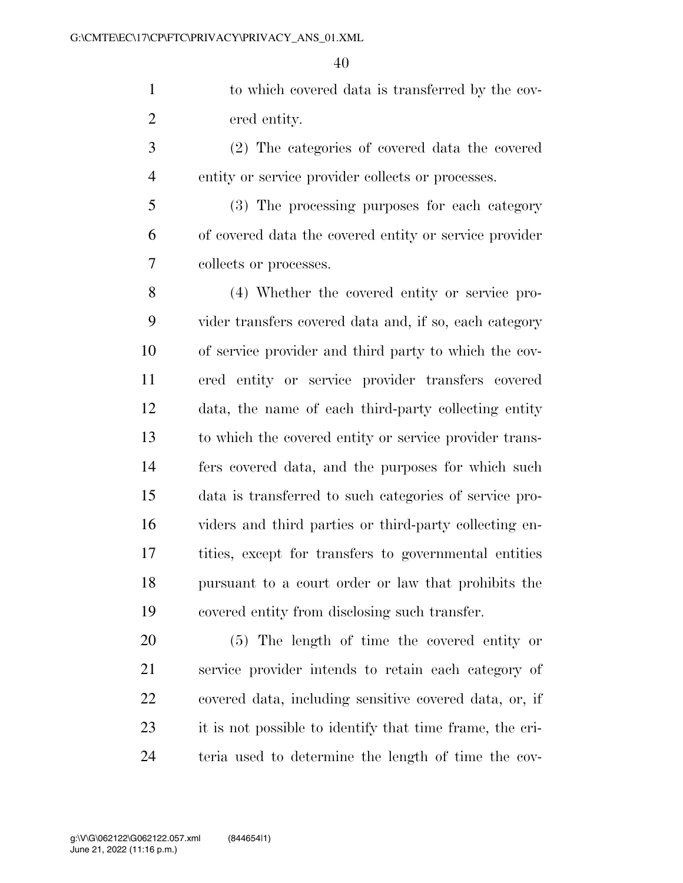to which covered data is transferred by the cov-ered entity.

 (2) The categories of covered data the covered entity or service provider collects or processes.

 (3) The processing purposes for each category of covered data the covered entity or service provider collects or processes.

 (4) Whether the covered entity or service pro- vider transfers covered data and, if so, each category of service provider and third party to which the cov- ered entity or service provider transfers covered data, the name of each third-party collecting entity to which the covered entity or service provider trans- fers covered data, and the purposes for which such data is transferred to such categories of service pro- viders and third parties or third-party collecting en- tities, except for transfers to governmental entities pursuant to a court order or law that prohibits the covered entity from disclosing such transfer.

 (5) The length of time the covered entity or service provider intends to retain each category of covered data, including sensitive covered data, or, if it is not possible to identify that time frame, the cri-teria used to determine the length of time the cov-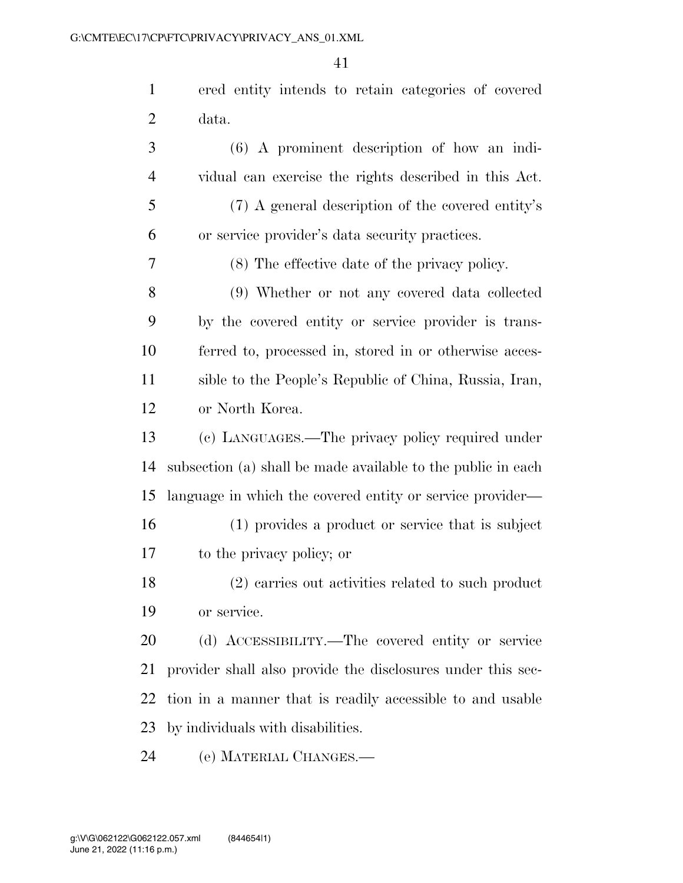ered entity intends to retain categories of covered data.

 (6) A prominent description of how an indi- vidual can exercise the rights described in this Act. (7) A general description of the covered entity's or service provider's data security practices. (8) The effective date of the privacy policy. (9) Whether or not any covered data collected by the covered entity or service provider is trans- ferred to, processed in, stored in or otherwise acces- sible to the People's Republic of China, Russia, Iran, or North Korea. (c) LANGUAGES.—The privacy policy required under subsection (a) shall be made available to the public in each language in which the covered entity or service provider— (1) provides a product or service that is subject to the privacy policy; or (2) carries out activities related to such product or service. (d) ACCESSIBILITY.—The covered entity or service provider shall also provide the disclosures under this sec- tion in a manner that is readily accessible to and usable by individuals with disabilities.

(e) MATERIAL CHANGES.—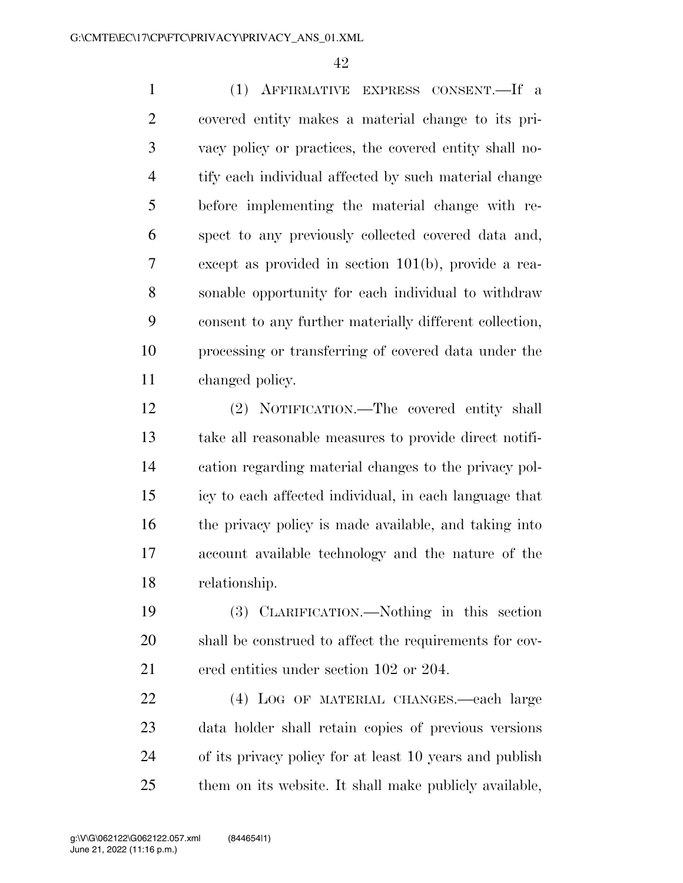(1) AFFIRMATIVE EXPRESS CONSENT.—If a covered entity makes a material change to its pri- vacy policy or practices, the covered entity shall no- tify each individual affected by such material change before implementing the material change with re- spect to any previously collected covered data and, except as provided in section 101(b), provide a rea- sonable opportunity for each individual to withdraw consent to any further materially different collection, processing or transferring of covered data under the changed policy.

 (2) NOTIFICATION.—The covered entity shall take all reasonable measures to provide direct notifi- cation regarding material changes to the privacy pol- icy to each affected individual, in each language that the privacy policy is made available, and taking into account available technology and the nature of the relationship.

 (3) CLARIFICATION.—Nothing in this section shall be construed to affect the requirements for cov-ered entities under section 102 or 204.

 (4) LOG OF MATERIAL CHANGES.—each large data holder shall retain copies of previous versions of its privacy policy for at least 10 years and publish them on its website. It shall make publicly available,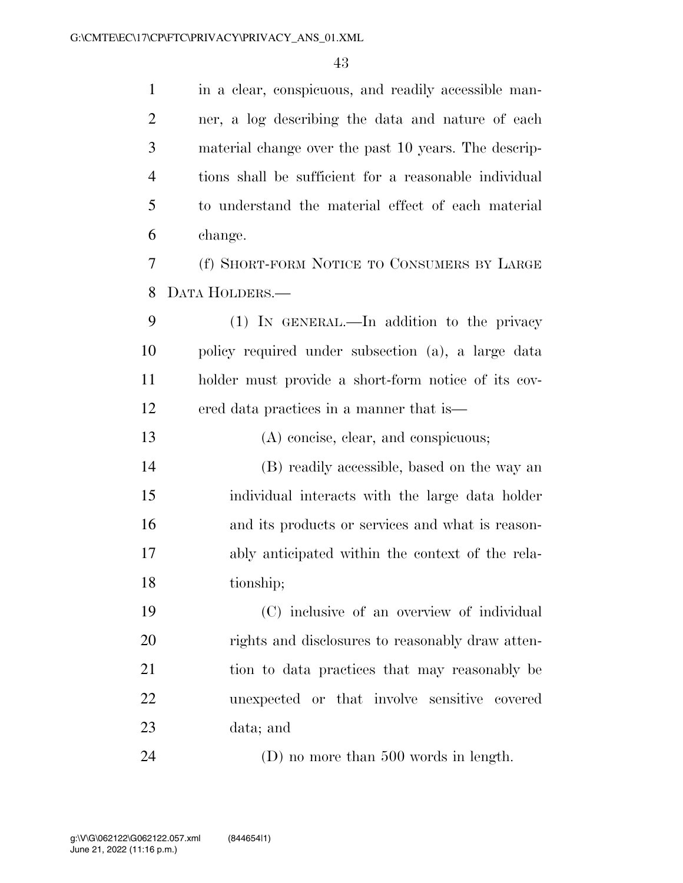in a clear, conspicuous, and readily accessible man- ner, a log describing the data and nature of each material change over the past 10 years. The descrip- tions shall be sufficient for a reasonable individual to understand the material effect of each material change. (f) SHORT-FORM NOTICE TO CONSUMERS BY LARGE DATA HOLDERS.— (1) IN GENERAL.—In addition to the privacy policy required under subsection (a), a large data holder must provide a short-form notice of its cov- ered data practices in a manner that is— (A) concise, clear, and conspicuous; (B) readily accessible, based on the way an individual interacts with the large data holder and its products or services and what is reason- ably anticipated within the context of the rela- tionship; (C) inclusive of an overview of individual rights and disclosures to reasonably draw atten- tion to data practices that may reasonably be unexpected or that involve sensitive covered data; and

(D) no more than 500 words in length.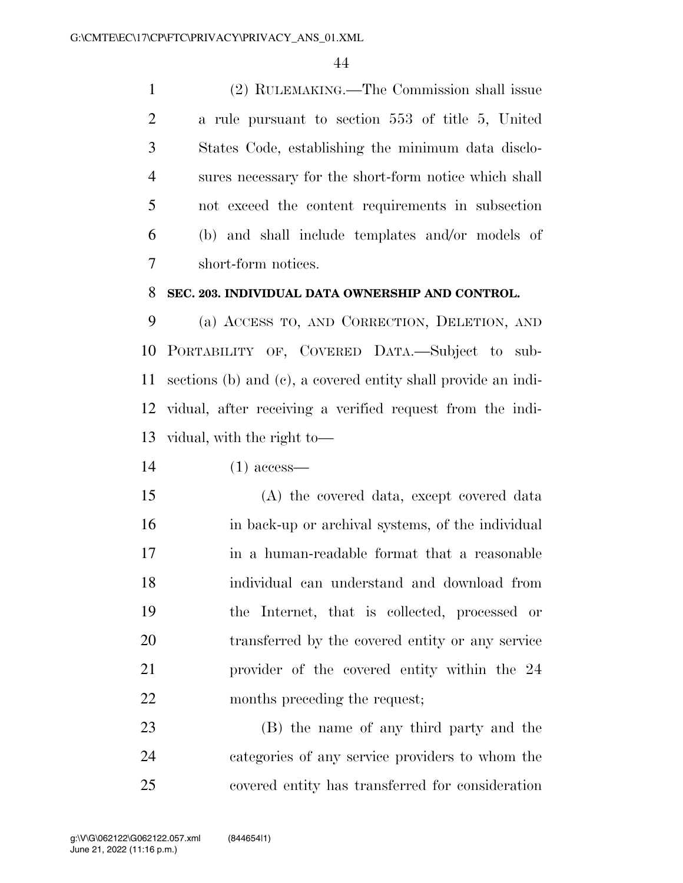(2) RULEMAKING.—The Commission shall issue a rule pursuant to section 553 of title 5, United States Code, establishing the minimum data disclo- sures necessary for the short-form notice which shall not exceed the content requirements in subsection (b) and shall include templates and/or models of short-form notices.

### **SEC. 203. INDIVIDUAL DATA OWNERSHIP AND CONTROL.**

 (a) ACCESS TO, AND CORRECTION, DELETION, AND PORTABILITY OF, COVERED DATA.—Subject to sub- sections (b) and (c), a covered entity shall provide an indi- vidual, after receiving a verified request from the indi-vidual, with the right to—

(1) access—

 (A) the covered data, except covered data in back-up or archival systems, of the individual in a human-readable format that a reasonable individual can understand and download from the Internet, that is collected, processed or transferred by the covered entity or any service provider of the covered entity within the 24 months preceding the request;

 (B) the name of any third party and the categories of any service providers to whom the covered entity has transferred for consideration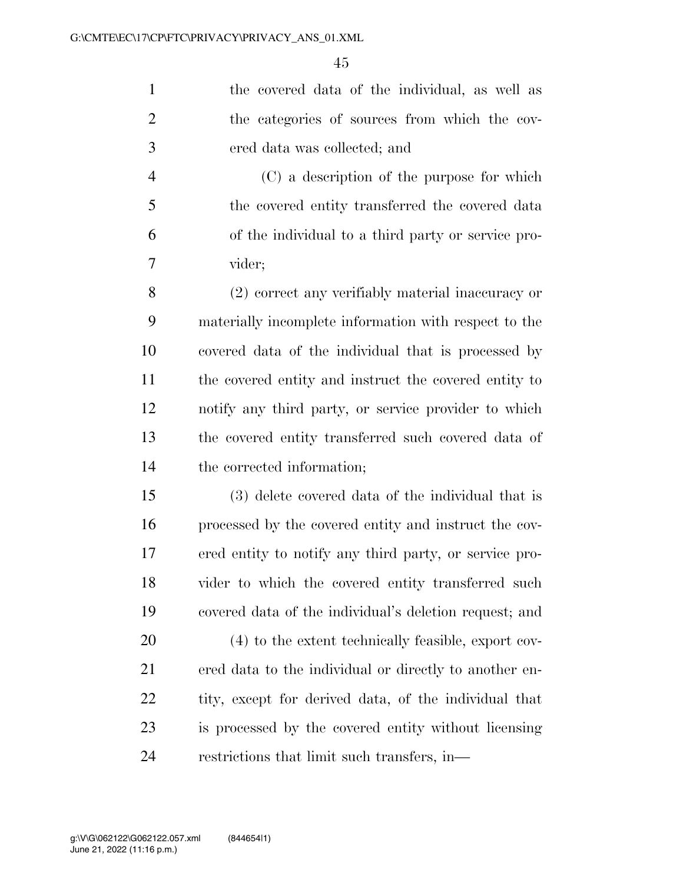the covered data of the individual, as well as 2 the categories of sources from which the cov-ered data was collected; and

 (C) a description of the purpose for which the covered entity transferred the covered data of the individual to a third party or service pro-vider;

 (2) correct any verifiably material inaccuracy or materially incomplete information with respect to the covered data of the individual that is processed by the covered entity and instruct the covered entity to notify any third party, or service provider to which the covered entity transferred such covered data of the corrected information;

 (3) delete covered data of the individual that is processed by the covered entity and instruct the cov- ered entity to notify any third party, or service pro- vider to which the covered entity transferred such covered data of the individual's deletion request; and

 (4) to the extent technically feasible, export cov- ered data to the individual or directly to another en-22 tity, except for derived data, of the individual that is processed by the covered entity without licensing restrictions that limit such transfers, in—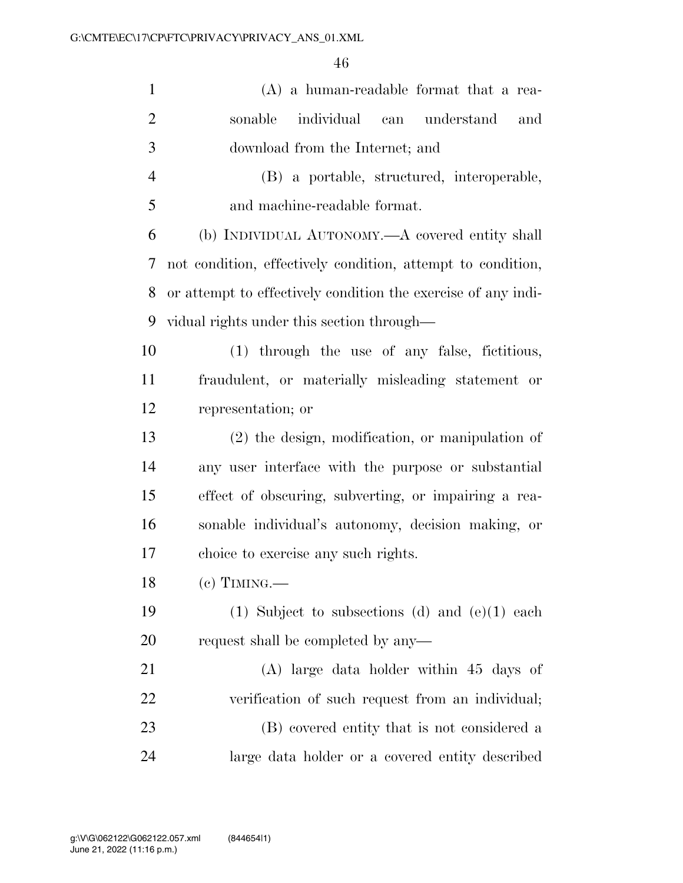| $\mathbf{1}$   | $(A)$ a human-readable format that a rea-                     |
|----------------|---------------------------------------------------------------|
| $\overline{2}$ | individual<br>can understand<br>sonable<br>and                |
| 3              | download from the Internet; and                               |
| $\overline{4}$ | (B) a portable, structured, interoperable,                    |
| 5              | and machine-readable format.                                  |
| 6              | (b) INDIVIDUAL AUTONOMY.—A covered entity shall               |
| 7              | not condition, effectively condition, attempt to condition,   |
| 8              | or attempt to effectively condition the exercise of any indi- |
| 9              | vidual rights under this section through—                     |
| 10             | (1) through the use of any false, fictitious,                 |
| 11             | fraudulent, or materially misleading statement or             |
| 12             | representation; or                                            |
| 13             | $(2)$ the design, modification, or manipulation of            |
| 14             | any user interface with the purpose or substantial            |
| 15             | effect of obscuring, subverting, or impairing a rea-          |
| 16             | sonable individual's autonomy, decision making, or            |
| 17             | choice to exercise any such rights.                           |
| 18             | $(c)$ TIMING.—                                                |
| 19             | (1) Subject to subsections (d) and $(e)(1)$ each              |
| 20             | request shall be completed by any—                            |
| 21             | $(A)$ large data holder within 45 days of                     |
| 22             | verification of such request from an individual;              |
| 23             | (B) covered entity that is not considered a                   |
| 24             | large data holder or a covered entity described               |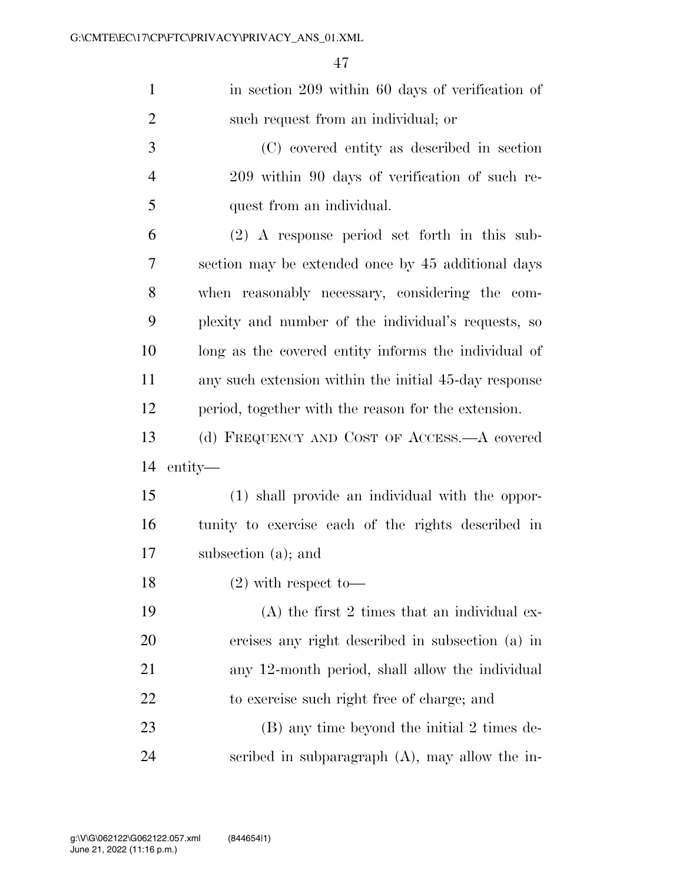| $\mathbf{1}$   | in section 209 within 60 days of verification of      |
|----------------|-------------------------------------------------------|
| $\overline{2}$ | such request from an individual; or                   |
| 3              | (C) covered entity as described in section            |
| $\overline{4}$ | 209 within 90 days of verification of such re-        |
| 5              | quest from an individual.                             |
| 6              | $(2)$ A response period set forth in this sub-        |
| 7              | section may be extended once by 45 additional days    |
| 8              | when reasonably necessary, considering the com-       |
| 9              | plexity and number of the individual's requests, so   |
| 10             | long as the covered entity informs the individual of  |
| 11             | any such extension within the initial 45-day response |
| 12             | period, together with the reason for the extension.   |
|                |                                                       |
| 13             | (d) FREQUENCY AND COST OF ACCESS.—A covered           |
| 14             | entity—                                               |
| 15             | (1) shall provide an individual with the oppor-       |
| 16             | tunity to exercise each of the rights described in    |
| 17             | subsection (a); and                                   |
| 18             | $(2)$ with respect to-                                |
| 19             | $(A)$ the first 2 times that an individual ex-        |
| 20             | ercises any right described in subsection (a) in      |
| 21             | any 12-month period, shall allow the individual       |
| <u>22</u>      | to exercise such right free of charge; and            |
| 23             | (B) any time beyond the initial 2 times de-           |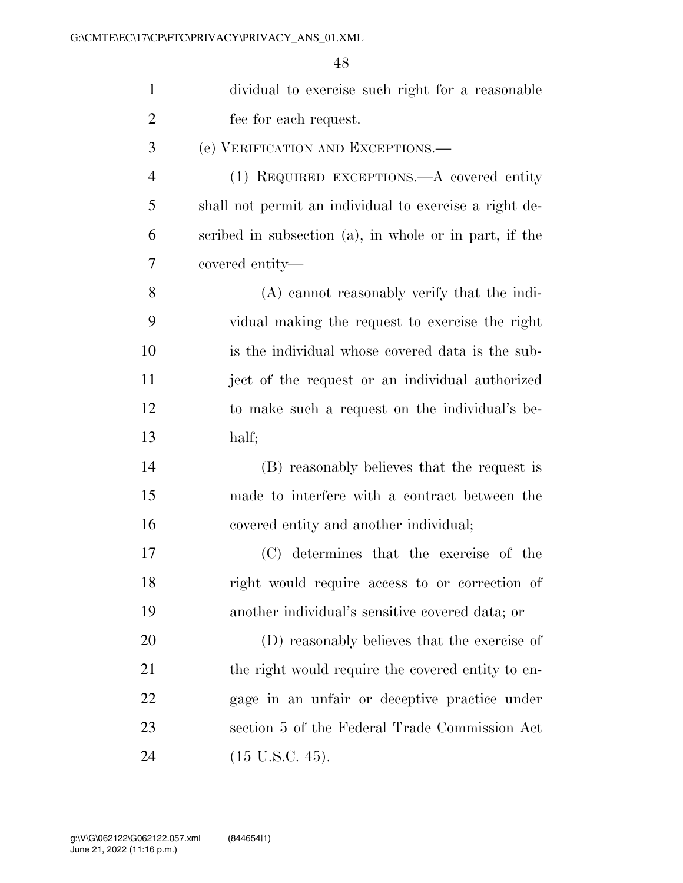| $\mathbf{1}$   | dividual to exercise such right for a reasonable       |
|----------------|--------------------------------------------------------|
| $\overline{2}$ | fee for each request.                                  |
| 3              | (e) VERIFICATION AND EXCEPTIONS.—                      |
| 4              | (1) REQUIRED EXCEPTIONS.—A covered entity              |
| 5              | shall not permit an individual to exercise a right de- |
| 6              | scribed in subsection (a), in whole or in part, if the |
| 7              | covered entity—                                        |
| 8              | (A) cannot reasonably verify that the indi-            |
| 9              | vidual making the request to exercise the right        |
| 10             | is the individual whose covered data is the sub-       |
| 11             | ject of the request or an individual authorized        |
| 12             | to make such a request on the individual's be-         |
| 13             | half;                                                  |
| 14             | (B) reasonably believes that the request is            |
| 15             | made to interfere with a contract between the          |
| 16             | covered entity and another individual;                 |
| 17             | (C) determines that the exercise of the                |
| 18             | right would require access to or correction of         |
| 19             | another individual's sensitive covered data; or        |
| <b>20</b>      | (D) reasonably believes that the exercise of           |
| 21             | the right would require the covered entity to en-      |
| 22             | gage in an unfair or deceptive practice under          |
| 23             | section 5 of the Federal Trade Commission Act          |
| 24             | $(15 \text{ U.S.C. } 45).$                             |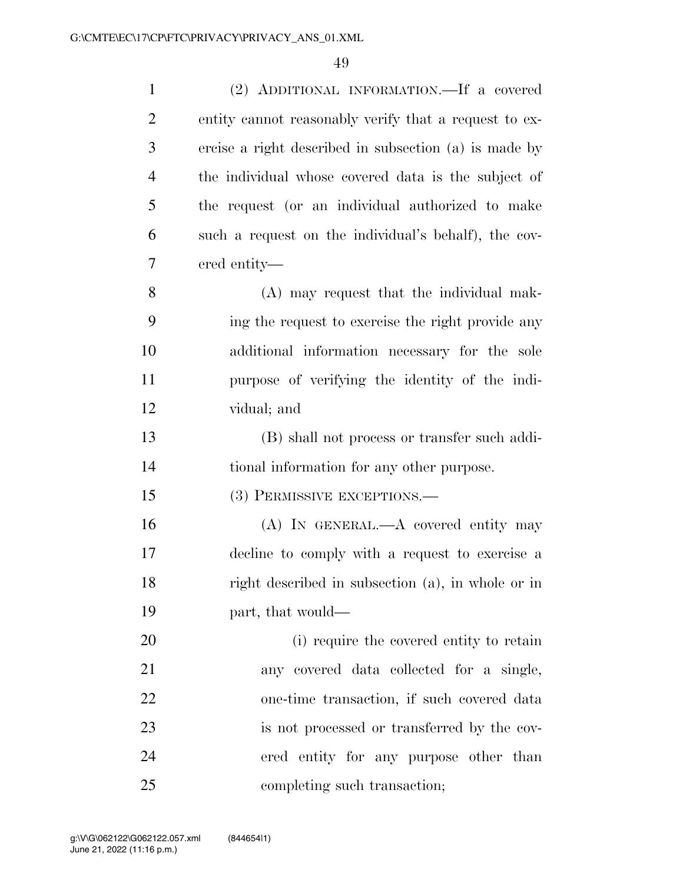| $\mathbf{1}$   | (2) ADDITIONAL INFORMATION.—If a covered              |
|----------------|-------------------------------------------------------|
| $\overline{2}$ | entity cannot reasonably verify that a request to ex- |
| 3              | ercise a right described in subsection (a) is made by |
| $\overline{4}$ | the individual whose covered data is the subject of   |
| 5              | the request (or an individual authorized to make      |
| 6              | such a request on the individual's behalf), the cov-  |
| 7              | ered entity—                                          |
| 8              | (A) may request that the individual mak-              |
| 9              | ing the request to exercise the right provide any     |
| 10             | additional information necessary for the sole         |
| 11             | purpose of verifying the identity of the indi-        |
| 12             | vidual; and                                           |
| 13             | (B) shall not process or transfer such addi-          |
| 14             | tional information for any other purpose.             |
| 15             | (3) PERMISSIVE EXCEPTIONS.-                           |
| 16             | (A) IN GENERAL.—A covered entity may                  |
| 17             | decline to comply with a request to exercise a        |
| 18             | right described in subsection (a), in whole or in     |
| 19             | part, that would—                                     |
| 20             | (i) require the covered entity to retain              |
| 21             | any covered data collected for a single,              |
| 22             | one-time transaction, if such covered data            |
| 23             | is not processed or transferred by the cov-           |
| 24             | ered entity for any purpose other than                |
| 25             | completing such transaction;                          |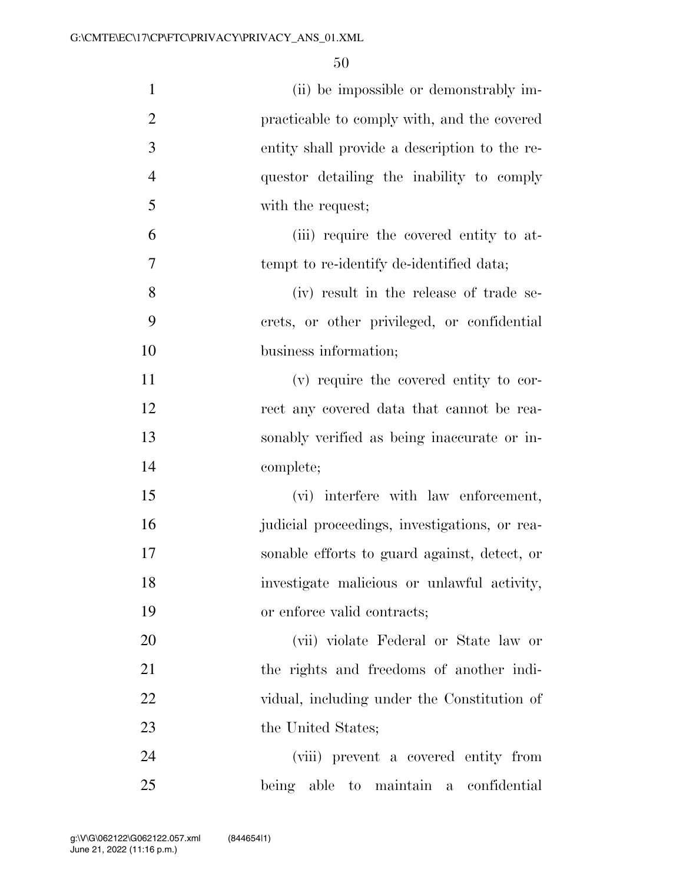| $\mathbf{1}$   | (ii) be impossible or demonstrably im-        |
|----------------|-----------------------------------------------|
| $\overline{2}$ | practicable to comply with, and the covered   |
| 3              | entity shall provide a description to the re- |
| $\overline{4}$ | questor detailing the inability to comply     |
| 5              | with the request;                             |
| 6              | (iii) require the covered entity to at-       |
| 7              | tempt to re-identify de-identified data;      |
| 8              | (iv) result in the release of trade se-       |
| 9              | crets, or other privileged, or confidential   |
| 10             | business information;                         |
| 11             | (v) require the covered entity to cor-        |
| 12             | rect any covered data that cannot be rea-     |
| 13             | sonably verified as being inaccurate or in-   |
| 14             | complete;                                     |
| 15             | (vi) interfere with law enforcement,          |
| 16             | judicial proceedings, investigations, or rea- |
| 17             | sonable efforts to guard against, detect, or  |
| 18             | investigate malicious or unlawful activity,   |
| 19             | or enforce valid contracts;                   |
| 20             | (vii) violate Federal or State law or         |
| 21             | the rights and freedoms of another indi-      |
| 22             | vidual, including under the Constitution of   |
| 23             | the United States;                            |
| 24             | (viii) prevent a covered entity from          |
| 25             | being able to maintain a confidential         |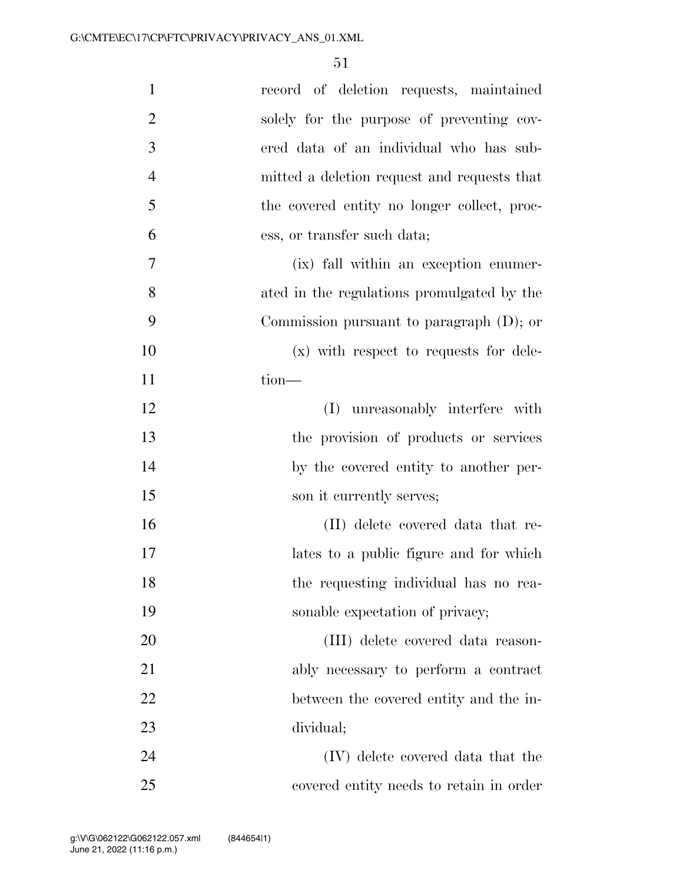| $\mathbf{1}$   | record of deletion requests, maintained     |
|----------------|---------------------------------------------|
| $\overline{2}$ | solely for the purpose of preventing cov-   |
| 3              | ered data of an individual who has sub-     |
| $\overline{4}$ | mitted a deletion request and requests that |
| 5              | the covered entity no longer collect, proc- |
| 6              | ess, or transfer such data;                 |
| 7              | (ix) fall within an exception enumer-       |
| 8              | ated in the regulations promulgated by the  |
| 9              | Commission pursuant to paragraph $(D)$ ; or |
| 10             | $(x)$ with respect to requests for dele-    |
| 11             | tion-                                       |
| 12             | unreasonably interfere with<br>(I)          |
| 13             | the provision of products or services       |
| 14             | by the covered entity to another per-       |
| 15             | son it currently serves;                    |
| 16             | (II) delete covered data that re-           |
| 17             | lates to a public figure and for which      |
| 18             | the requesting individual has no rea-       |
| 19             | sonable expectation of privacy;             |
| <b>20</b>      | (III) delete covered data reason-           |
| 21             | ably necessary to perform a contract        |
| 22             | between the covered entity and the in-      |
| 23             | dividual;                                   |
| 24             | (IV) delete covered data that the           |
| 25             | covered entity needs to retain in order     |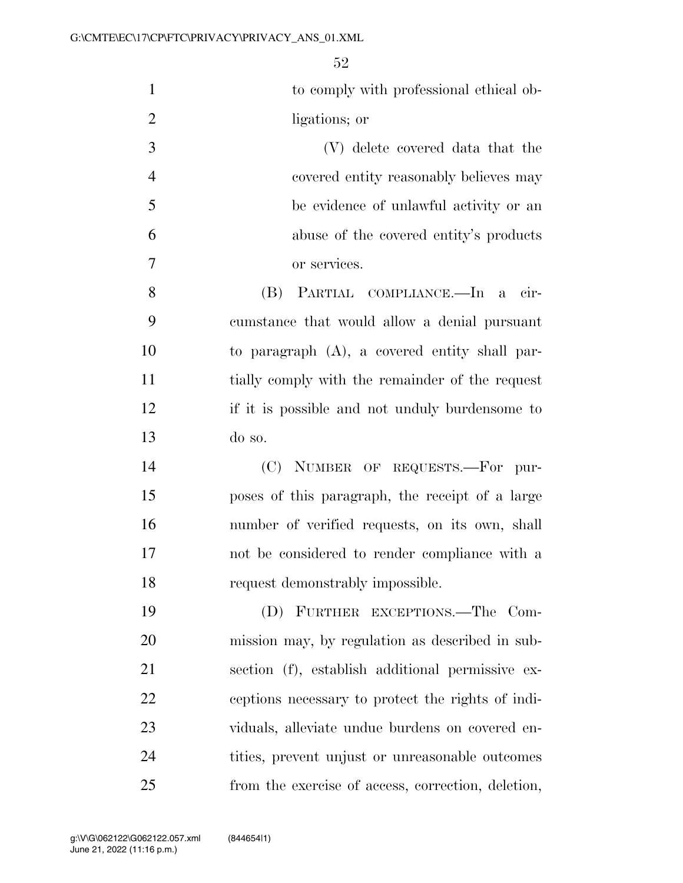| $\mathbf{1}$   | to comply with professional ethical ob-            |
|----------------|----------------------------------------------------|
| $\overline{2}$ | ligations; or                                      |
| 3              | (V) delete covered data that the                   |
| $\overline{4}$ | covered entity reasonably believes may             |
| 5              | be evidence of unlawful activity or an             |
| 6              | abuse of the covered entity's products             |
| 7              | or services.                                       |
| 8              | (B) PARTIAL COMPLIANCE.—In a cir-                  |
| 9              | cumstance that would allow a denial pursuant       |
| 10             | to paragraph $(A)$ , a covered entity shall par-   |
| 11             | tially comply with the remainder of the request    |
| 12             | if it is possible and not unduly burdensome to     |
| 13             | do so.                                             |
| 14             | (C) NUMBER OF REQUESTS.-For pur-                   |
| 15             | poses of this paragraph, the receipt of a large    |
| 16             | number of verified requests, on its own, shall     |
| 17             | not be considered to render compliance with a      |
| 18             | request demonstrably impossible.                   |
| 19             | (D) FURTHER EXCEPTIONS.—The Com-                   |
| 20             | mission may, by regulation as described in sub-    |
| 21             | section (f), establish additional permissive ex-   |
| 22             | ceptions necessary to protect the rights of indi-  |
| 23             | viduals, alleviate undue burdens on covered en-    |
| 24             | tities, prevent unjust or unreasonable outcomes    |
| 25             | from the exercise of access, correction, deletion, |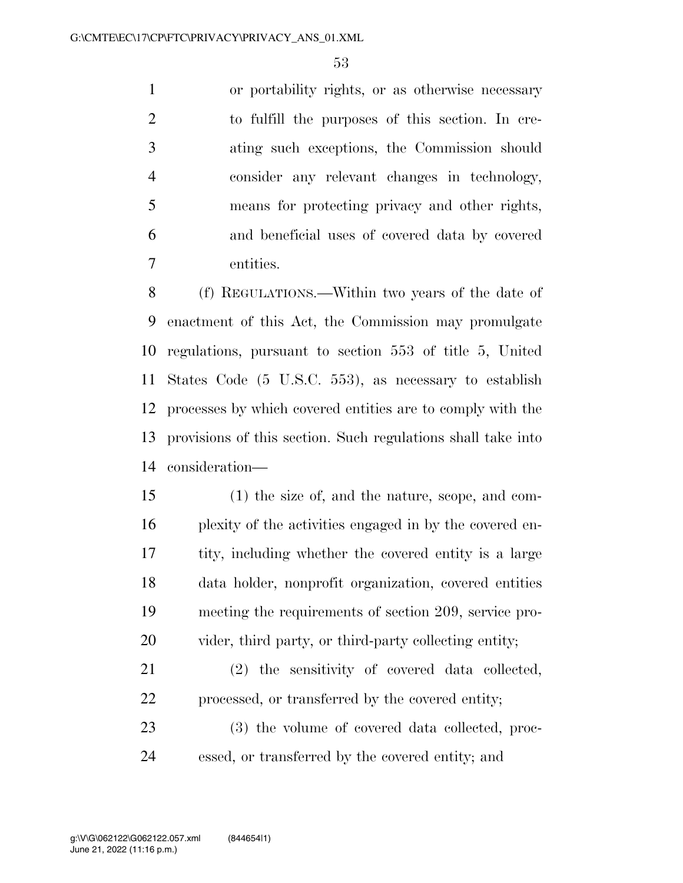or portability rights, or as otherwise necessary to fulfill the purposes of this section. In cre- ating such exceptions, the Commission should consider any relevant changes in technology, means for protecting privacy and other rights, and beneficial uses of covered data by covered entities.

 (f) REGULATIONS.—Within two years of the date of enactment of this Act, the Commission may promulgate regulations, pursuant to section 553 of title 5, United States Code (5 U.S.C. 553), as necessary to establish processes by which covered entities are to comply with the provisions of this section. Such regulations shall take into consideration—

 (1) the size of, and the nature, scope, and com- plexity of the activities engaged in by the covered en- tity, including whether the covered entity is a large data holder, nonprofit organization, covered entities meeting the requirements of section 209, service pro-vider, third party, or third-party collecting entity;

 (2) the sensitivity of covered data collected, processed, or transferred by the covered entity;

 (3) the volume of covered data collected, proc-essed, or transferred by the covered entity; and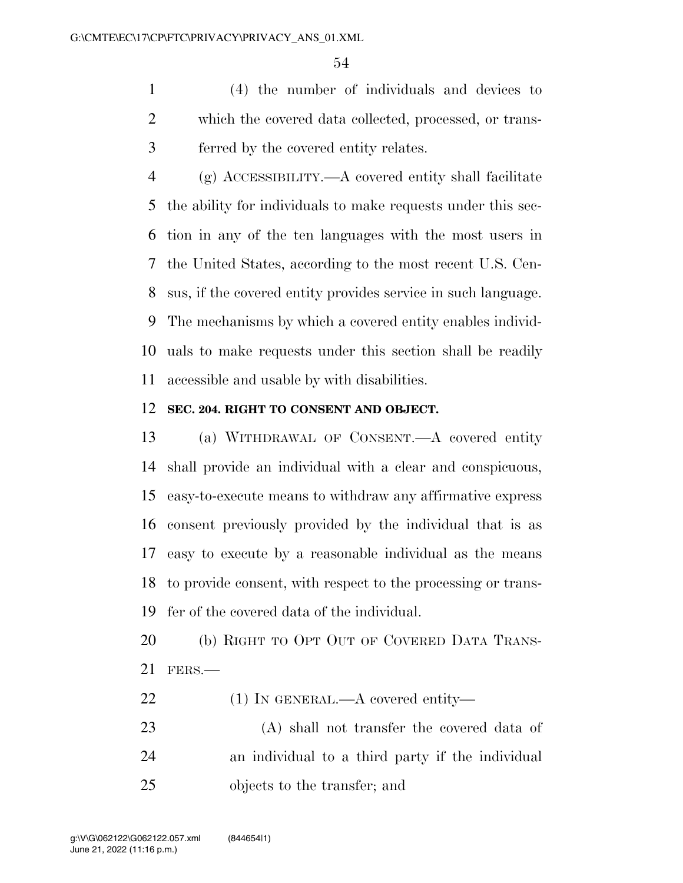(4) the number of individuals and devices to which the covered data collected, processed, or trans-ferred by the covered entity relates.

 (g) ACCESSIBILITY.—A covered entity shall facilitate the ability for individuals to make requests under this sec- tion in any of the ten languages with the most users in the United States, according to the most recent U.S. Cen- sus, if the covered entity provides service in such language. The mechanisms by which a covered entity enables individ- uals to make requests under this section shall be readily accessible and usable by with disabilities.

#### **SEC. 204. RIGHT TO CONSENT AND OBJECT.**

 (a) WITHDRAWAL OF CONSENT.—A covered entity shall provide an individual with a clear and conspicuous, easy-to-execute means to withdraw any affirmative express consent previously provided by the individual that is as easy to execute by a reasonable individual as the means to provide consent, with respect to the processing or trans-fer of the covered data of the individual.

 (b) RIGHT TO OPT OUT OF COVERED DATA TRANS-FERS.—

- 22 (1) IN GENERAL.—A covered entity—
- (A) shall not transfer the covered data of an individual to a third party if the individual objects to the transfer; and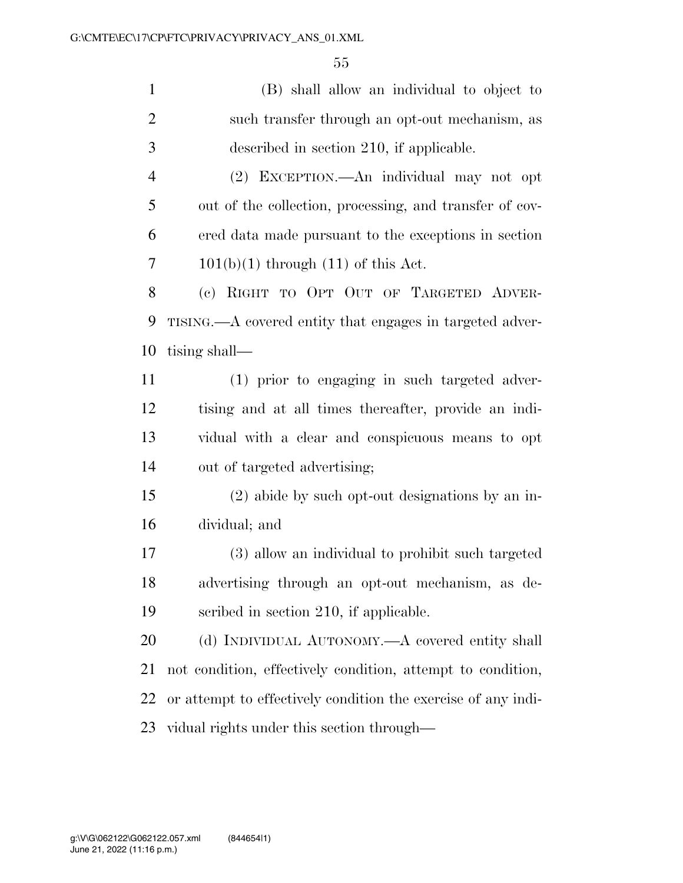| $\mathbf{1}$   | (B) shall allow an individual to object to                    |
|----------------|---------------------------------------------------------------|
| $\mathbf{2}$   | such transfer through an opt-out mechanism, as                |
| 3              | described in section 210, if applicable.                      |
| $\overline{4}$ | (2) EXCEPTION.—An individual may not opt                      |
| 5              | out of the collection, processing, and transfer of cov-       |
| 6              | ered data made pursuant to the exceptions in section          |
| 7              | $101(b)(1)$ through $(11)$ of this Act.                       |
| $8\,$          | (c) RIGHT TO OPT OUT OF TARGETED ADVER-                       |
| 9              | TISING.—A covered entity that engages in targeted adver-      |
| 10             | tising shall—                                                 |
| 11             | (1) prior to engaging in such targeted adver-                 |
| 12             | tising and at all times thereafter, provide an indi-          |
| 13             | vidual with a clear and conspicuous means to opt              |
| 14             | out of targeted advertising;                                  |
| 15             | (2) abide by such opt-out designations by an in-              |
| 16             | dividual; and                                                 |
| 17             | (3) allow an individual to prohibit such targeted             |
| 18             | advertising through an opt-out mechanism, as de-              |
| 19             | scribed in section 210, if applicable.                        |
| 20             | (d) INDIVIDUAL AUTONOMY.—A covered entity shall               |
| 21             | not condition, effectively condition, attempt to condition,   |
| 22             | or attempt to effectively condition the exercise of any indi- |
| 23             | vidual rights under this section through—                     |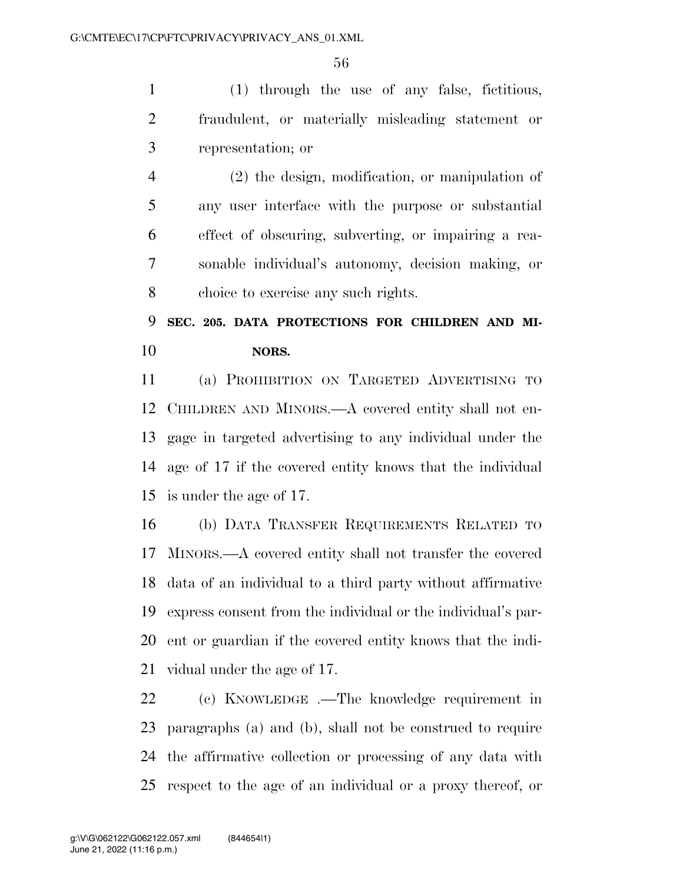(1) through the use of any false, fictitious, fraudulent, or materially misleading statement or representation; or

 (2) the design, modification, or manipulation of any user interface with the purpose or substantial effect of obscuring, subverting, or impairing a rea- sonable individual's autonomy, decision making, or choice to exercise any such rights.

# **SEC. 205. DATA PROTECTIONS FOR CHILDREN AND MI-NORS.**

 (a) PROHIBITION ON TARGETED ADVERTISING TO CHILDREN AND MINORS.—A covered entity shall not en- gage in targeted advertising to any individual under the age of 17 if the covered entity knows that the individual is under the age of 17.

 (b) DATA TRANSFER REQUIREMENTS RELATED TO MINORS.—A covered entity shall not transfer the covered data of an individual to a third party without affirmative express consent from the individual or the individual's par- ent or guardian if the covered entity knows that the indi-vidual under the age of 17.

 (c) KNOWLEDGE .—The knowledge requirement in paragraphs (a) and (b), shall not be construed to require the affirmative collection or processing of any data with respect to the age of an individual or a proxy thereof, or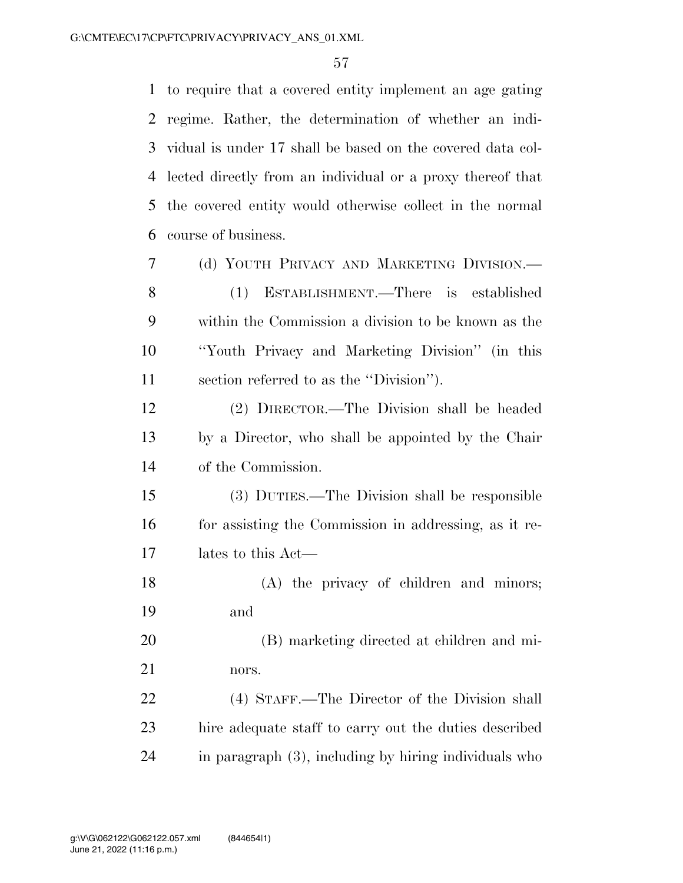to require that a covered entity implement an age gating regime. Rather, the determination of whether an indi- vidual is under 17 shall be based on the covered data col- lected directly from an individual or a proxy thereof that the covered entity would otherwise collect in the normal course of business.

 (d) YOUTH PRIVACY AND MARKETING DIVISION.— (1) ESTABLISHMENT.—There is established within the Commission a division to be known as the ''Youth Privacy and Marketing Division'' (in this section referred to as the ''Division''). (2) DIRECTOR.—The Division shall be headed by a Director, who shall be appointed by the Chair of the Commission. (3) DUTIES.—The Division shall be responsible for assisting the Commission in addressing, as it re-

lates to this Act—

 (A) the privacy of children and minors; and

 (B) marketing directed at children and mi-nors.

 (4) STAFF.—The Director of the Division shall hire adequate staff to carry out the duties described in paragraph (3), including by hiring individuals who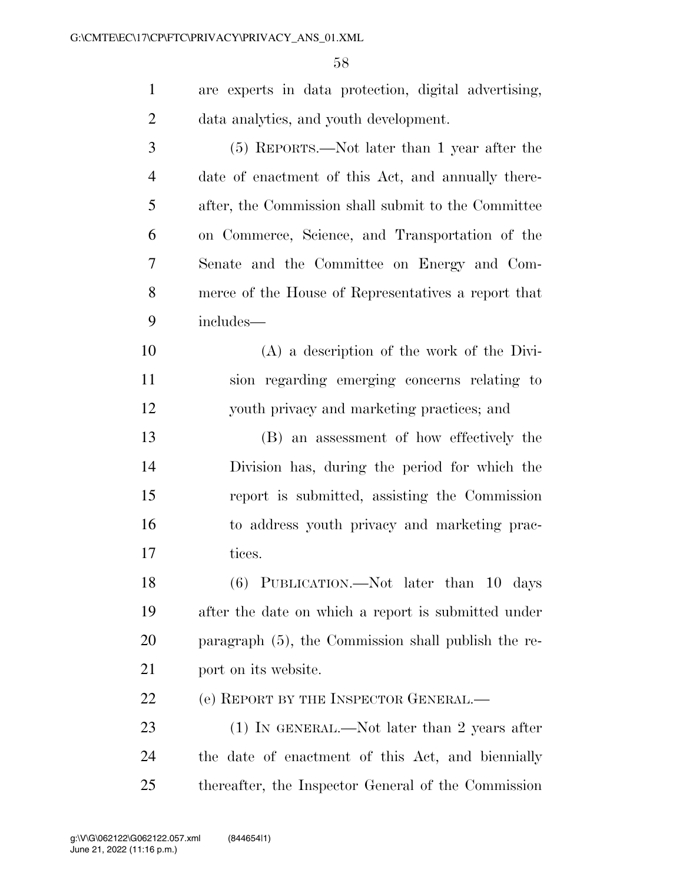| $\mathbf{1}$   | are experts in data protection, digital advertising, |
|----------------|------------------------------------------------------|
| $\overline{2}$ | data analytics, and youth development.               |
| 3              | (5) REPORTS.—Not later than 1 year after the         |
| $\overline{4}$ | date of enactment of this Act, and annually there-   |
| 5              | after, the Commission shall submit to the Committee  |
| 6              | on Commerce, Science, and Transportation of the      |
| 7              | Senate and the Committee on Energy and Com-          |
| 8              | merce of the House of Representatives a report that  |
| 9              | includes—                                            |
| 10             | $(A)$ a description of the work of the Divi-         |
| 11             | sion regarding emerging concerns relating to         |
| 12             | youth privacy and marketing practices; and           |
| 13             | (B) an assessment of how effectively the             |
| 14             | Division has, during the period for which the        |
| 15             | report is submitted, assisting the Commission        |
| 16             | to address youth privacy and marketing prac-         |
| 17             | tices.                                               |
| 18             | (6) PUBLICATION.—Not later than 10 days              |
| 19             | after the date on which a report is submitted under  |
| 20             | paragraph (5), the Commission shall publish the re-  |
| 21             | port on its website.                                 |
| 22             | (e) REPORT BY THE INSPECTOR GENERAL.—                |
| 23             | $(1)$ In GENERAL.—Not later than 2 years after       |
| 24             | the date of enactment of this Act, and biennially    |
| 25             | thereafter, the Inspector General of the Commission  |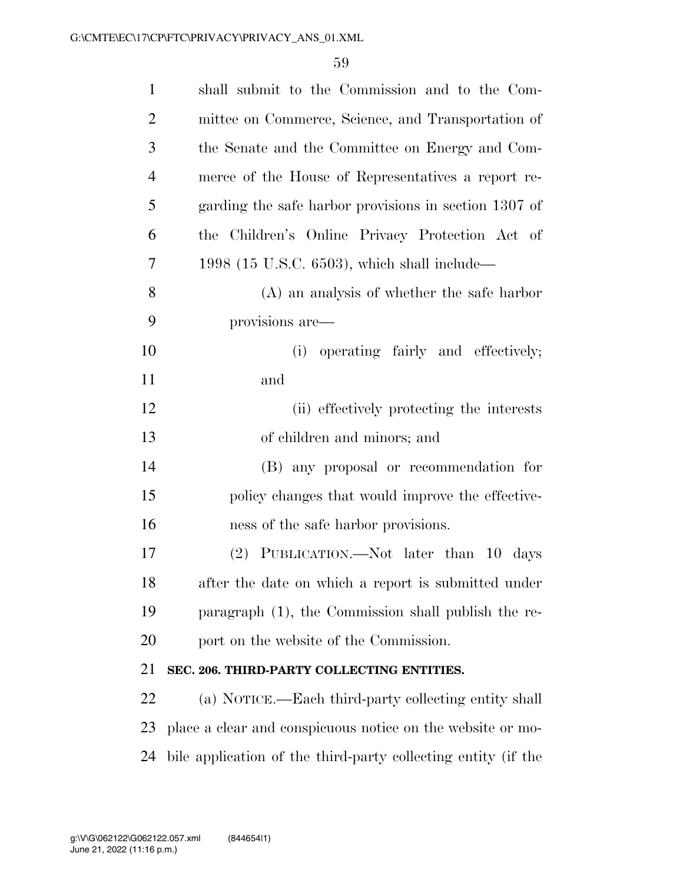| $\mathbf{1}$   | shall submit to the Commission and to the Com-                |
|----------------|---------------------------------------------------------------|
| $\overline{2}$ | mittee on Commerce, Science, and Transportation of            |
| 3              | the Senate and the Committee on Energy and Com-               |
| 4              | merce of the House of Representatives a report re-            |
| 5              | garding the safe harbor provisions in section 1307 of         |
| 6              | Children's Online Privacy Protection Act of<br>the            |
| 7              | 1998 (15 U.S.C. 6503), which shall include—                   |
| 8              | $(A)$ an analysis of whether the safe harbor                  |
| 9              | provisions are-                                               |
| 10             | operating fairly and effectively;<br>(i)                      |
| 11             | and                                                           |
| 12             | (ii) effectively protecting the interests                     |
| 13             | of children and minors; and                                   |
| 14             | (B) any proposal or recommendation for                        |
| 15             | policy changes that would improve the effective-              |
| 16             | ness of the safe harbor provisions.                           |
| 17             | (2) PUBLICATION.—Not later than 10 days                       |
| 18             | after the date on which a report is submitted under           |
| 19             | paragraph (1), the Commission shall publish the re-           |
| 20             | port on the website of the Commission.                        |
| 21             | SEC. 206. THIRD-PARTY COLLECTING ENTITIES.                    |
| 22             | (a) NOTICE.—Each third-party collecting entity shall          |
| 23             | place a clear and conspicuous notice on the website or mo-    |
| 24             | bile application of the third-party collecting entity (if the |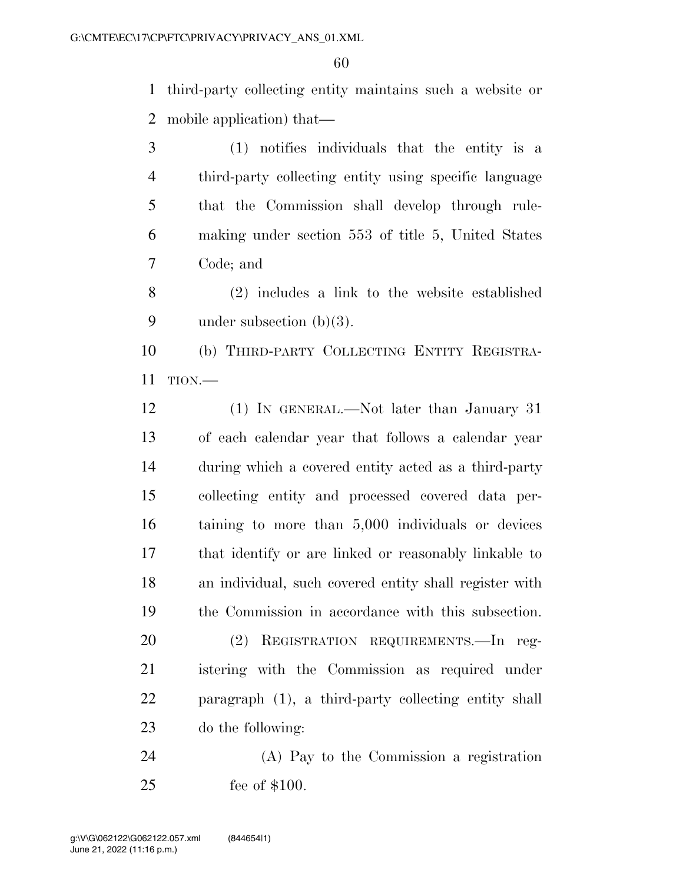third-party collecting entity maintains such a website or mobile application) that—

 (1) notifies individuals that the entity is a third-party collecting entity using specific language that the Commission shall develop through rule- making under section 553 of title 5, United States Code; and

 (2) includes a link to the website established under subsection (b)(3).

 (b) THIRD-PARTY COLLECTING ENTITY REGISTRA-TION.—

 (1) IN GENERAL.—Not later than January 31 of each calendar year that follows a calendar year during which a covered entity acted as a third-party collecting entity and processed covered data per- taining to more than 5,000 individuals or devices that identify or are linked or reasonably linkable to an individual, such covered entity shall register with the Commission in accordance with this subsection.

 (2) REGISTRATION REQUIREMENTS.—In reg- istering with the Commission as required under paragraph (1), a third-party collecting entity shall do the following:

 (A) Pay to the Commission a registration fee of \$100.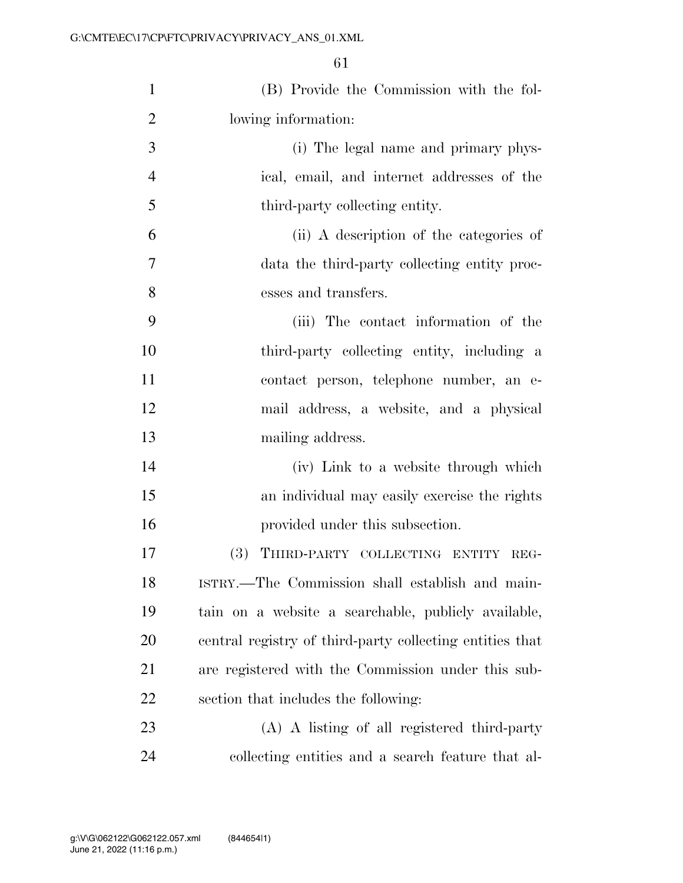| $\mathbf{1}$   | (B) Provide the Commission with the fol-                 |
|----------------|----------------------------------------------------------|
| $\overline{2}$ | lowing information:                                      |
| 3              | (i) The legal name and primary phys-                     |
| $\overline{4}$ | ical, email, and internet addresses of the               |
| 5              | third-party collecting entity.                           |
| 6              | (ii) A description of the categories of                  |
| $\overline{7}$ | data the third-party collecting entity proc-             |
| 8              | esses and transfers.                                     |
| 9              | (iii) The contact information of the                     |
| 10             | third-party collecting entity, including a               |
| 11             | contact person, telephone number, an e-                  |
| 12             | mail address, a website, and a physical                  |
| 13             | mailing address.                                         |
| 14             | (iv) Link to a website through which                     |
| 15             | an individual may easily exercise the rights             |
| 16             | provided under this subsection.                          |
| 17             | (3) THIRD-PARTY COLLECTING ENTITY REG-                   |
| 18             | ISTRY.—The Commission shall establish and main-          |
| 19             | tain on a website a searchable, publicly available,      |
| 20             | central registry of third-party collecting entities that |
| 21             | are registered with the Commission under this sub-       |
| 22             | section that includes the following:                     |
| 23             | (A) A listing of all registered third-party              |
| 24             | collecting entities and a search feature that al-        |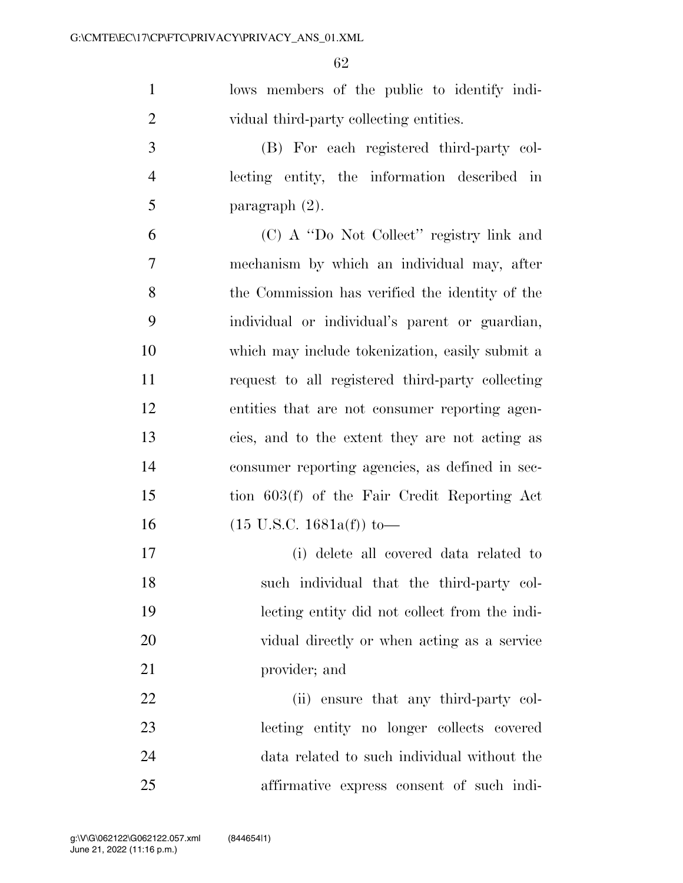lows members of the public to identify indi-vidual third-party collecting entities.

 (B) For each registered third-party col- lecting entity, the information described in 5 paragraph  $(2)$ .

 (C) A ''Do Not Collect'' registry link and mechanism by which an individual may, after the Commission has verified the identity of the individual or individual's parent or guardian, which may include tokenization, easily submit a request to all registered third-party collecting entities that are not consumer reporting agen- cies, and to the extent they are not acting as consumer reporting agencies, as defined in sec- tion 603(f) of the Fair Credit Reporting Act (15 U.S.C. 1681a(f)) to—

 (i) delete all covered data related to such individual that the third-party col- lecting entity did not collect from the indi- vidual directly or when acting as a service provider; and

22 (ii) ensure that any third-party col- lecting entity no longer collects covered data related to such individual without the affirmative express consent of such indi-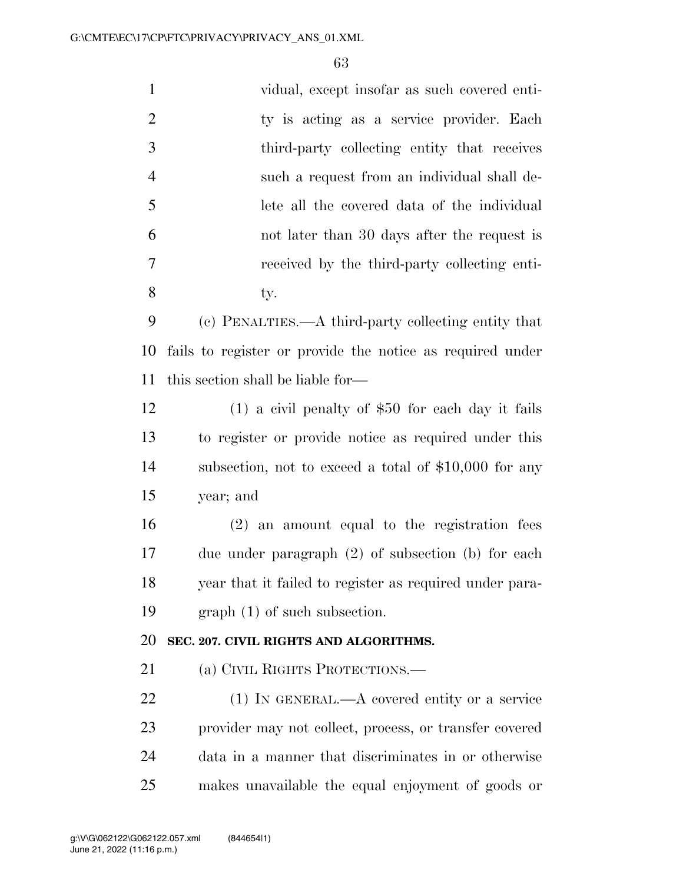| $\mathbf{1}$   | vidual, except insofar as such covered enti-              |
|----------------|-----------------------------------------------------------|
| $\overline{2}$ | ty is acting as a service provider. Each                  |
| 3              | third-party collecting entity that receives               |
| 4              | such a request from an individual shall de-               |
| 5              | lete all the covered data of the individual               |
| 6              | not later than 30 days after the request is               |
| 7              | received by the third-party collecting enti-              |
| 8              | ty.                                                       |
| 9              | (c) PENALTIES.—A third-party collecting entity that       |
| 10             | fails to register or provide the notice as required under |
| 11             | this section shall be liable for—                         |
| 12             | $(1)$ a civil penalty of \$50 for each day it fails       |
| 13             | to register or provide notice as required under this      |
| 14             | subsection, not to exceed a total of $$10,000$ for any    |
| 15             | year; and                                                 |
| 16             | $(2)$ an amount equal to the registration fees            |
| 17             | due under paragraph $(2)$ of subsection $(b)$ for each    |
| 18             | year that it failed to register as required under para-   |
| 19             | $graph(1)$ of such subsection.                            |
| 20             | SEC. 207. CIVIL RIGHTS AND ALGORITHMS.                    |
| 21             | (a) CIVIL RIGHTS PROTECTIONS.—                            |
| 22             | $(1)$ In GENERAL.—A covered entity or a service           |
| 23             | provider may not collect, process, or transfer covered    |
| 24             | data in a manner that discriminates in or otherwise       |
| 25             | makes unavailable the equal enjoyment of goods or         |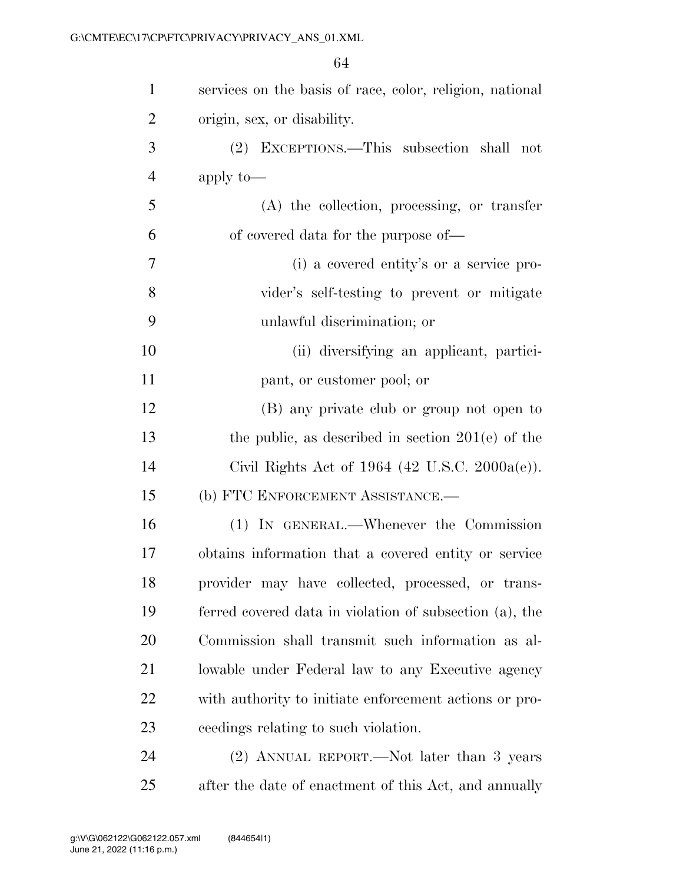| $\mathbf{1}$   | services on the basis of race, color, religion, national   |
|----------------|------------------------------------------------------------|
| $\overline{2}$ | origin, sex, or disability.                                |
| 3              | EXCEPTIONS.—This subsection shall not<br>(2)               |
| $\overline{4}$ | apply to-                                                  |
| 5              | $(A)$ the collection, processing, or transfer              |
| 6              | of covered data for the purpose of—                        |
| 7              | (i) a covered entity's or a service pro-                   |
| 8              | vider's self-testing to prevent or mitigate                |
| 9              | unlawful discrimination; or                                |
| 10             | (ii) diversifying an applicant, partici-                   |
| 11             | pant, or customer pool; or                                 |
| 12             | (B) any private club or group not open to                  |
| 13             | the public, as described in section $201(e)$ of the        |
| 14             | Civil Rights Act of 1964 $(42 \text{ U.S.C. } 2000a(e))$ . |
| 15             | (b) FTC ENFORCEMENT ASSISTANCE.-                           |
| 16             | (1) IN GENERAL.—Whenever the Commission                    |
| 17             | obtains information that a covered entity or service       |
| 18             | provider may have collected, processed, or trans-          |
| 19             | ferred covered data in violation of subsection (a), the    |
| 20             | Commission shall transmit such information as al-          |
| 21             | lowable under Federal law to any Executive agency          |
| 22             | with authority to initiate enforcement actions or pro-     |
| 23             | ceedings relating to such violation.                       |
| 24             | (2) ANNUAL REPORT.—Not later than 3 years                  |
| 25             | after the date of enactment of this Act, and annually      |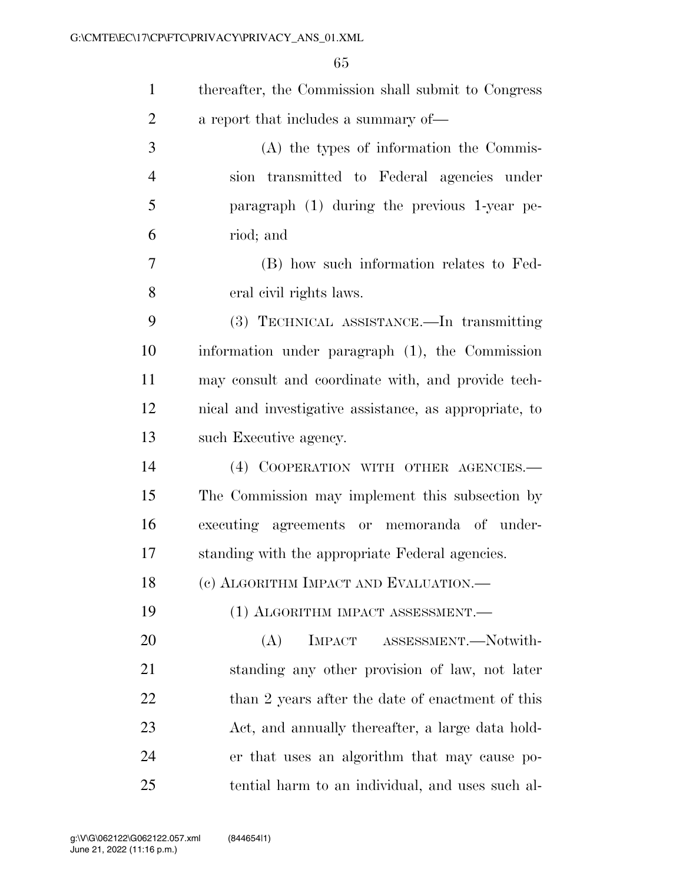| $\mathbf{1}$   | thereafter, the Commission shall submit to Congress    |
|----------------|--------------------------------------------------------|
| $\overline{2}$ | a report that includes a summary of—                   |
| 3              | (A) the types of information the Commis-               |
| $\overline{4}$ | sion transmitted to Federal agencies under             |
| 5              | paragraph (1) during the previous 1-year pe-           |
| 6              | riod; and                                              |
| 7              | (B) how such information relates to Fed-               |
| 8              | eral civil rights laws.                                |
| 9              | (3) TECHNICAL ASSISTANCE.—In transmitting              |
| 10             | information under paragraph (1), the Commission        |
| 11             | may consult and coordinate with, and provide tech-     |
| 12             | nical and investigative assistance, as appropriate, to |
| 13             | such Executive agency.                                 |
| 14             | (4) COOPERATION WITH OTHER AGENCIES.-                  |
| 15             | The Commission may implement this subsection by        |
| 16             | executing agreements or memoranda of under-            |
| 17             | standing with the appropriate Federal agencies.        |
| 18             | (c) ALGORITHM IMPACT AND EVALUATION.                   |
| 19             | (1) ALGORITHM IMPACT ASSESSMENT.                       |
| 20             | IMPACT ASSESSMENT.-Notwith-<br>(A)                     |
| 21             | standing any other provision of law, not later         |
| 22             | than 2 years after the date of enactment of this       |
| 23             | Act, and annually thereafter, a large data hold-       |
| 24             | er that uses an algorithm that may cause po-           |
| 25             | tential harm to an individual, and uses such al-       |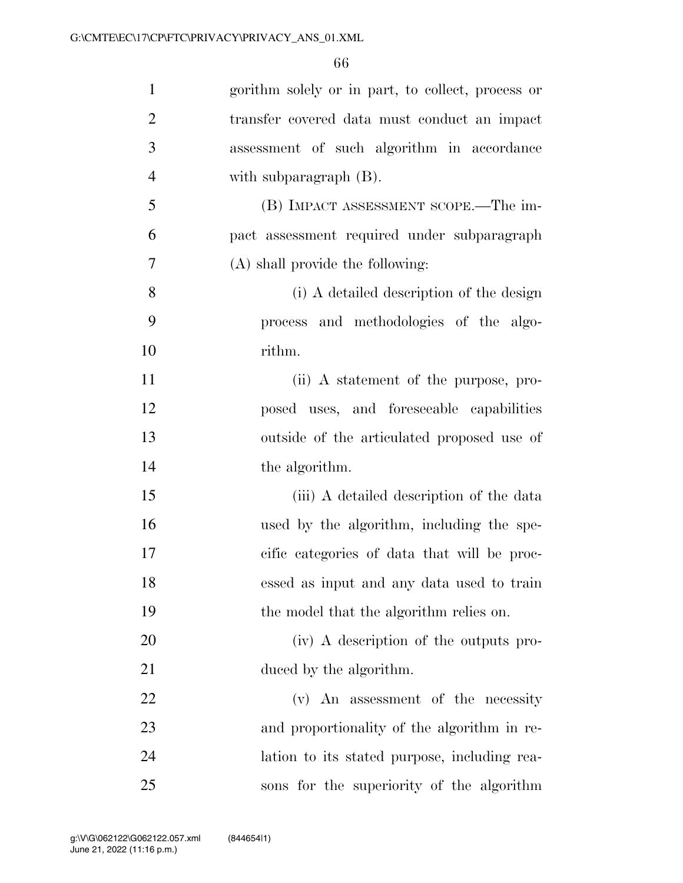| $\mathbf{1}$   | gorithm solely or in part, to collect, process or |
|----------------|---------------------------------------------------|
| $\overline{2}$ | transfer covered data must conduct an impact      |
| 3              | assessment of such algorithm in accordance        |
| $\overline{4}$ | with subparagraph $(B)$ .                         |
| 5              | (B) IMPACT ASSESSMENT SCOPE.—The im-              |
| 6              | pact assessment required under subparagraph       |
| 7              | (A) shall provide the following:                  |
| 8              | (i) A detailed description of the design          |
| 9              | process and methodologies of the algo-            |
| 10             | rithm.                                            |
| 11             | (ii) A statement of the purpose, pro-             |
| 12             | posed uses, and foreseeable capabilities          |
| 13             | outside of the articulated proposed use of        |
| 14             | the algorithm.                                    |
| 15             | (iii) A detailed description of the data          |
| 16             | used by the algorithm, including the spe-         |
| 17             | cific categories of data that will be proc-       |
| 18             | essed as input and any data used to train         |
| 19             | the model that the algorithm relies on.           |
| 20             | (iv) A description of the outputs pro-            |
| 21             | duced by the algorithm.                           |
| 22             | (v) An assessment of the necessity                |
| 23             | and proportionality of the algorithm in re-       |
| 24             | lation to its stated purpose, including rea-      |
| 25             | sons for the superiority of the algorithm         |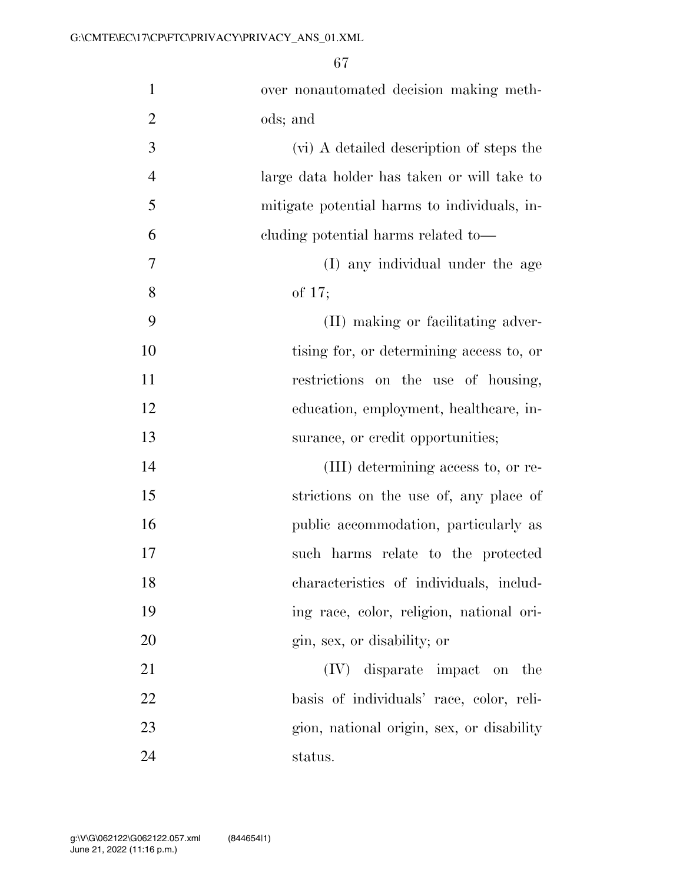| $\mathbf{1}$   | over nonautomated decision making meth-      |
|----------------|----------------------------------------------|
| $\overline{2}$ | ods; and                                     |
| 3              | (vi) A detailed description of steps the     |
| $\overline{4}$ | large data holder has taken or will take to  |
| 5              | mitigate potential harms to individuals, in- |
| 6              | cluding potential harms related to—          |
| 7              | (I) any individual under the age             |
| 8              | of $17;$                                     |
| 9              | (II) making or facilitating adver-           |
| 10             | tising for, or determining access to, or     |
| 11             | restrictions on the use of housing,          |
| 12             | education, employment, healthcare, in-       |
| 13             | surance, or credit opportunities;            |
| 14             | (III) determining access to, or re-          |
| 15             | strictions on the use of, any place of       |
| 16             | public accommodation, particularly as        |
| 17             | such harms relate to the protected           |
| 18             | characteristics of individuals, includ-      |
| 19             | ing race, color, religion, national ori-     |
| 20             | gin, sex, or disability; or                  |
| 21             | (IV) disparate impact on the                 |
| 22             | basis of individuals' race, color, reli-     |
| 23             | gion, national origin, sex, or disability    |
|                |                                              |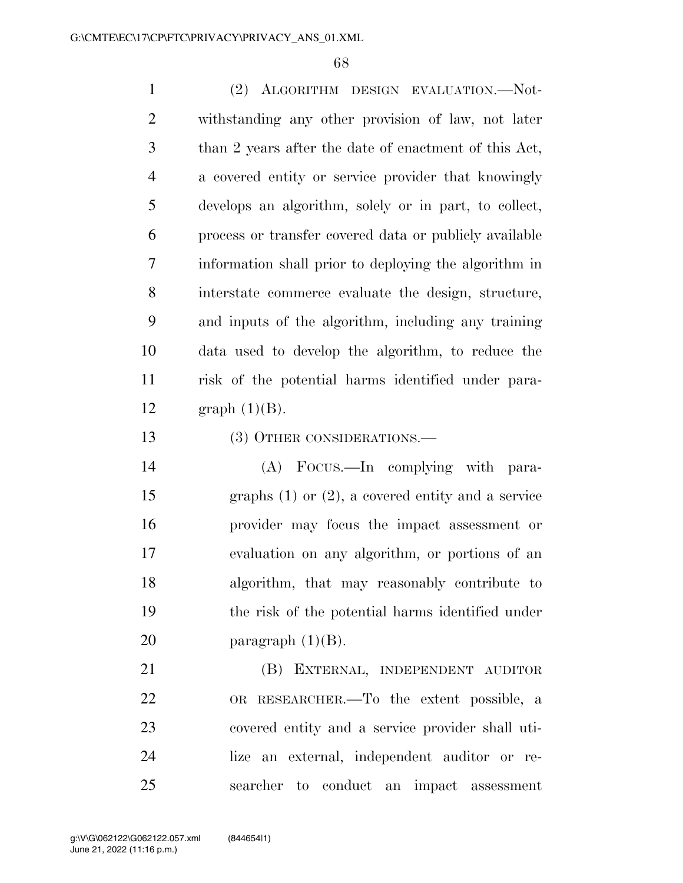(2) ALGORITHM DESIGN EVALUATION.—Not- withstanding any other provision of law, not later than 2 years after the date of enactment of this Act, a covered entity or service provider that knowingly develops an algorithm, solely or in part, to collect, process or transfer covered data or publicly available information shall prior to deploying the algorithm in interstate commerce evaluate the design, structure, and inputs of the algorithm, including any training data used to develop the algorithm, to reduce the risk of the potential harms identified under para-12 graph  $(1)(B)$ .

(3) OTHER CONSIDERATIONS.—

 (A) FOCUS.—In complying with para- graphs (1) or (2), a covered entity and a service provider may focus the impact assessment or evaluation on any algorithm, or portions of an algorithm, that may reasonably contribute to the risk of the potential harms identified under 20 paragraph  $(1)(B)$ .

 (B) EXTERNAL, INDEPENDENT AUDITOR OR RESEARCHER.—To the extent possible, a covered entity and a service provider shall uti- lize an external, independent auditor or re-searcher to conduct an impact assessment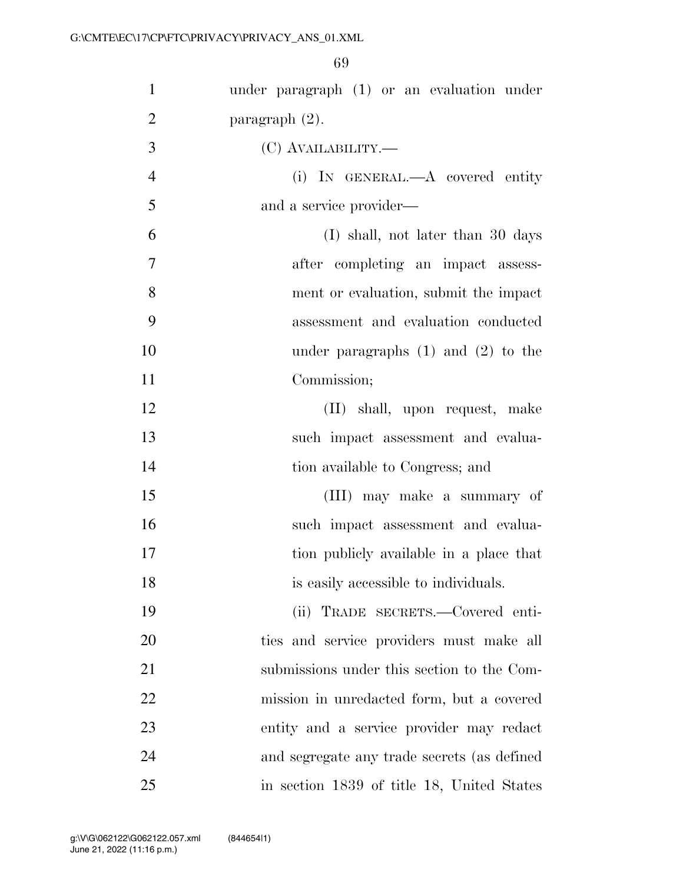| $\mathbf{1}$   | under paragraph (1) or an evaluation under  |
|----------------|---------------------------------------------|
| $\overline{2}$ | paragraph $(2)$ .                           |
| 3              | (C) AVAILABILITY.—                          |
| $\overline{4}$ | (i) IN GENERAL.—A covered entity            |
| 5              | and a service provider—                     |
| 6              | (I) shall, not later than 30 days           |
| $\overline{7}$ | after completing an impact assess-          |
| 8              | ment or evaluation, submit the impact       |
| 9              | assessment and evaluation conducted         |
| 10             | under paragraphs $(1)$ and $(2)$ to the     |
| 11             | Commission;                                 |
| 12             | (II) shall, upon request, make              |
| 13             | such impact assessment and evalua-          |
| 14             | tion available to Congress; and             |
| 15             | (III) may make a summary of                 |
| 16             | such impact assessment and evalua-          |
| 17             | tion publicly available in a place that     |
| 18             | is easily accessible to individuals.        |
| 19             | (ii) TRADE SECRETS.—Covered enti-           |
| 20             | ties and service providers must make all    |
| 21             | submissions under this section to the Com-  |
| 22             | mission in unredacted form, but a covered   |
| 23             | entity and a service provider may redact    |
| 24             | and segregate any trade secrets (as defined |
| 25             | in section 1839 of title 18, United States  |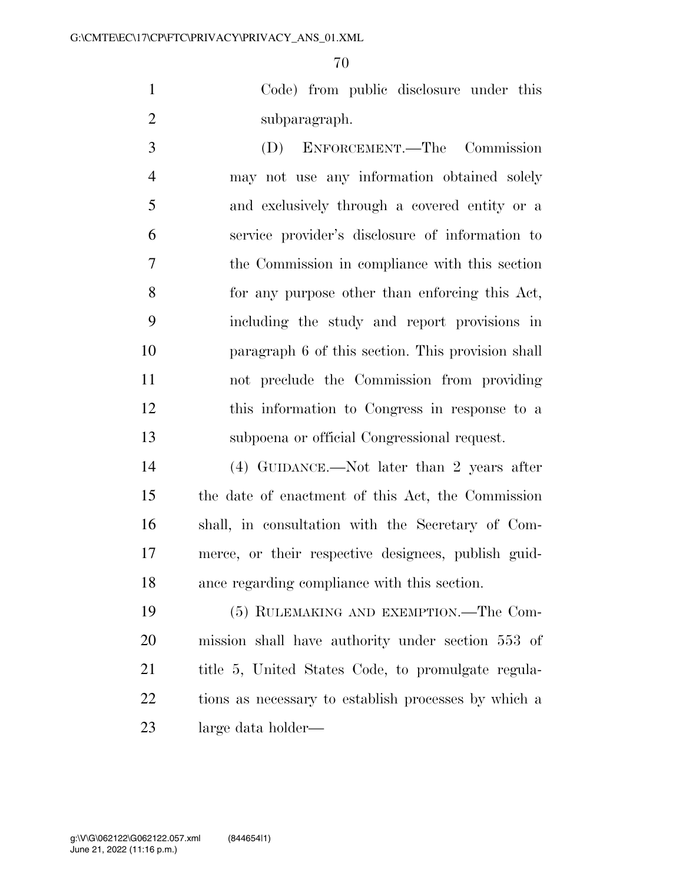Code) from public disclosure under this subparagraph.

 (D) ENFORCEMENT.—The Commission may not use any information obtained solely and exclusively through a covered entity or a service provider's disclosure of information to the Commission in compliance with this section for any purpose other than enforcing this Act, including the study and report provisions in paragraph 6 of this section. This provision shall not preclude the Commission from providing this information to Congress in response to a subpoena or official Congressional request.

 (4) GUIDANCE.—Not later than 2 years after the date of enactment of this Act, the Commission shall, in consultation with the Secretary of Com- merce, or their respective designees, publish guid-ance regarding compliance with this section.

 (5) RULEMAKING AND EXEMPTION.—The Com- mission shall have authority under section 553 of title 5, United States Code, to promulgate regula- tions as necessary to establish processes by which a large data holder—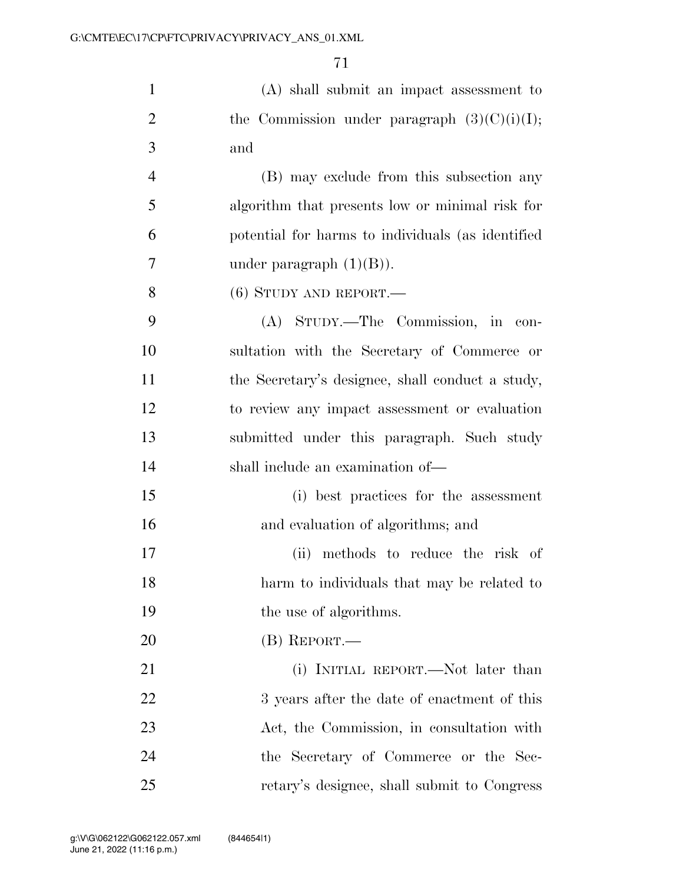| $\mathbf{1}$   | $(A)$ shall submit an impact assessment to        |
|----------------|---------------------------------------------------|
| $\overline{2}$ | the Commission under paragraph $(3)(C)(i)(I);$    |
| 3              | and                                               |
| $\overline{4}$ | (B) may exclude from this subsection any          |
| 5              | algorithm that presents low or minimal risk for   |
| 6              | potential for harms to individuals (as identified |
| 7              | under paragraph $(1)(B)$ ).                       |
| 8              | $(6)$ STUDY AND REPORT.—                          |
| 9              | (A) STUDY.—The Commission, in con-                |
| 10             | sultation with the Secretary of Commerce or       |
| 11             | the Secretary's designee, shall conduct a study,  |
| 12             | to review any impact assessment or evaluation     |
| 13             | submitted under this paragraph. Such study        |
| 14             | shall include an examination of-                  |
| 15             | (i) best practices for the assessment             |
| 16             | and evaluation of algorithms; and                 |
| 17             | methods to reduce the risk of<br>(ii)             |
| 18             | harm to individuals that may be related to        |
| 19             | the use of algorithms.                            |
| 20             | $(B)$ REPORT.—                                    |
| 21             | (i) INITIAL REPORT.—Not later than                |
| 22             | 3 years after the date of enactment of this       |
| 23             | Act, the Commission, in consultation with         |
| 24             | the Secretary of Commerce or the Sec-             |
| 25             | retary's designee, shall submit to Congress       |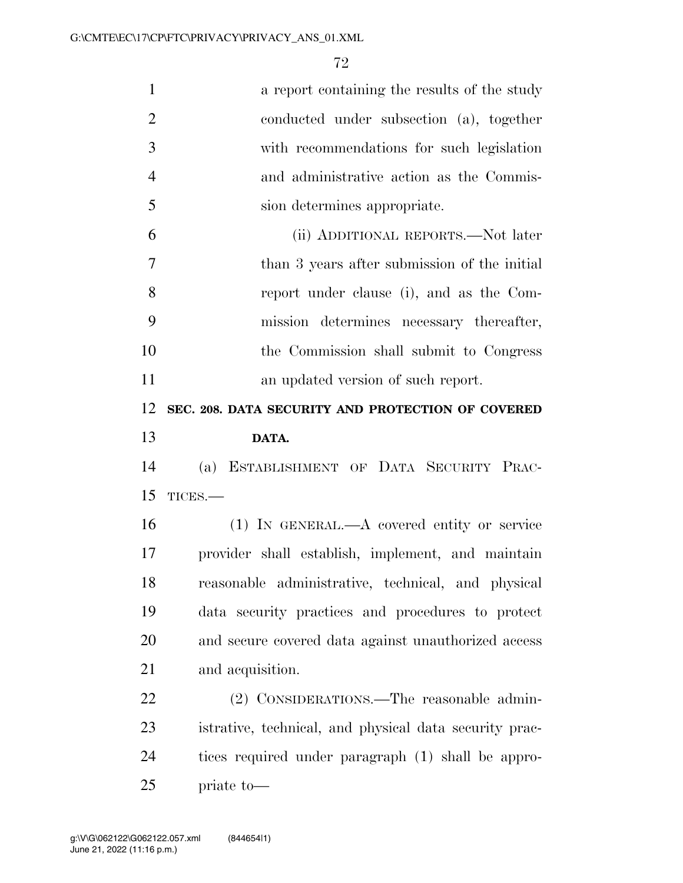| $\mathbf{1}$   | a report containing the results of the study           |
|----------------|--------------------------------------------------------|
| $\overline{2}$ | conducted under subsection (a), together               |
| 3              | with recommendations for such legislation              |
| $\overline{4}$ | and administrative action as the Commis-               |
| 5              | sion determines appropriate.                           |
| 6              | (ii) ADDITIONAL REPORTS.—Not later                     |
| $\overline{7}$ | than 3 years after submission of the initial           |
| 8              | report under clause (i), and as the Com-               |
| 9              | mission determines necessary thereafter,               |
| 10             | the Commission shall submit to Congress                |
| 11             | an updated version of such report.                     |
| 12             | SEC. 208. DATA SECURITY AND PROTECTION OF COVERED      |
| 13             | DATA.                                                  |
| 14             | ESTABLISHMENT OF DATA SECURITY PRAC-<br>(a)            |
| 15             | TICES.-                                                |
| 16             | $(1)$ IN GENERAL.—A covered entity or service          |
| 17             | provider shall establish, implement, and maintain      |
| 18             | reasonable administrative, technical, and physical     |
| 19             | data security practices and procedures to protect      |
| 20             | and secure covered data against unauthorized access    |
| 21             | and acquisition.                                       |
| 22             | (2) CONSIDERATIONS.—The reasonable admin-              |
| 23             | istrative, technical, and physical data security prac- |
| 24             | tices required under paragraph (1) shall be appro-     |
| 25             | priate to-                                             |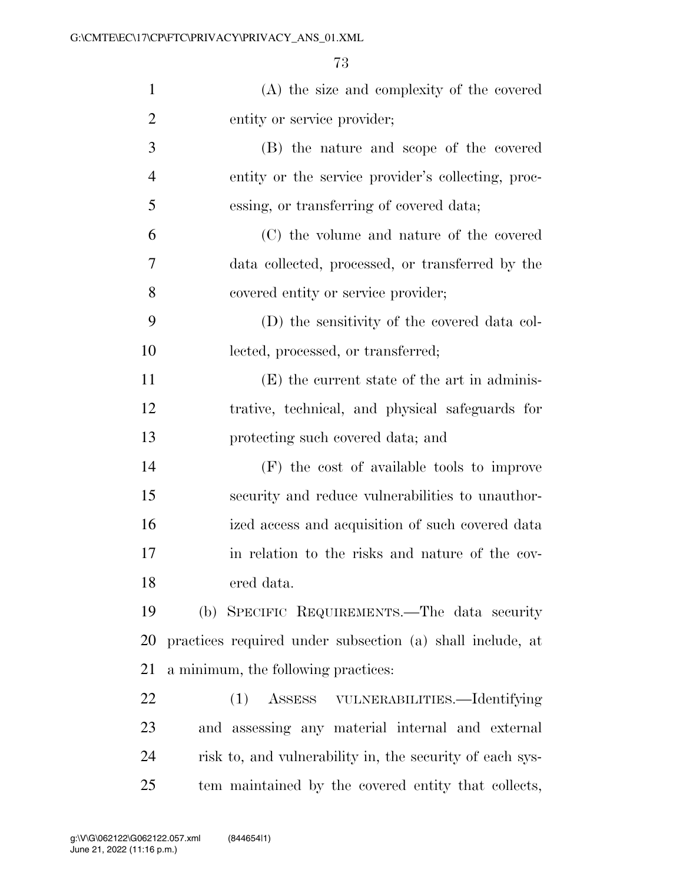| $\mathbf{1}$   | (A) the size and complexity of the covered                |
|----------------|-----------------------------------------------------------|
| $\overline{2}$ | entity or service provider;                               |
| 3              | (B) the nature and scope of the covered                   |
| 4              | entity or the service provider's collecting, proc-        |
| 5              | essing, or transferring of covered data;                  |
| 6              | (C) the volume and nature of the covered                  |
| 7              | data collected, processed, or transferred by the          |
| 8              | covered entity or service provider;                       |
| 9              | (D) the sensitivity of the covered data col-              |
| 10             | lected, processed, or transferred;                        |
| 11             | (E) the current state of the art in adminis-              |
| 12             | trative, technical, and physical safeguards for           |
| 13             | protecting such covered data; and                         |
| 14             | (F) the cost of available tools to improve                |
| 15             | security and reduce vulnerabilities to unauthor-          |
| 16             | ized access and acquisition of such covered data          |
| 17             | in relation to the risks and nature of the cov-           |
| 18             | ered data.                                                |
| 19             | (b) SPECIFIC REQUIREMENTS.—The data security              |
| <b>20</b>      | practices required under subsection (a) shall include, at |
| 21             | a minimum, the following practices:                       |
| 22             | ASSESS VULNERABILITIES.—Identifying<br>(1)                |
| 23             | and assessing any material internal and external          |
| 24             | risk to, and vulnerability in, the security of each sys-  |
| 25             | tem maintained by the covered entity that collects,       |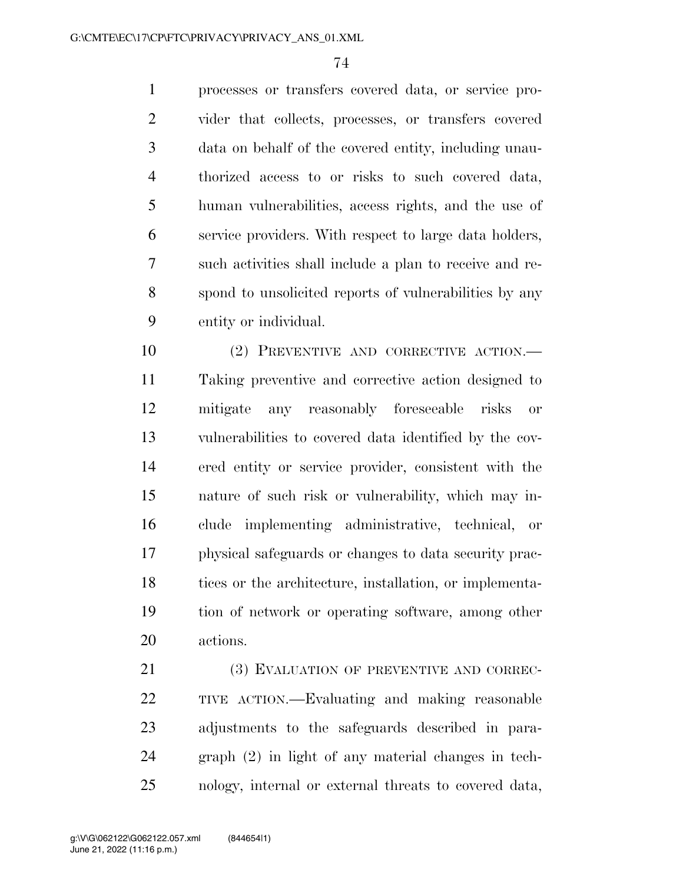processes or transfers covered data, or service pro- vider that collects, processes, or transfers covered data on behalf of the covered entity, including unau- thorized access to or risks to such covered data, human vulnerabilities, access rights, and the use of service providers. With respect to large data holders, such activities shall include a plan to receive and re- spond to unsolicited reports of vulnerabilities by any entity or individual.

 (2) PREVENTIVE AND CORRECTIVE ACTION.— Taking preventive and corrective action designed to mitigate any reasonably foreseeable risks or vulnerabilities to covered data identified by the cov- ered entity or service provider, consistent with the nature of such risk or vulnerability, which may in- clude implementing administrative, technical, or physical safeguards or changes to data security prac- tices or the architecture, installation, or implementa- tion of network or operating software, among other actions.

21 (3) EVALUATION OF PREVENTIVE AND CORREC- TIVE ACTION.—Evaluating and making reasonable adjustments to the safeguards described in para- graph (2) in light of any material changes in tech-nology, internal or external threats to covered data,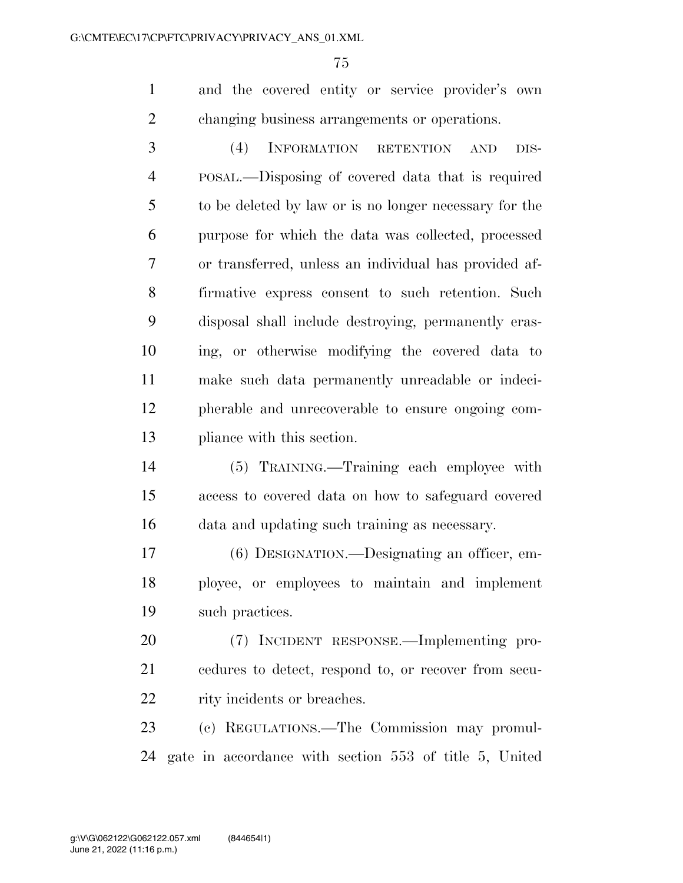and the covered entity or service provider's own changing business arrangements or operations.

 (4) INFORMATION RETENTION AND DIS- POSAL.—Disposing of covered data that is required to be deleted by law or is no longer necessary for the purpose for which the data was collected, processed or transferred, unless an individual has provided af- firmative express consent to such retention. Such disposal shall include destroying, permanently eras- ing, or otherwise modifying the covered data to make such data permanently unreadable or indeci- pherable and unrecoverable to ensure ongoing com-pliance with this section.

 (5) TRAINING.—Training each employee with access to covered data on how to safeguard covered data and updating such training as necessary.

 (6) DESIGNATION.—Designating an officer, em- ployee, or employees to maintain and implement such practices.

 (7) INCIDENT RESPONSE.—Implementing pro- cedures to detect, respond to, or recover from secu-22 rity incidents or breaches.

 (c) REGULATIONS.—The Commission may promul-gate in accordance with section 553 of title 5, United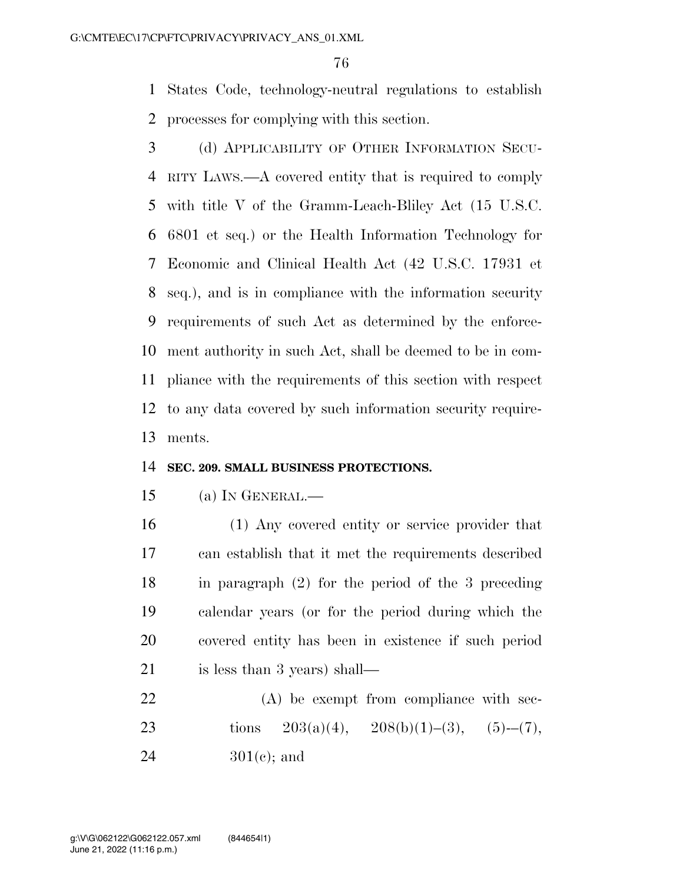States Code, technology-neutral regulations to establish processes for complying with this section.

 (d) APPLICABILITY OF OTHER INFORMATION SECU- RITY LAWS.—A covered entity that is required to comply with title V of the Gramm-Leach-Bliley Act (15 U.S.C. 6801 et seq.) or the Health Information Technology for Economic and Clinical Health Act (42 U.S.C. 17931 et seq.), and is in compliance with the information security requirements of such Act as determined by the enforce- ment authority in such Act, shall be deemed to be in com- pliance with the requirements of this section with respect to any data covered by such information security require-ments.

#### **SEC. 209. SMALL BUSINESS PROTECTIONS.**

- (a) IN GENERAL.—
- (1) Any covered entity or service provider that can establish that it met the requirements described in paragraph (2) for the period of the 3 preceding calendar years (or for the period during which the covered entity has been in existence if such period is less than 3 years) shall—
- 22 (A) be exempt from compliance with sec-23 tions  $203(a)(4)$ ,  $208(b)(1)–(3)$ ,  $(5)–(7)$ , 24  $301(e)$ ; and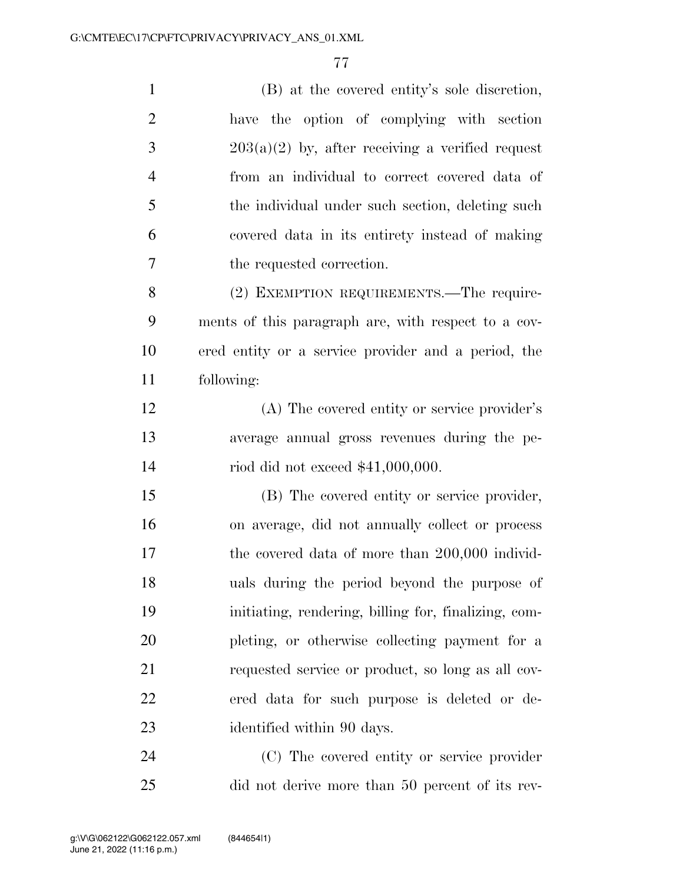| $\mathbf{1}$   | (B) at the covered entity's sole discretion,         |
|----------------|------------------------------------------------------|
| $\overline{2}$ | have the option of complying with section            |
| 3              | $203(a)(2)$ by, after receiving a verified request   |
| $\overline{4}$ | from an individual to correct covered data of        |
| 5              | the individual under such section, deleting such     |
| 6              | covered data in its entirety instead of making       |
| $\tau$         | the requested correction.                            |
| 8              | (2) EXEMPTION REQUIREMENTS.—The require-             |
| 9              | ments of this paragraph are, with respect to a cov-  |
| 10             | ered entity or a service provider and a period, the  |
| 11             | following:                                           |
| 12             | (A) The covered entity or service provider's         |
| 13             | average annual gross revenues during the pe-         |
| 14             | riod did not exceed $$41,000,000$ .                  |
| 15             | (B) The covered entity or service provider,          |
| 16             | on average, did not annually collect or process      |
| 17             | the covered data of more than 200,000 individ-       |
| 18             | uals during the period beyond the purpose of         |
| 19             | initiating, rendering, billing for, finalizing, com- |
| 20             | pleting, or otherwise collecting payment for a       |
| 21             | requested service or product, so long as all cov-    |
| 22             | ered data for such purpose is deleted or de-         |
| 23             | identified within 90 days.                           |
| 24             | (C) The covered entity or service provider           |

did not derive more than 50 percent of its rev-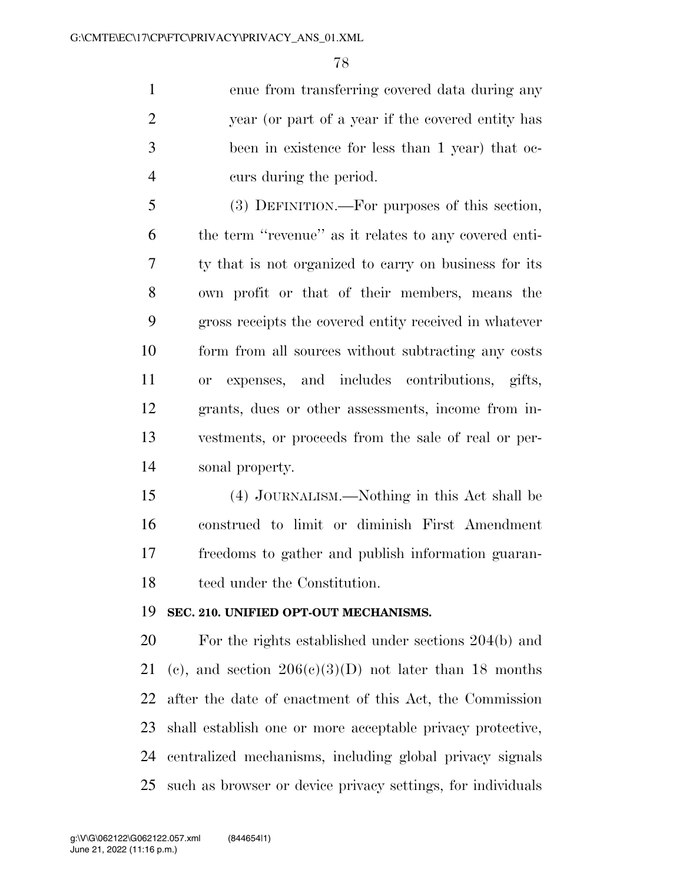enue from transferring covered data during any year (or part of a year if the covered entity has been in existence for less than 1 year) that oc-curs during the period.

 (3) DEFINITION.—For purposes of this section, the term ''revenue'' as it relates to any covered enti- ty that is not organized to carry on business for its own profit or that of their members, means the gross receipts the covered entity received in whatever form from all sources without subtracting any costs or expenses, and includes contributions, gifts, grants, dues or other assessments, income from in- vestments, or proceeds from the sale of real or per-sonal property.

 (4) JOURNALISM.—Nothing in this Act shall be construed to limit or diminish First Amendment freedoms to gather and publish information guaran-teed under the Constitution.

#### **SEC. 210. UNIFIED OPT-OUT MECHANISMS.**

 For the rights established under sections 204(b) and 21 (c), and section  $206(c)(3)(D)$  not later than 18 months after the date of enactment of this Act, the Commission shall establish one or more acceptable privacy protective, centralized mechanisms, including global privacy signals such as browser or device privacy settings, for individuals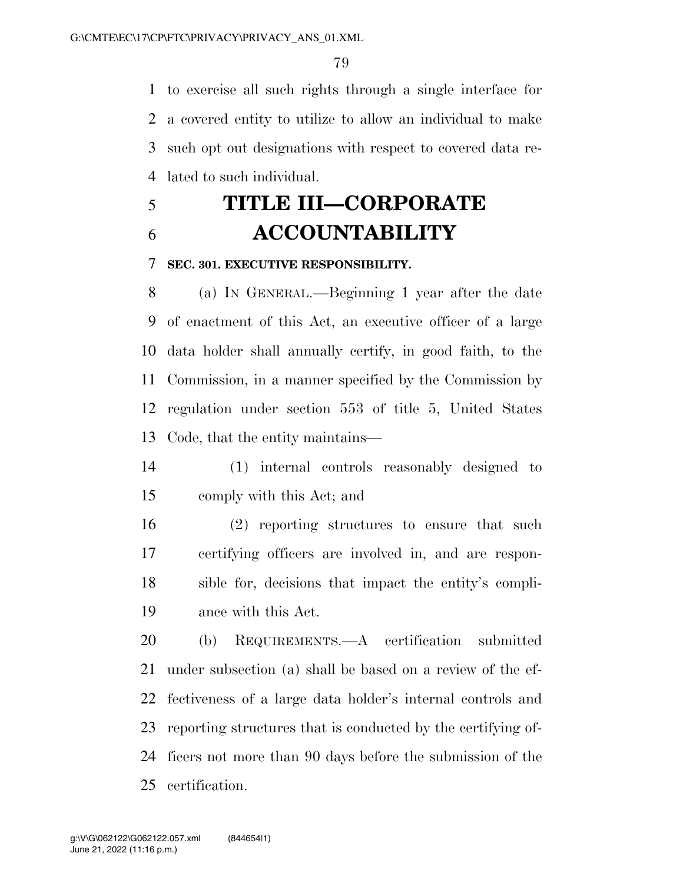to exercise all such rights through a single interface for a covered entity to utilize to allow an individual to make such opt out designations with respect to covered data re-lated to such individual.

# **TITLE III—CORPORATE ACCOUNTABILITY**

### **SEC. 301. EXECUTIVE RESPONSIBILITY.**

 (a) IN GENERAL.—Beginning 1 year after the date of enactment of this Act, an executive officer of a large data holder shall annually certify, in good faith, to the Commission, in a manner specified by the Commission by regulation under section 553 of title 5, United States Code, that the entity maintains—

- (1) internal controls reasonably designed to comply with this Act; and
- (2) reporting structures to ensure that such certifying officers are involved in, and are respon- sible for, decisions that impact the entity's compli-ance with this Act.

 (b) REQUIREMENTS.—A certification submitted under subsection (a) shall be based on a review of the ef- fectiveness of a large data holder's internal controls and reporting structures that is conducted by the certifying of- ficers not more than 90 days before the submission of the certification.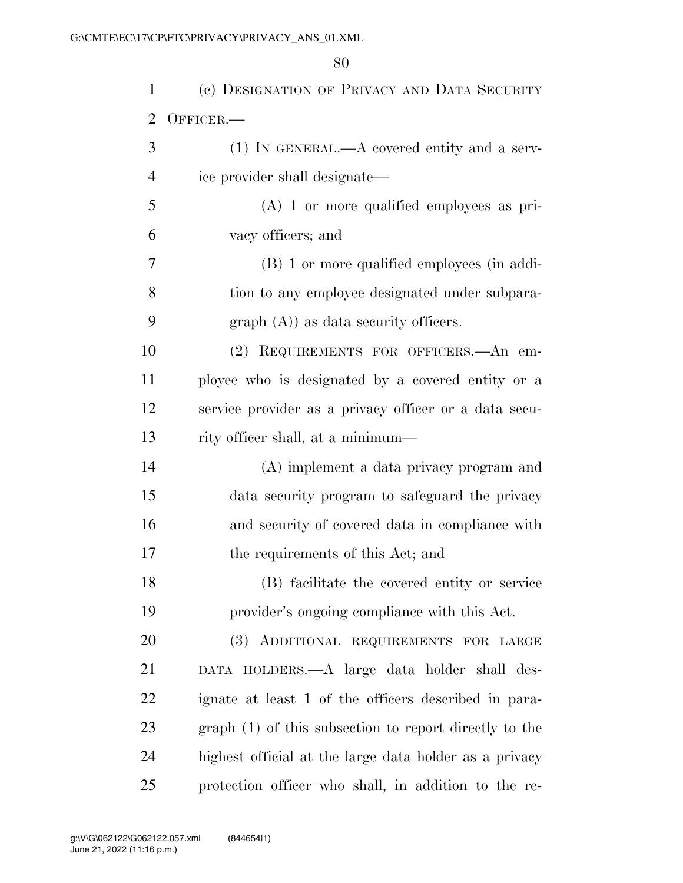| 1              | (c) DESIGNATION OF PRIVACY AND DATA SECURITY           |
|----------------|--------------------------------------------------------|
| $\overline{2}$ | OFFICER.-                                              |
| 3              | $(1)$ IN GENERAL.—A covered entity and a serv-         |
| $\overline{4}$ | ice provider shall designate—                          |
| 5              | $(A)$ 1 or more qualified employees as pri-            |
| 6              | vacy officers; and                                     |
| 7              | (B) 1 or more qualified employees (in addi-            |
| 8              | tion to any employee designated under subpara-         |
| 9              | $graph(A)$ as data security officers.                  |
| 10             | (2) REQUIREMENTS FOR OFFICERS.—An em-                  |
| 11             | ployee who is designated by a covered entity or a      |
| 12             | service provider as a privacy officer or a data secu-  |
| 13             | rity officer shall, at a minimum—                      |
| 14             | (A) implement a data privacy program and               |
| 15             | data security program to safeguard the privacy         |
| 16             | and security of covered data in compliance with        |
| 17             | the requirements of this Act; and                      |
| 18             | (B) facilitate the covered entity or service           |
| 19             | provider's ongoing compliance with this Act.           |
| 20             | (3) ADDITIONAL REQUIREMENTS FOR LARGE                  |
| 21             | DATA HOLDERS.—A large data holder shall des-           |
| 22             | ignate at least 1 of the officers described in para-   |
| 23             | graph (1) of this subsection to report directly to the |
| 24             | highest official at the large data holder as a privacy |
| 25             | protection officer who shall, in addition to the re-   |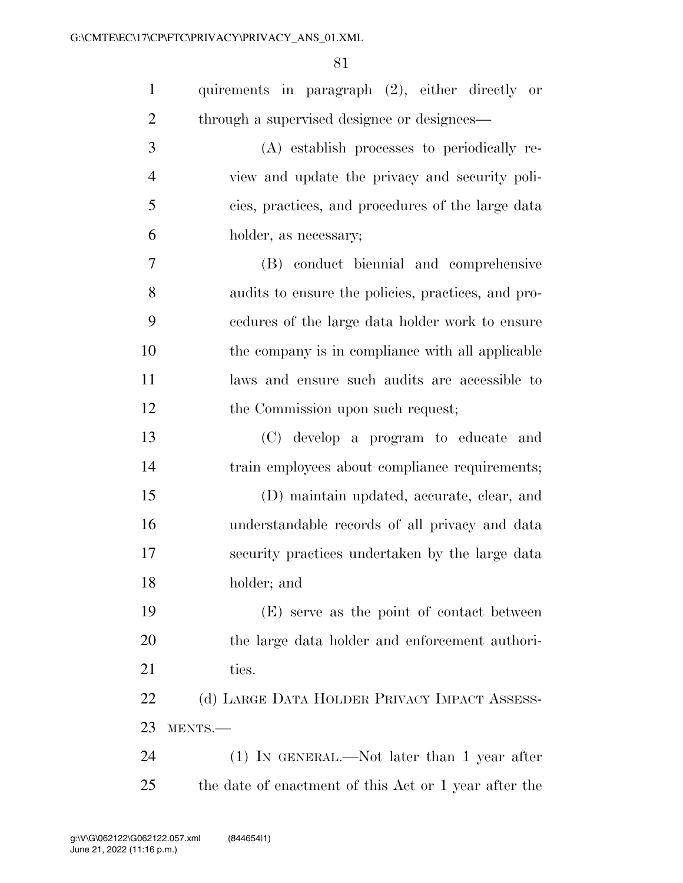| $\mathbf{1}$     | quirements in paragraph (2), either directly or       |
|------------------|-------------------------------------------------------|
| $\overline{2}$   | through a supervised designee or designees—           |
| 3                | (A) establish processes to periodically re-           |
| $\overline{4}$   | view and update the privacy and security poli-        |
| 5                | cies, practices, and procedures of the large data     |
| 6                | holder, as necessary;                                 |
| $\boldsymbol{7}$ | (B) conduct biennial and comprehensive                |
| 8                | audits to ensure the policies, practices, and pro-    |
| 9                | cedures of the large data holder work to ensure       |
| 10               | the company is in compliance with all applicable      |
| 11               | laws and ensure such audits are accessible to         |
| 12               | the Commission upon such request;                     |
| 13               | (C) develop a program to educate and                  |
| 14               | train employees about compliance requirements;        |
| 15               | (D) maintain updated, accurate, clear, and            |
| 16               | understandable records of all privacy and data        |
| 17               | security practices undertaken by the large data       |
| 18               | holder; and                                           |
| 19               | (E) serve as the point of contact between             |
| <b>20</b>        | the large data holder and enforcement authori-        |
| 21               | ties.                                                 |
| 22               | (d) LARGE DATA HOLDER PRIVACY IMPACT ASSESS-          |
| 23               | MENTS.-                                               |
| 24               | $(1)$ IN GENERAL.—Not later than 1 year after         |
| 25               | the date of enactment of this Act or 1 year after the |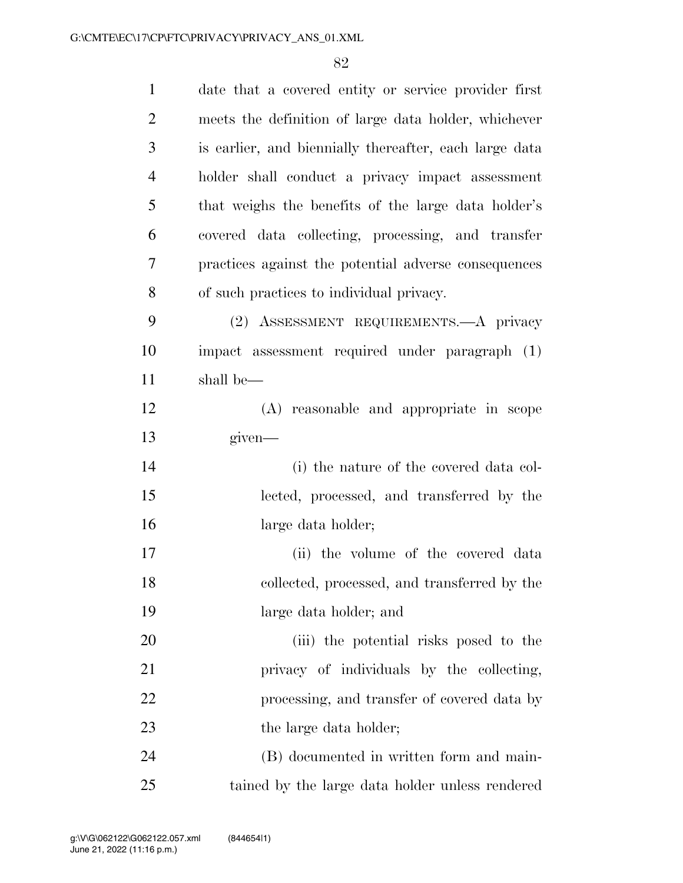| $\mathbf{1}$   | date that a covered entity or service provider first   |
|----------------|--------------------------------------------------------|
| $\overline{2}$ | meets the definition of large data holder, whichever   |
| 3              | is earlier, and biennially thereafter, each large data |
| $\overline{4}$ | holder shall conduct a privacy impact assessment       |
| 5              | that weighs the benefits of the large data holder's    |
| 6              | covered data collecting, processing, and transfer      |
| 7              | practices against the potential adverse consequences   |
| 8              | of such practices to individual privacy.               |
| 9              | (2) ASSESSMENT REQUIREMENTS.—A privacy                 |
| 10             | impact assessment required under paragraph (1)         |
| 11             | shall be-                                              |
| 12             | (A) reasonable and appropriate in scope                |
| 13             | given—                                                 |
| 14             | (i) the nature of the covered data col-                |
| 15             | lected, processed, and transferred by the              |
| 16             | large data holder;                                     |
| 17             | (ii) the volume of the covered data                    |
| 18             | collected, processed, and transferred by the           |
| 19             | large data holder; and                                 |
| 20             | (iii) the potential risks posed to the                 |
| 21             | privacy of individuals by the collecting,              |
| 22             | processing, and transfer of covered data by            |
| 23             | the large data holder;                                 |
| 24             | (B) documented in written form and main-               |
| 25             | tained by the large data holder unless rendered        |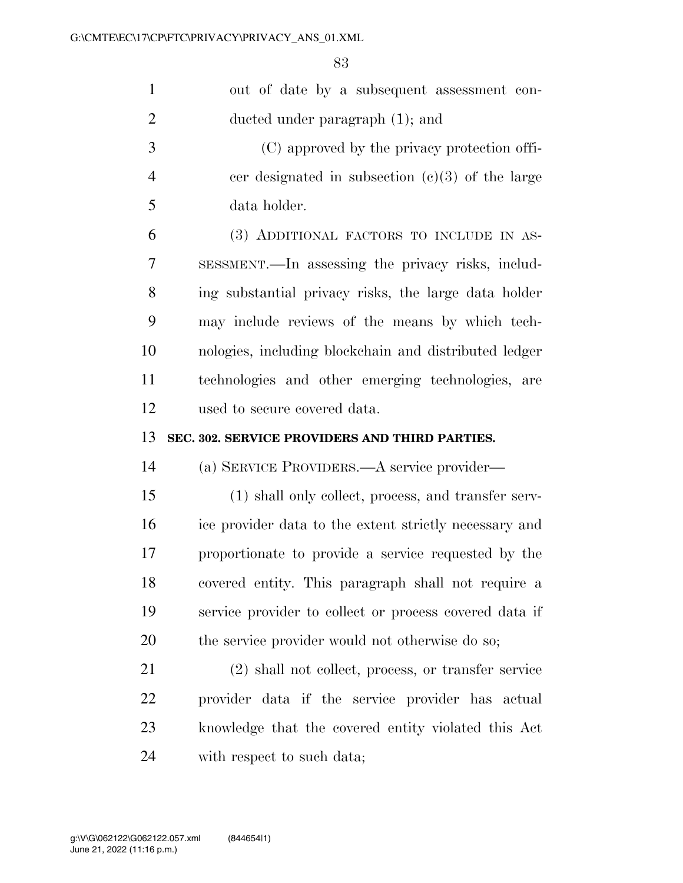| $\mathbf{1}$   | out of date by a subsequent assessment con-            |
|----------------|--------------------------------------------------------|
| $\overline{2}$ | ducted under paragraph (1); and                        |
| 3              | (C) approved by the privacy protection offi-           |
| $\overline{4}$ | cer designated in subsection $(c)(3)$ of the large     |
| 5              | data holder.                                           |
| 6              | (3) ADDITIONAL FACTORS TO INCLUDE IN AS-               |
| 7              | SESSMENT.—In assessing the privacy risks, includ-      |
| 8              | ing substantial privacy risks, the large data holder   |
| 9              | may include reviews of the means by which tech-        |
| 10             | nologies, including blockchain and distributed ledger  |
| 11             | technologies and other emerging technologies, are      |
| 12             | used to secure covered data.                           |
|                |                                                        |
| 13             | SEC. 302. SERVICE PROVIDERS AND THIRD PARTIES.         |
| 14             | (a) SERVICE PROVIDERS.—A service provider—             |
| 15             | (1) shall only collect, process, and transfer serv-    |
| 16             | ice provider data to the extent strictly necessary and |
| 17             | proportionate to provide a service requested by the    |
| 18             | covered entity. This paragraph shall not require a     |
| 19             | service provider to collect or process covered data if |
| 20             | the service provider would not otherwise do so;        |
| 21             | (2) shall not collect, process, or transfer service    |
| 22             | provider data if the service provider has actual       |
| 23             | knowledge that the covered entity violated this Act    |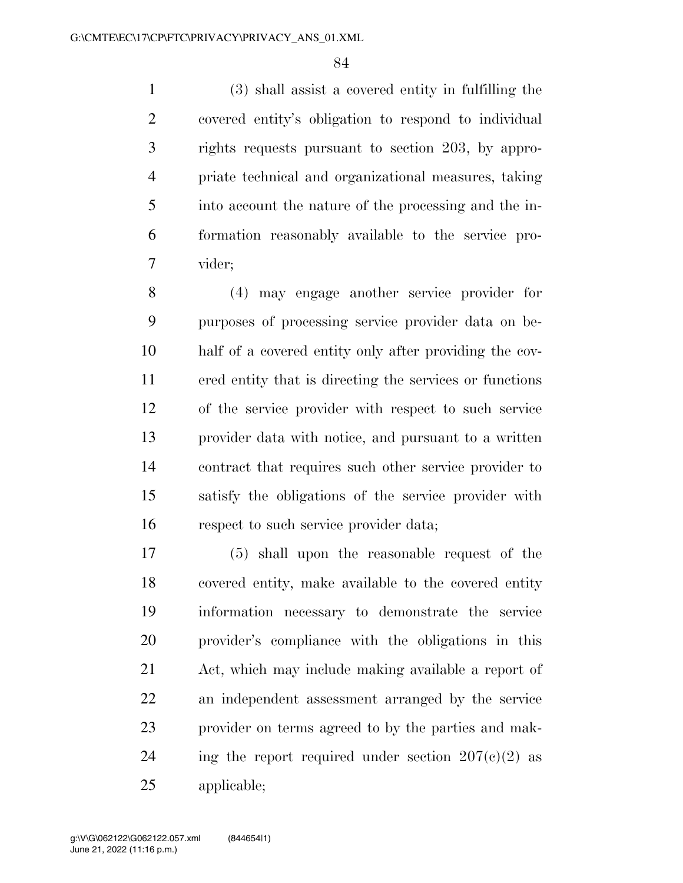(3) shall assist a covered entity in fulfilling the covered entity's obligation to respond to individual rights requests pursuant to section 203, by appro- priate technical and organizational measures, taking into account the nature of the processing and the in- formation reasonably available to the service pro-vider;

 (4) may engage another service provider for purposes of processing service provider data on be- half of a covered entity only after providing the cov- ered entity that is directing the services or functions of the service provider with respect to such service provider data with notice, and pursuant to a written contract that requires such other service provider to satisfy the obligations of the service provider with respect to such service provider data;

 (5) shall upon the reasonable request of the covered entity, make available to the covered entity information necessary to demonstrate the service provider's compliance with the obligations in this Act, which may include making available a report of an independent assessment arranged by the service provider on terms agreed to by the parties and mak-24 ing the report required under section  $207(c)(2)$  as applicable;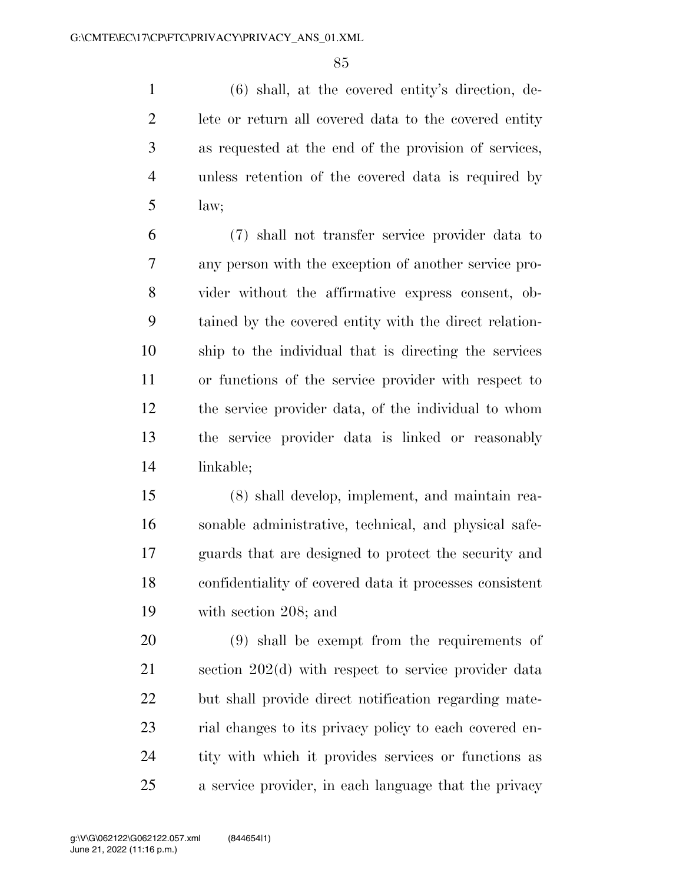(6) shall, at the covered entity's direction, de- lete or return all covered data to the covered entity as requested at the end of the provision of services, unless retention of the covered data is required by law;

 (7) shall not transfer service provider data to any person with the exception of another service pro- vider without the affirmative express consent, ob- tained by the covered entity with the direct relation- ship to the individual that is directing the services or functions of the service provider with respect to the service provider data, of the individual to whom the service provider data is linked or reasonably linkable;

 (8) shall develop, implement, and maintain rea- sonable administrative, technical, and physical safe- guards that are designed to protect the security and confidentiality of covered data it processes consistent with section 208; and

 (9) shall be exempt from the requirements of section 202(d) with respect to service provider data but shall provide direct notification regarding mate- rial changes to its privacy policy to each covered en- tity with which it provides services or functions as a service provider, in each language that the privacy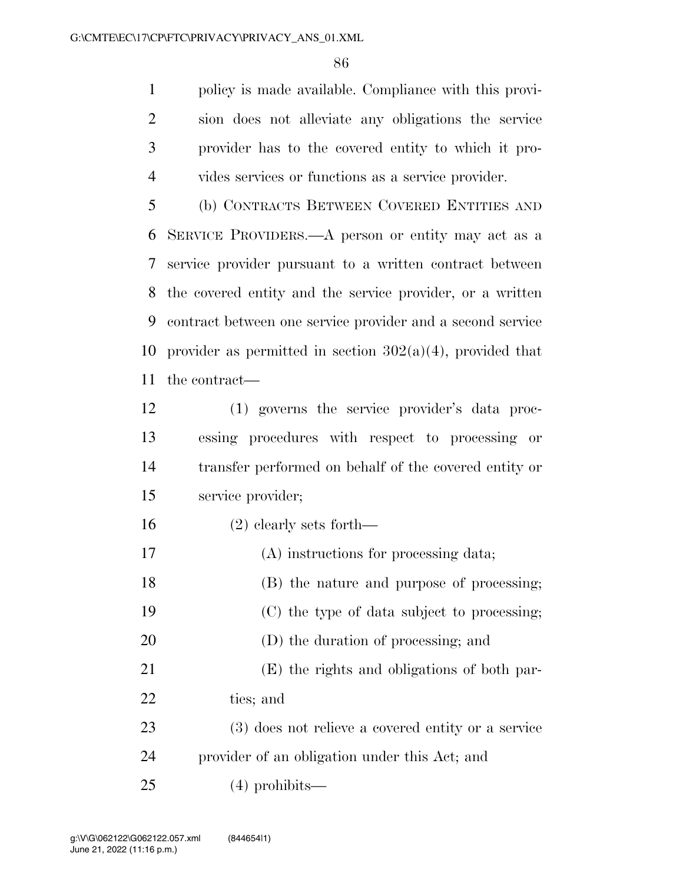policy is made available. Compliance with this provi- sion does not alleviate any obligations the service provider has to the covered entity to which it pro-vides services or functions as a service provider.

 (b) CONTRACTS BETWEEN COVERED ENTITIES AND SERVICE PROVIDERS.—A person or entity may act as a service provider pursuant to a written contract between the covered entity and the service provider, or a written contract between one service provider and a second service 10 provider as permitted in section  $302(a)(4)$ , provided that the contract—

- (1) governs the service provider's data proc- essing procedures with respect to processing or transfer performed on behalf of the covered entity or service provider;
- (2) clearly sets forth—
- (A) instructions for processing data;
- (B) the nature and purpose of processing;
- (C) the type of data subject to processing;
- (D) the duration of processing; and
- (E) the rights and obligations of both par-ties; and
- (3) does not relieve a covered entity or a service provider of an obligation under this Act; and
- (4) prohibits—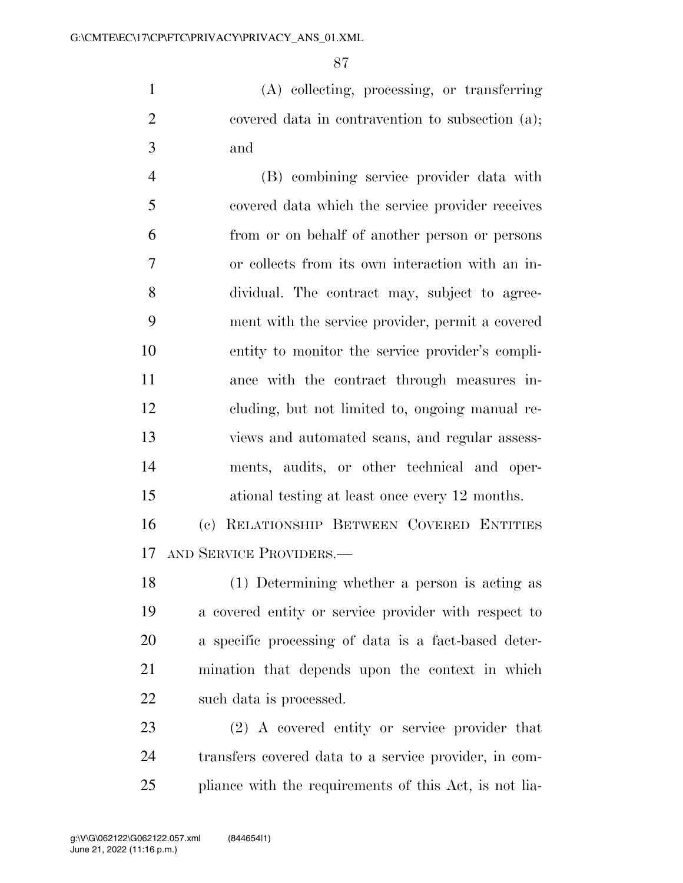(A) collecting, processing, or transferring covered data in contravention to subsection (a); and

 (B) combining service provider data with covered data which the service provider receives from or on behalf of another person or persons or collects from its own interaction with an in- dividual. The contract may, subject to agree- ment with the service provider, permit a covered entity to monitor the service provider's compli- ance with the contract through measures in- cluding, but not limited to, ongoing manual re- views and automated scans, and regular assess- ments, audits, or other technical and oper-ational testing at least once every 12 months.

 (c) RELATIONSHIP BETWEEN COVERED ENTITIES AND SERVICE PROVIDERS.—

 (1) Determining whether a person is acting as a covered entity or service provider with respect to a specific processing of data is a fact-based deter- mination that depends upon the context in which such data is processed.

 (2) A covered entity or service provider that transfers covered data to a service provider, in com-pliance with the requirements of this Act, is not lia-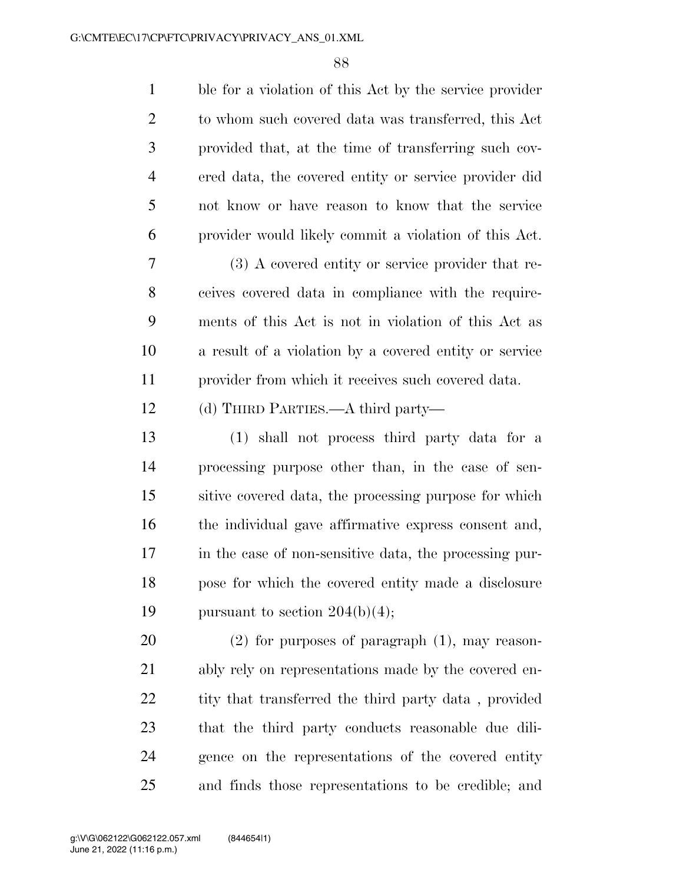| $\mathbf{1}$   | ble for a violation of this Act by the service provider |
|----------------|---------------------------------------------------------|
| $\overline{2}$ | to whom such covered data was transferred, this Act     |
| 3              | provided that, at the time of transferring such cov-    |
| $\overline{4}$ | ered data, the covered entity or service provider did   |
| 5              | not know or have reason to know that the service        |
| 6              | provider would likely commit a violation of this Act.   |
| 7              | $(3)$ A covered entity or service provider that re-     |
| 8              | ceives covered data in compliance with the require-     |
| 9              | ments of this Act is not in violation of this Act as    |
| 10             | a result of a violation by a covered entity or service  |
| 11             | provider from which it receives such covered data.      |
| 12             | (d) THIRD PARTIES.—A third party—                       |
| 13             | (1) shall not process third party data for a            |
| 14             | processing purpose other than, in the case of sen-      |
| 15             | sitive covered data, the processing purpose for which   |
| 16             | the individual gave affirmative express consent and,    |
| 17             | in the case of non-sensitive data, the processing pur-  |
| 18             | pose for which the covered entity made a disclosure     |
| 19             | pursuant to section $204(b)(4)$ ;                       |
| 20             | $(2)$ for purposes of paragraph $(1)$ , may reason-     |
| 21             | ably rely on representations made by the covered en-    |
| 22             | tity that transferred the third party data, provided    |
| 23             | that the third party conducts reasonable due dili-      |
| 24             | gence on the representations of the covered entity      |
| 25             | and finds those representations to be credible; and     |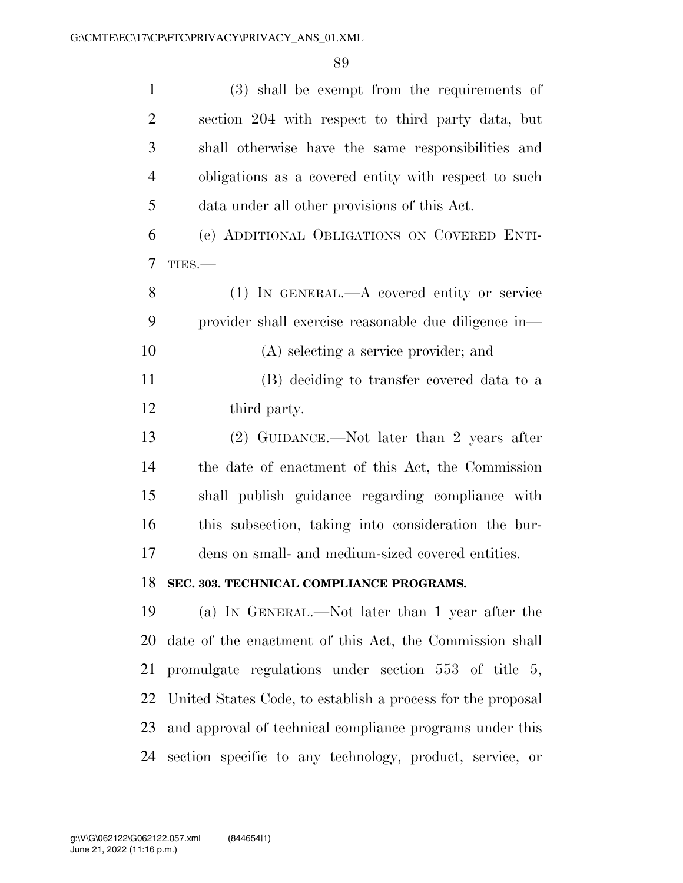| $\mathbf{1}$   | (3) shall be exempt from the requirements of                |
|----------------|-------------------------------------------------------------|
| $\overline{2}$ | section 204 with respect to third party data, but           |
| 3              | shall otherwise have the same responsibilities and          |
| $\overline{4}$ | obligations as a covered entity with respect to such        |
| 5              | data under all other provisions of this Act.                |
| 6              | (e) ADDITIONAL OBLIGATIONS ON COVERED ENTI-                 |
| $\tau$         | TIES.                                                       |
| 8              | $(1)$ IN GENERAL.—A covered entity or service               |
| 9              | provider shall exercise reasonable due diligence in—        |
| 10             | (A) selecting a service provider; and                       |
| 11             | (B) deciding to transfer covered data to a                  |
| 12             | third party.                                                |
| 13             | (2) GUIDANCE.—Not later than 2 years after                  |
| 14             | the date of enactment of this Act, the Commission           |
| 15             | shall publish guidance regarding compliance with            |
| 16             | this subsection, taking into consideration the bur-         |
| 17             | dens on small- and medium-sized covered entities.           |
|                | 18 SEC. 303. TECHNICAL COMPLIANCE PROGRAMS.                 |
| 19             | (a) IN GENERAL.—Not later than 1 year after the             |
| 20             | date of the enactment of this Act, the Commission shall     |
| 21             | promulgate regulations under section $553$ of title $5$ ,   |
| 22             | United States Code, to establish a process for the proposal |
| 23             | and approval of technical compliance programs under this    |
| 24             | section specific to any technology, product, service, or    |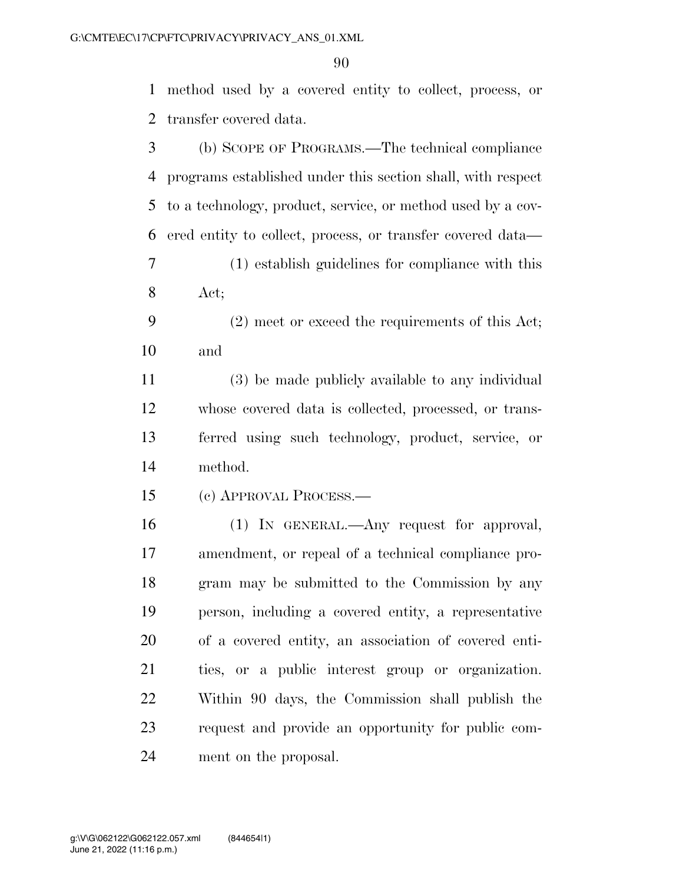method used by a covered entity to collect, process, or transfer covered data.

| 3  | (b) SCOPE OF PROGRAMS.—The technical compliance             |
|----|-------------------------------------------------------------|
| 4  | programs established under this section shall, with respect |
| 5  | to a technology, product, service, or method used by a cov- |
| 6  | ered entity to collect, process, or transfer covered data—  |
| 7  | (1) establish guidelines for compliance with this           |
| 8  | Act;                                                        |
| 9  | $(2)$ meet or exceed the requirements of this Act;          |
| 10 | and                                                         |
| 11 | (3) be made publicly available to any individual            |
| 12 | whose covered data is collected, processed, or trans-       |
| 13 | ferred using such technology, product, service, or          |
| 14 | method.                                                     |
| 15 | (c) APPROVAL PROCESS.—                                      |
| 16 | (1) IN GENERAL.—Any request for approval,                   |
| 17 | amendment, or repeal of a technical compliance pro-         |
| 18 | gram may be submitted to the Commission by any              |
| 19 | person, including a covered entity, a representative        |
| 20 | of a covered entity, an association of covered enti-        |
| 21 | ties, or a public interest group or organization.           |
| 22 |                                                             |
|    | Within 90 days, the Commission shall publish the            |
| 23 | request and provide an opportunity for public com-          |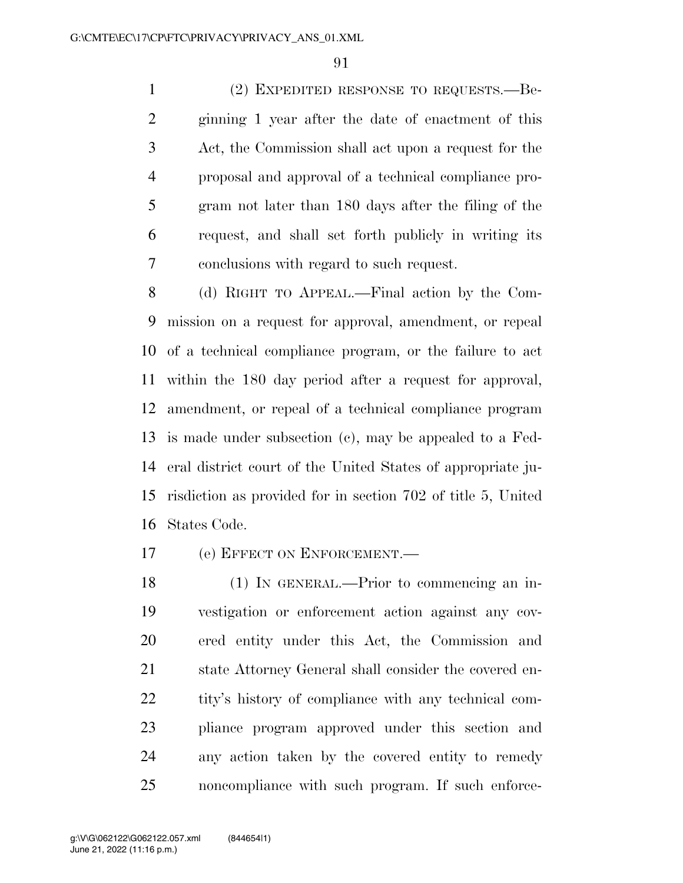(2) EXPEDITED RESPONSE TO REQUESTS.—Be- ginning 1 year after the date of enactment of this Act, the Commission shall act upon a request for the proposal and approval of a technical compliance pro- gram not later than 180 days after the filing of the request, and shall set forth publicly in writing its conclusions with regard to such request.

 (d) RIGHT TO APPEAL.—Final action by the Com- mission on a request for approval, amendment, or repeal of a technical compliance program, or the failure to act within the 180 day period after a request for approval, amendment, or repeal of a technical compliance program is made under subsection (c), may be appealed to a Fed- eral district court of the United States of appropriate ju- risdiction as provided for in section 702 of title 5, United States Code.

(e) EFFECT ON ENFORCEMENT.—

 (1) IN GENERAL.—Prior to commencing an in- vestigation or enforcement action against any cov- ered entity under this Act, the Commission and state Attorney General shall consider the covered en- tity's history of compliance with any technical com- pliance program approved under this section and any action taken by the covered entity to remedy noncompliance with such program. If such enforce-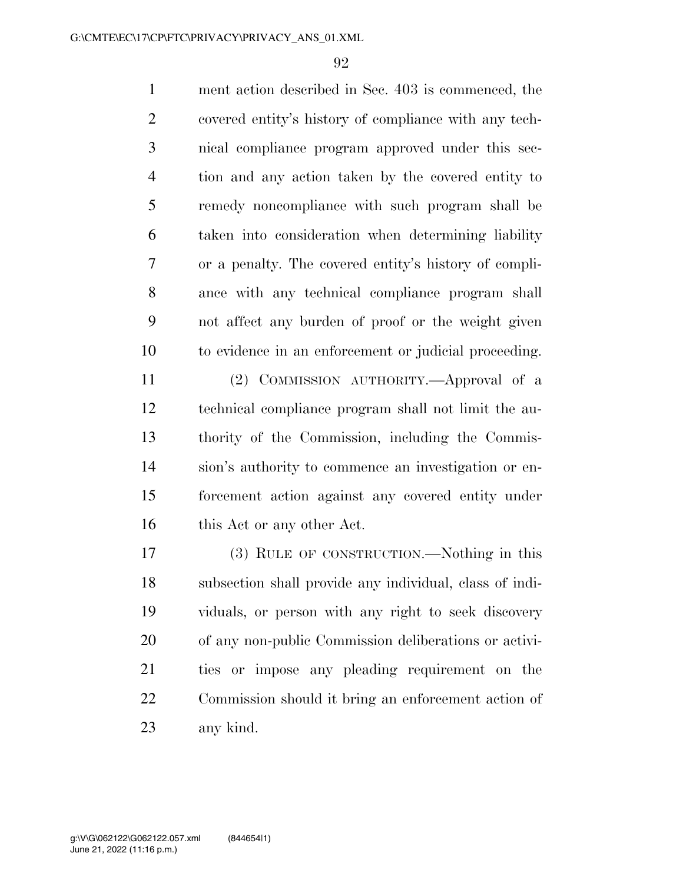ment action described in Sec. 403 is commenced, the covered entity's history of compliance with any tech- nical compliance program approved under this sec- tion and any action taken by the covered entity to remedy noncompliance with such program shall be taken into consideration when determining liability or a penalty. The covered entity's history of compli- ance with any technical compliance program shall not affect any burden of proof or the weight given to evidence in an enforcement or judicial proceeding.

 (2) COMMISSION AUTHORITY.—Approval of a technical compliance program shall not limit the au- thority of the Commission, including the Commis- sion's authority to commence an investigation or en- forcement action against any covered entity under 16 this Act or any other Act.

 (3) RULE OF CONSTRUCTION.—Nothing in this subsection shall provide any individual, class of indi- viduals, or person with any right to seek discovery of any non-public Commission deliberations or activi- ties or impose any pleading requirement on the Commission should it bring an enforcement action of any kind.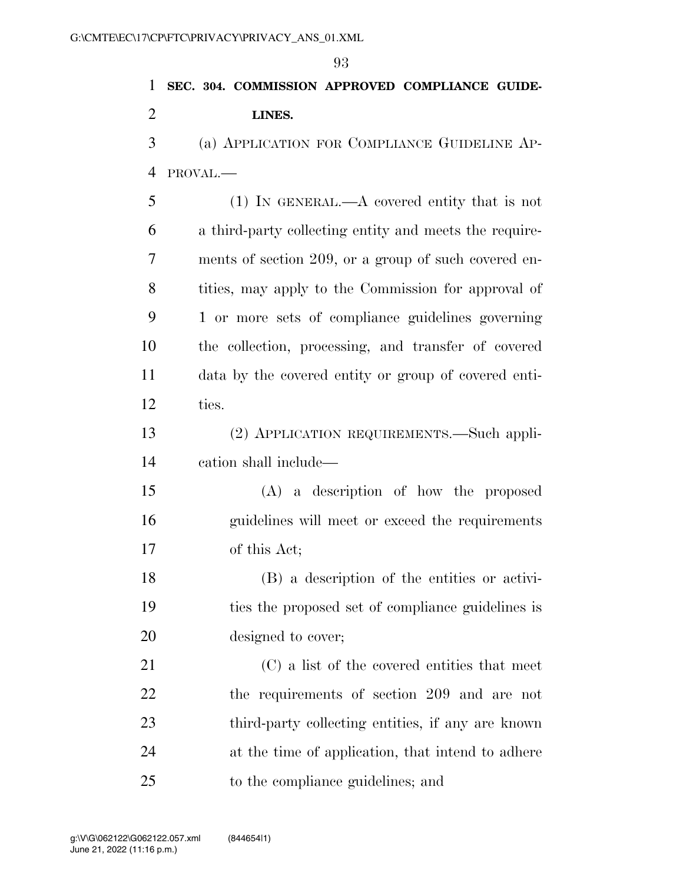|                | 93                                                     |
|----------------|--------------------------------------------------------|
| 1              | SEC. 304. COMMISSION APPROVED COMPLIANCE GUIDE-        |
| $\overline{2}$ | LINES.                                                 |
| 3              | (a) APPLICATION FOR COMPLIANCE GUIDELINE AP-           |
| $\overline{4}$ | PROVAL.-                                               |
| 5              | $(1)$ IN GENERAL.—A covered entity that is not         |
| 6              | a third-party collecting entity and meets the require- |
| 7              | ments of section 209, or a group of such covered en-   |
| 8              | tities, may apply to the Commission for approval of    |
| 9              | 1 or more sets of compliance guidelines governing      |
| 10             | the collection, processing, and transfer of covered    |
| 11             | data by the covered entity or group of covered enti-   |
| 12             | ties.                                                  |
| 13             | (2) APPLICATION REQUIREMENTS.—Such appli-              |
| 14             | cation shall include—                                  |
| 15             | (A) a description of how the proposed                  |
| 16             | guidelines will meet or exceed the requirements        |
| 17             | of this Act;                                           |
| 18             | (B) a description of the entities or activi-           |
| 19             | ties the proposed set of compliance guidelines is      |
| 20             | designed to cover;                                     |
| 21             | (C) a list of the covered entities that meet           |
| 22             | the requirements of section 209 and are not            |
|                |                                                        |

 third-party collecting entities, if any are known at the time of application, that intend to adhere to the compliance guidelines; and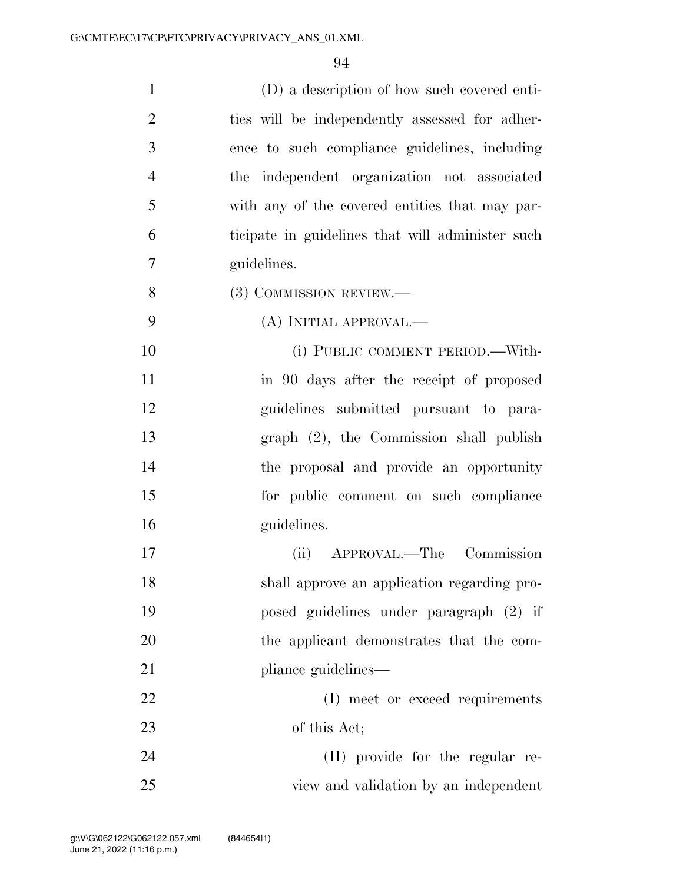| $\mathbf{1}$   | (D) a description of how such covered enti-      |
|----------------|--------------------------------------------------|
| $\overline{2}$ | ties will be independently assessed for adher-   |
| 3              | ence to such compliance guidelines, including    |
| $\overline{4}$ | the independent organization not associated      |
| 5              | with any of the covered entities that may par-   |
| 6              | ticipate in guidelines that will administer such |
| $\overline{7}$ | guidelines.                                      |
| 8              | (3) COMMISSION REVIEW.—                          |
| 9              | (A) INITIAL APPROVAL.—                           |
| 10             | (i) PUBLIC COMMENT PERIOD.—With-                 |
| 11             | in 90 days after the receipt of proposed         |
| 12             | guidelines submitted pursuant to para-           |
| 13             | graph (2), the Commission shall publish          |
| 14             | the proposal and provide an opportunity          |
| 15             | for public comment on such compliance            |
| 16             | guidelines.                                      |
| 17             | APPROVAL.—The Commission<br>(ii)                 |
| 18             | shall approve an application regarding pro-      |
| 19             | posed guidelines under paragraph (2) if          |
| 20             | the applicant demonstrates that the com-         |
| 21             | pliance guidelines—                              |
| 22             | (I) meet or exceed requirements                  |
| 23             | of this Act;                                     |
| 24             | (II) provide for the regular re-                 |
| 25             | view and validation by an independent            |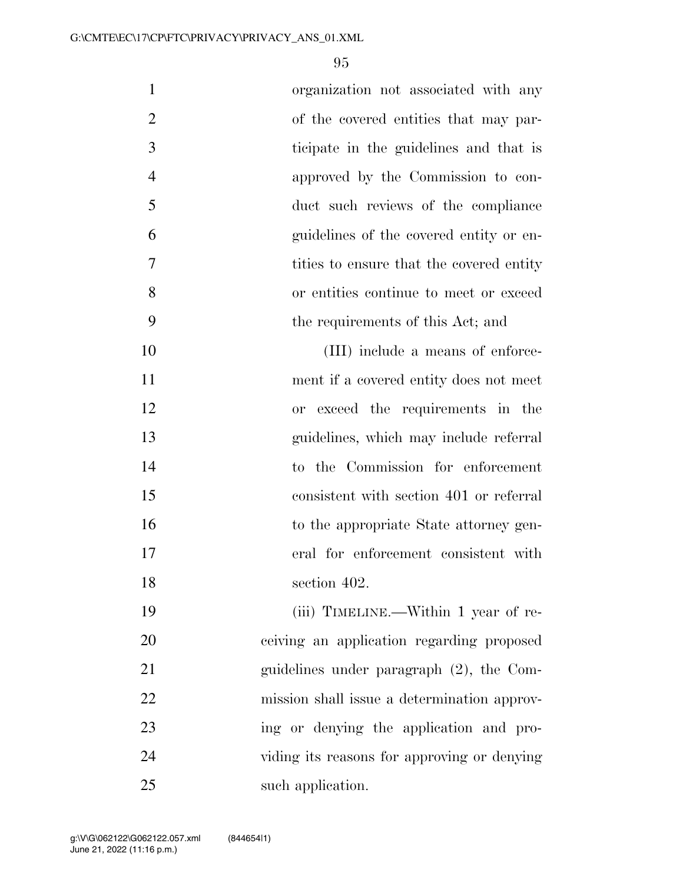| $\mathbf{1}$   | organization not associated with any        |
|----------------|---------------------------------------------|
| $\overline{2}$ | of the covered entities that may par-       |
| 3              | ticipate in the guidelines and that is      |
| $\overline{4}$ | approved by the Commission to con-          |
| 5              | duct such reviews of the compliance         |
| 6              | guidelines of the covered entity or en-     |
| 7              | tities to ensure that the covered entity    |
| 8              | or entities continue to meet or exceed      |
| 9              | the requirements of this Act; and           |
| 10             | (III) include a means of enforce-           |
| 11             | ment if a covered entity does not meet      |
| 12             | or exceed the requirements in the           |
| 13             | guidelines, which may include referral      |
| 14             | to the Commission for enforcement           |
| 15             | consistent with section 401 or referral     |
| 16             | to the appropriate State attorney gen-      |
| 17             | eral for enforcement consistent with        |
| 18             | section 402.                                |
| 19             | (iii) TIMELINE.—Within 1 year of re-        |
| 20             | ceiving an application regarding proposed   |
| 21             | guidelines under paragraph $(2)$ , the Com- |
| 22             | mission shall issue a determination approv- |
| 23             | ing or denying the application and pro-     |
| 24             | viding its reasons for approving or denying |
| 25             | such application.                           |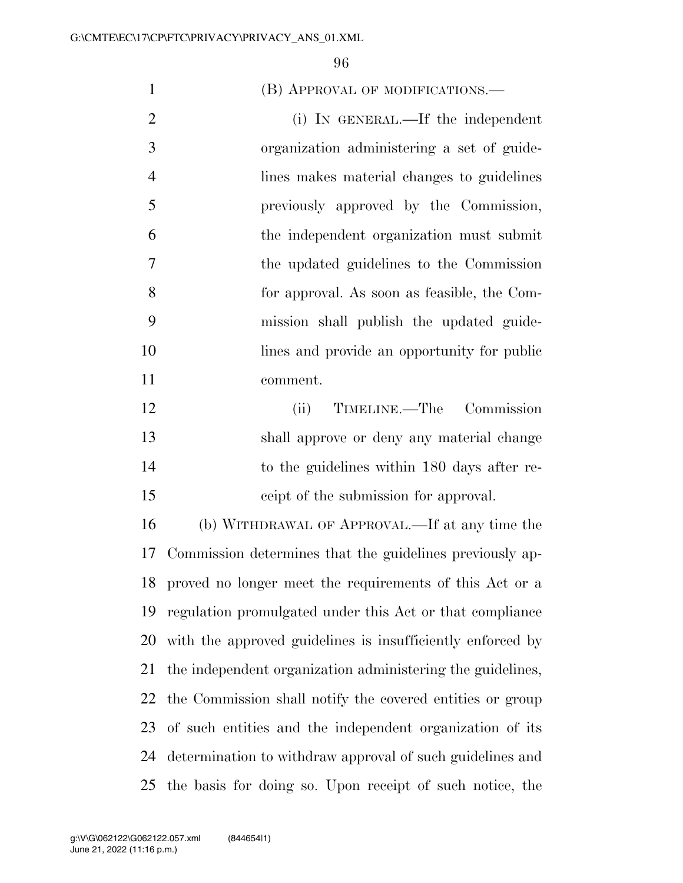1 (B) APPROVAL OF MODIFICATIONS.— 2 (i) IN GENERAL.—If the independent organization administering a set of guide- lines makes material changes to guidelines previously approved by the Commission, the independent organization must submit the updated guidelines to the Commission for approval. As soon as feasible, the Com- mission shall publish the updated guide-10 lines and provide an opportunity for public comment. (ii) TIMELINE.—The Commission shall approve or deny any material change to the guidelines within 180 days after re- ceipt of the submission for approval. (b) WITHDRAWAL OF APPROVAL.—If at any time the Commission determines that the guidelines previously ap- proved no longer meet the requirements of this Act or a regulation promulgated under this Act or that compliance with the approved guidelines is insufficiently enforced by the independent organization administering the guidelines, the Commission shall notify the covered entities or group of such entities and the independent organization of its determination to withdraw approval of such guidelines and the basis for doing so. Upon receipt of such notice, the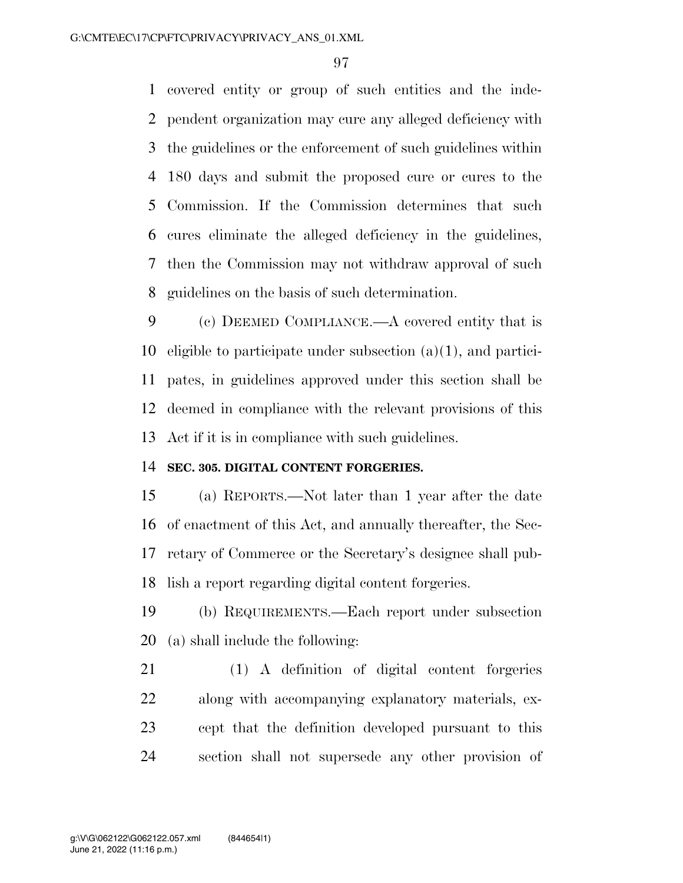covered entity or group of such entities and the inde- pendent organization may cure any alleged deficiency with the guidelines or the enforcement of such guidelines within 180 days and submit the proposed cure or cures to the Commission. If the Commission determines that such cures eliminate the alleged deficiency in the guidelines, then the Commission may not withdraw approval of such guidelines on the basis of such determination.

 (c) DEEMED COMPLIANCE.—A covered entity that is eligible to participate under subsection (a)(1), and partici- pates, in guidelines approved under this section shall be deemed in compliance with the relevant provisions of this Act if it is in compliance with such guidelines.

#### **SEC. 305. DIGITAL CONTENT FORGERIES.**

 (a) REPORTS.—Not later than 1 year after the date of enactment of this Act, and annually thereafter, the Sec- retary of Commerce or the Secretary's designee shall pub-lish a report regarding digital content forgeries.

 (b) REQUIREMENTS.—Each report under subsection (a) shall include the following:

 (1) A definition of digital content forgeries along with accompanying explanatory materials, ex- cept that the definition developed pursuant to this section shall not supersede any other provision of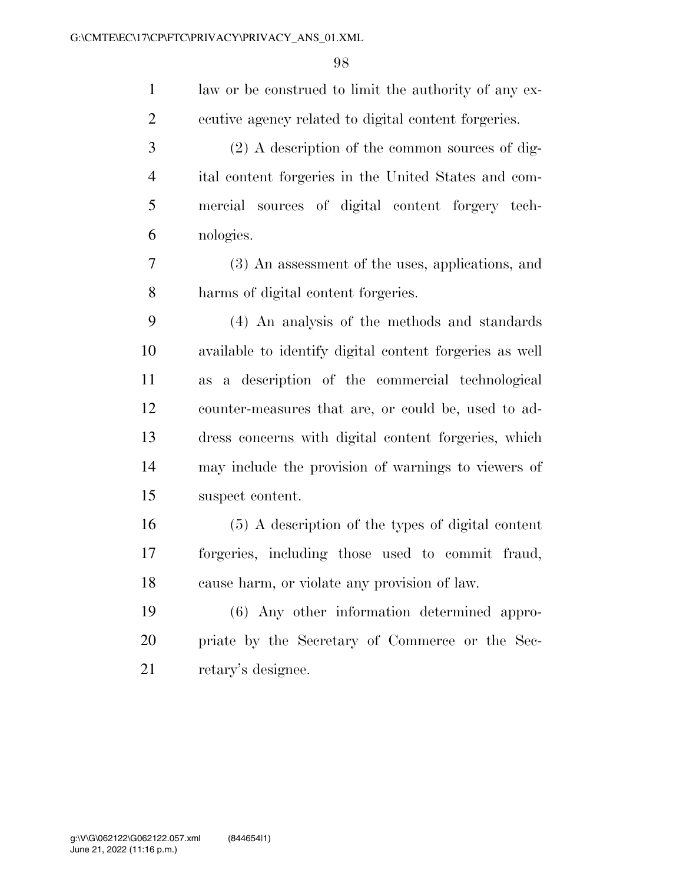| $\mathbf{1}$   | law or be construed to limit the authority of any ex-   |
|----------------|---------------------------------------------------------|
| $\overline{2}$ | ecutive agency related to digital content forgeries.    |
| 3              | $(2)$ A description of the common sources of dig-       |
| $\overline{4}$ | ital content forgeries in the United States and com-    |
| 5              | mercial sources of digital content forgery tech-        |
| 6              | nologies.                                               |
| 7              | (3) An assessment of the uses, applications, and        |
| 8              | harms of digital content forgeries.                     |
| 9              | (4) An analysis of the methods and standards            |
| 10             | available to identify digital content forgeries as well |
| 11             | as a description of the commercial technological        |
| 12             | counter-measures that are, or could be, used to ad-     |
| 13             | dress concerns with digital content forgeries, which    |
| 14             | may include the provision of warnings to viewers of     |
| 15             | suspect content.                                        |
| 16             | (5) A description of the types of digital content       |
| 17             | forgeries, including those used to commit fraud,        |
| 18             | cause harm, or violate any provision of law.            |
| 19             | (6) Any other information determined appro-             |
| 20             | priate by the Secretary of Commerce or the Sec-         |
| 21             | retary's designee.                                      |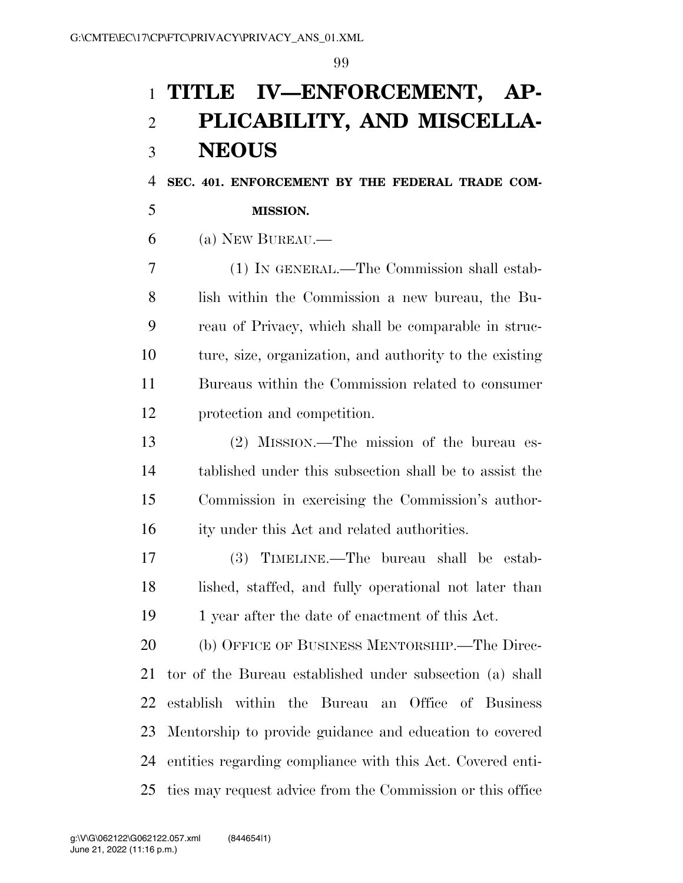# **TITLE IV—ENFORCEMENT, AP- PLICABILITY, AND MISCELLA-NEOUS**

**SEC. 401. ENFORCEMENT BY THE FEDERAL TRADE COM-**

## **MISSION.**

(a) NEW BUREAU.—

 (1) IN GENERAL.—The Commission shall estab- lish within the Commission a new bureau, the Bu- reau of Privacy, which shall be comparable in struc- ture, size, organization, and authority to the existing Bureaus within the Commission related to consumer protection and competition.

 (2) MISSION.—The mission of the bureau es- tablished under this subsection shall be to assist the Commission in exercising the Commission's author-ity under this Act and related authorities.

 (3) TIMELINE.—The bureau shall be estab- lished, staffed, and fully operational not later than 19 1 year after the date of enactment of this Act.

 (b) OFFICE OF BUSINESS MENTORSHIP.—The Direc- tor of the Bureau established under subsection (a) shall establish within the Bureau an Office of Business Mentorship to provide guidance and education to covered entities regarding compliance with this Act. Covered enti-ties may request advice from the Commission or this office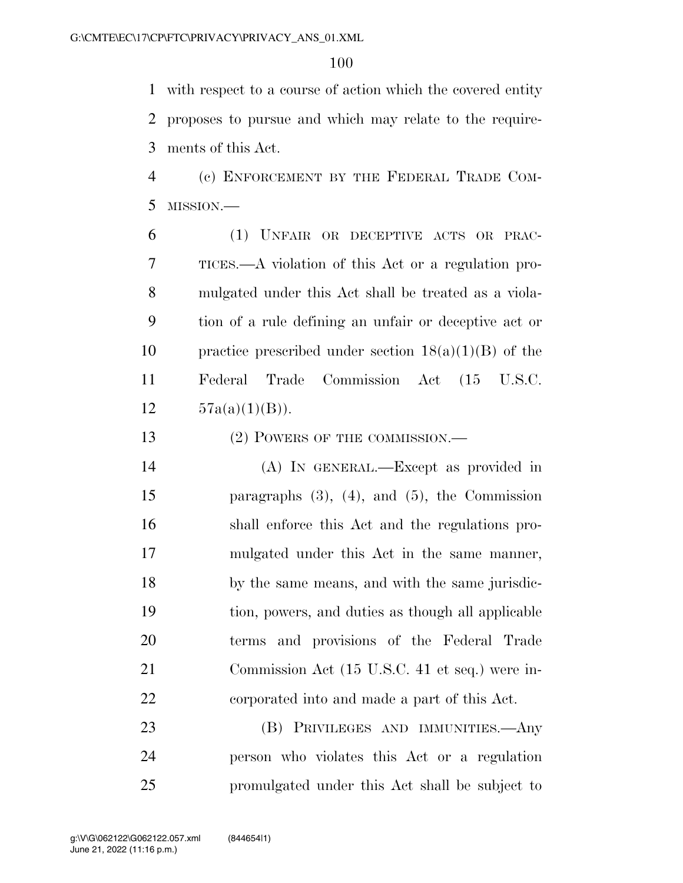with respect to a course of action which the covered entity proposes to pursue and which may relate to the require-ments of this Act.

 (c) ENFORCEMENT BY THE FEDERAL TRADE COM-MISSION.—

 (1) UNFAIR OR DECEPTIVE ACTS OR PRAC- TICES.—A violation of this Act or a regulation pro- mulgated under this Act shall be treated as a viola- tion of a rule defining an unfair or deceptive act or 10 practice prescribed under section  $18(a)(1)(B)$  of the Federal Trade Commission Act (15 U.S.C.  $57a(a)(1)(B)$ .

13 (2) POWERS OF THE COMMISSION.—

 (A) IN GENERAL.—Except as provided in paragraphs (3), (4), and (5), the Commission shall enforce this Act and the regulations pro- mulgated under this Act in the same manner, by the same means, and with the same jurisdic- tion, powers, and duties as though all applicable terms and provisions of the Federal Trade Commission Act (15 U.S.C. 41 et seq.) were in-corporated into and made a part of this Act.

 (B) PRIVILEGES AND IMMUNITIES.—Any person who violates this Act or a regulation promulgated under this Act shall be subject to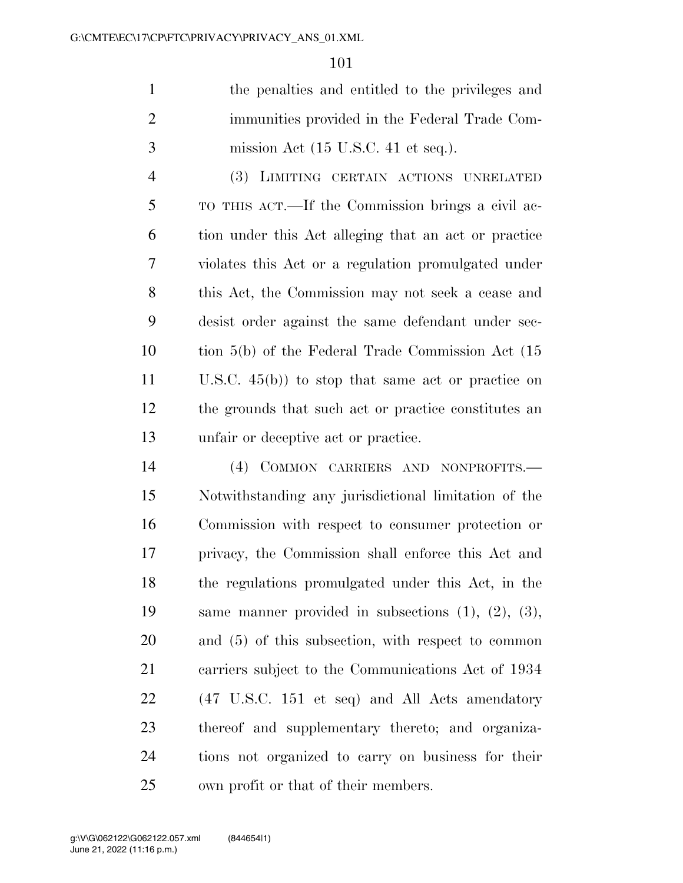the penalties and entitled to the privileges and immunities provided in the Federal Trade Com-mission Act (15 U.S.C. 41 et seq.).

 (3) LIMITING CERTAIN ACTIONS UNRELATED TO THIS ACT.—If the Commission brings a civil ac- tion under this Act alleging that an act or practice violates this Act or a regulation promulgated under this Act, the Commission may not seek a cease and desist order against the same defendant under sec- tion 5(b) of the Federal Trade Commission Act (15 U.S.C. 45(b)) to stop that same act or practice on the grounds that such act or practice constitutes an unfair or deceptive act or practice.

 (4) COMMON CARRIERS AND NONPROFITS.— Notwithstanding any jurisdictional limitation of the Commission with respect to consumer protection or privacy, the Commission shall enforce this Act and the regulations promulgated under this Act, in the same manner provided in subsections (1), (2), (3), and (5) of this subsection, with respect to common carriers subject to the Communications Act of 1934 (47 U.S.C. 151 et seq) and All Acts amendatory thereof and supplementary thereto; and organiza- tions not organized to carry on business for their own profit or that of their members.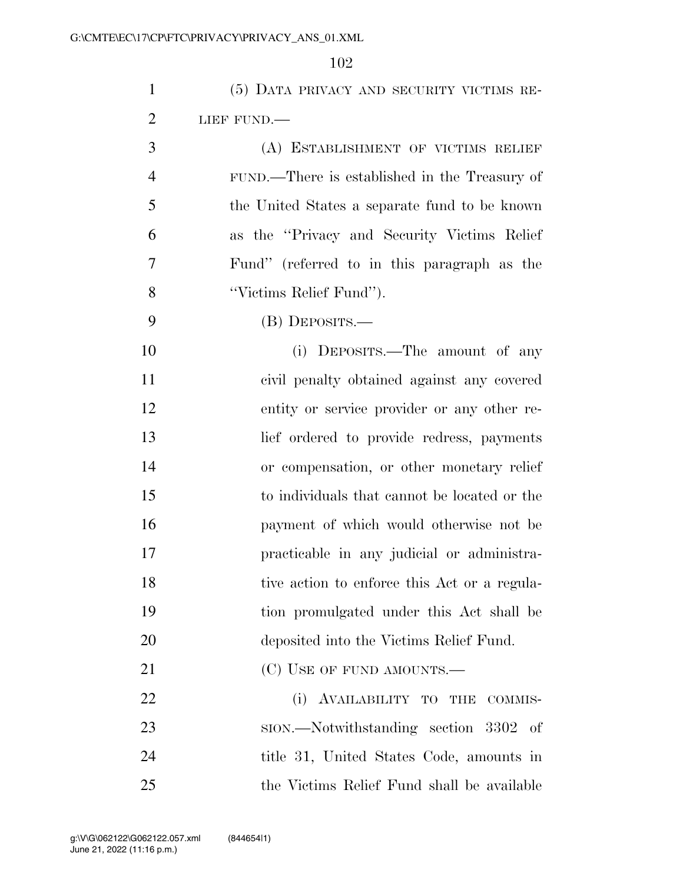| $\mathbf{1}$   | (5) DATA PRIVACY AND SECURITY VICTIMS RE-     |
|----------------|-----------------------------------------------|
| $\overline{2}$ | LIEF FUND.                                    |
| 3              | (A) ESTABLISHMENT OF VICTIMS RELIEF           |
| $\overline{4}$ | FUND.—There is established in the Treasury of |
| 5              | the United States a separate fund to be known |
| 6              | as the "Privacy and Security Victims Relief"  |
| 7              | Fund" (referred to in this paragraph as the   |
| 8              | "Victims Relief Fund").                       |
| 9              | (B) DEPOSITS.—                                |
| 10             | (i) DEPOSITS.—The amount of any               |
| 11             | civil penalty obtained against any covered    |
| 12             | entity or service provider or any other re-   |
| 13             | lief ordered to provide redress, payments     |
| 14             | or compensation, or other monetary relief     |
| 15             | to individuals that cannot be located or the  |
| 16             | payment of which would otherwise not be       |
| 17             | practicable in any judicial or administra-    |
| 18             | tive action to enforce this Act or a regula-  |
| 19             | tion promulgated under this Act shall be      |
| 20             | deposited into the Victims Relief Fund.       |
| 21             | (C) USE OF FUND AMOUNTS.—                     |
| 22             | (i) AVAILABILITY TO THE<br>COMMIS-            |
| 23             | sion.—Notwithstanding section 3302 of         |
| 24             | title 31, United States Code, amounts in      |
| 25             | the Victims Relief Fund shall be available    |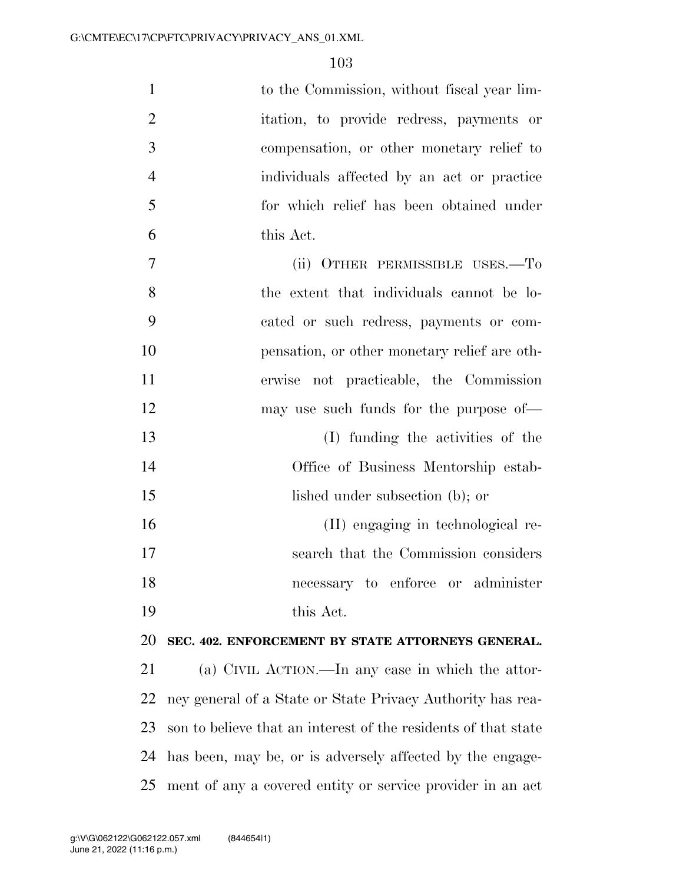| $\mathbf{1}$   | to the Commission, without fiscal year lim-                    |
|----------------|----------------------------------------------------------------|
| $\overline{2}$ | itation, to provide redress, payments or                       |
| 3              | compensation, or other monetary relief to                      |
| $\overline{4}$ | individuals affected by an act or practice                     |
| 5              | for which relief has been obtained under                       |
| 6              | this Act.                                                      |
| 7              | (ii) OTHER PERMISSIBLE USES.—To                                |
| 8              | the extent that individuals cannot be lo-                      |
| 9              | cated or such redress, payments or com-                        |
| 10             | pensation, or other monetary relief are oth-                   |
| 11             | erwise not practicable, the Commission                         |
| 12             | may use such funds for the purpose of—                         |
| 13             | (I) funding the activities of the                              |
| 14             | Office of Business Mentorship estab-                           |
| 15             | lished under subsection (b); or                                |
| 16             | (II) engaging in technological re-                             |
| 17             | search that the Commission considers                           |
| 18             | necessary to enforce or administer                             |
| 19             | this Act.                                                      |
| 20             | SEC. 402. ENFORCEMENT BY STATE ATTORNEYS GENERAL.              |
| 21             | (a) CIVIL ACTION.—In any case in which the attor-              |
| 22             | ney general of a State or State Privacy Authority has rea-     |
| 23             | son to believe that an interest of the residents of that state |
| 24             | has been, may be, or is adversely affected by the engage-      |
| 25             | ment of any a covered entity or service provider in an act     |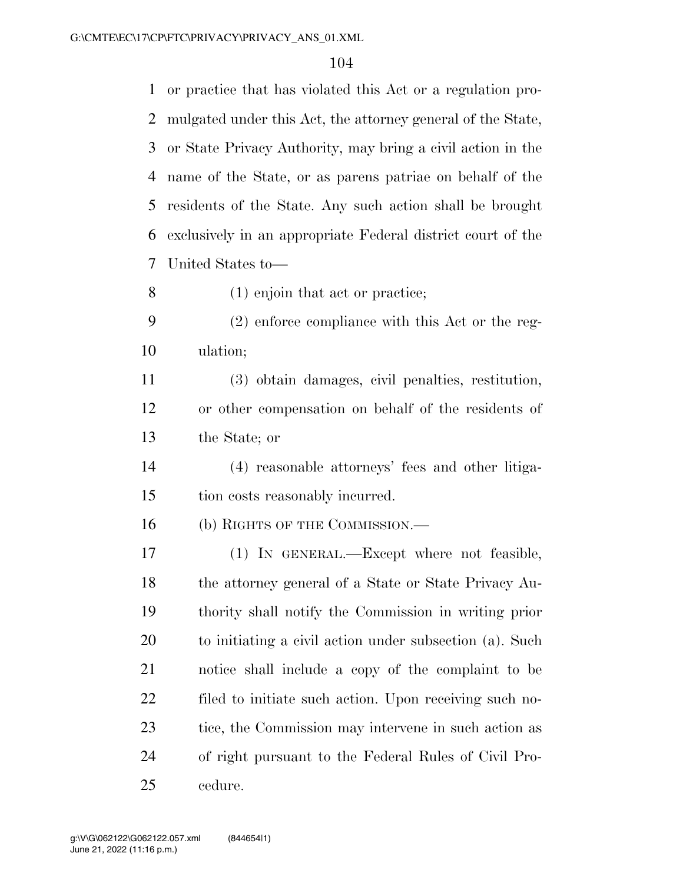or practice that has violated this Act or a regulation pro- mulgated under this Act, the attorney general of the State, or State Privacy Authority, may bring a civil action in the name of the State, or as parens patriae on behalf of the residents of the State. Any such action shall be brought exclusively in an appropriate Federal district court of the United States to—

(1) enjoin that act or practice;

 (2) enforce compliance with this Act or the reg-ulation;

 (3) obtain damages, civil penalties, restitution, or other compensation on behalf of the residents of the State; or

 (4) reasonable attorneys' fees and other litiga-tion costs reasonably incurred.

16 (b) RIGHTS OF THE COMMISSION.—

 (1) IN GENERAL.—Except where not feasible, the attorney general of a State or State Privacy Au- thority shall notify the Commission in writing prior to initiating a civil action under subsection (a). Such notice shall include a copy of the complaint to be filed to initiate such action. Upon receiving such no-23 tice, the Commission may intervene in such action as of right pursuant to the Federal Rules of Civil Pro-cedure.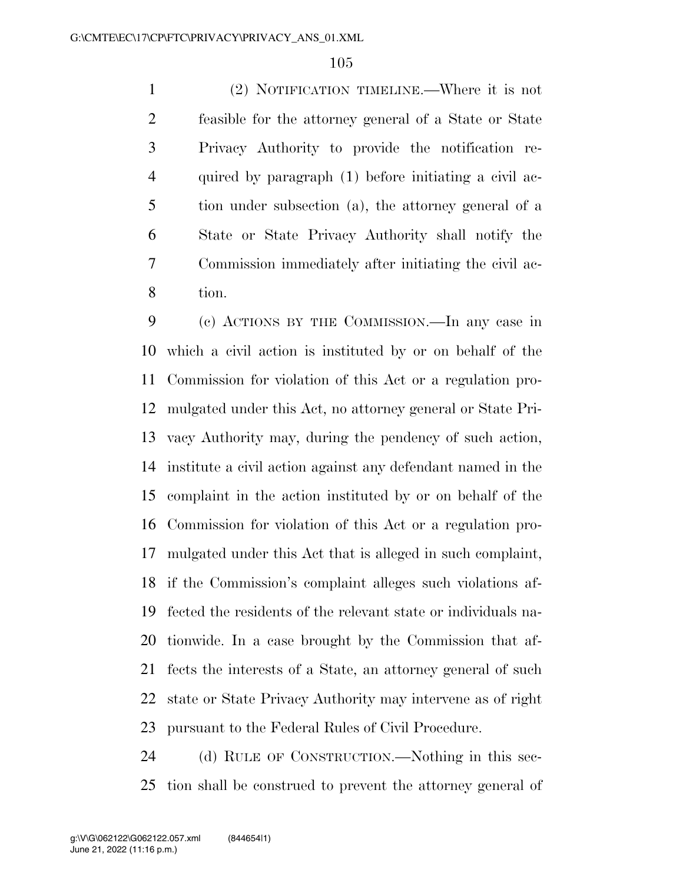(2) NOTIFICATION TIMELINE.—Where it is not feasible for the attorney general of a State or State Privacy Authority to provide the notification re- quired by paragraph (1) before initiating a civil ac- tion under subsection (a), the attorney general of a State or State Privacy Authority shall notify the Commission immediately after initiating the civil ac-tion.

 (c) ACTIONS BY THE COMMISSION.—In any case in which a civil action is instituted by or on behalf of the Commission for violation of this Act or a regulation pro- mulgated under this Act, no attorney general or State Pri- vacy Authority may, during the pendency of such action, institute a civil action against any defendant named in the complaint in the action instituted by or on behalf of the Commission for violation of this Act or a regulation pro- mulgated under this Act that is alleged in such complaint, if the Commission's complaint alleges such violations af- fected the residents of the relevant state or individuals na- tionwide. In a case brought by the Commission that af- fects the interests of a State, an attorney general of such state or State Privacy Authority may intervene as of right pursuant to the Federal Rules of Civil Procedure.

 (d) RULE OF CONSTRUCTION.—Nothing in this sec-tion shall be construed to prevent the attorney general of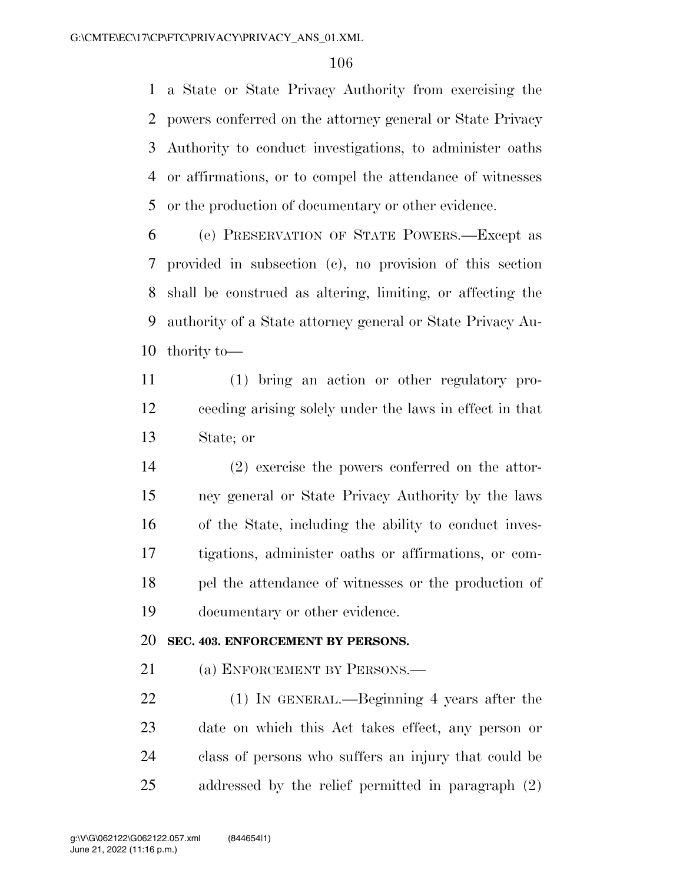a State or State Privacy Authority from exercising the powers conferred on the attorney general or State Privacy Authority to conduct investigations, to administer oaths or affirmations, or to compel the attendance of witnesses or the production of documentary or other evidence.

 (e) PRESERVATION OF STATE POWERS.—Except as provided in subsection (c), no provision of this section shall be construed as altering, limiting, or affecting the authority of a State attorney general or State Privacy Au-thority to—

 (1) bring an action or other regulatory pro- ceeding arising solely under the laws in effect in that State; or

 (2) exercise the powers conferred on the attor- ney general or State Privacy Authority by the laws of the State, including the ability to conduct inves- tigations, administer oaths or affirmations, or com- pel the attendance of witnesses or the production of documentary or other evidence.

### **SEC. 403. ENFORCEMENT BY PERSONS.**

21 (a) ENFORCEMENT BY PERSONS.—

 (1) IN GENERAL.—Beginning 4 years after the date on which this Act takes effect, any person or class of persons who suffers an injury that could be addressed by the relief permitted in paragraph (2)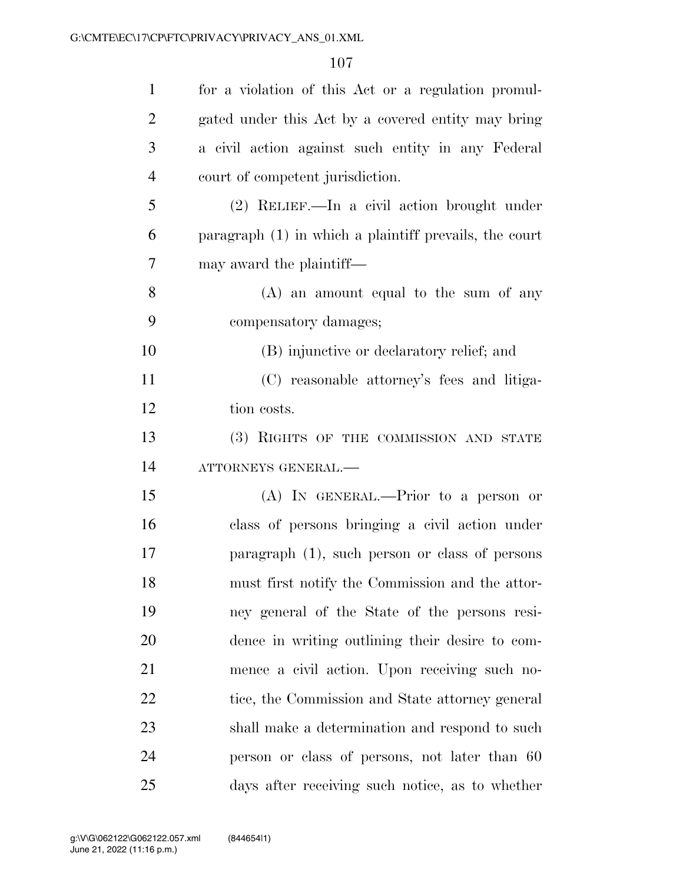| $\mathbf{1}$   | for a violation of this Act or a regulation promul-      |
|----------------|----------------------------------------------------------|
| $\overline{2}$ | gated under this Act by a covered entity may bring       |
| 3              | a civil action against such entity in any Federal        |
| $\overline{4}$ | court of competent jurisdiction.                         |
| 5              | (2) RELIEF.—In a civil action brought under              |
| 6              | paragraph $(1)$ in which a plaintiff prevails, the court |
| 7              | may award the plaintiff—                                 |
| 8              | $(A)$ an amount equal to the sum of any                  |
| 9              | compensatory damages;                                    |
| 10             | (B) injunctive or declaratory relief; and                |
| 11             | (C) reasonable attorney's fees and litiga-               |
| 12             | tion costs.                                              |
| 13             | (3) RIGHTS OF THE COMMISSION AND STATE                   |
| 14             | ATTORNEYS GENERAL.-                                      |
| 15             | $(A)$ In GENERAL.—Prior to a person or                   |
| 16             | class of persons bringing a civil action under           |
| 17             | paragraph (1), such person or class of persons           |
| 18             | must first notify the Commission and the attor-          |
| 19             | ney general of the State of the persons resi-            |
| 20             | dence in writing outlining their desire to com-          |
| 21             | mence a civil action. Upon receiving such no-            |
| 22             | tice, the Commission and State attorney general          |
| 23             | shall make a determination and respond to such           |
| 24             | person or class of persons, not later than 60            |
| 25             | days after receiving such notice, as to whether          |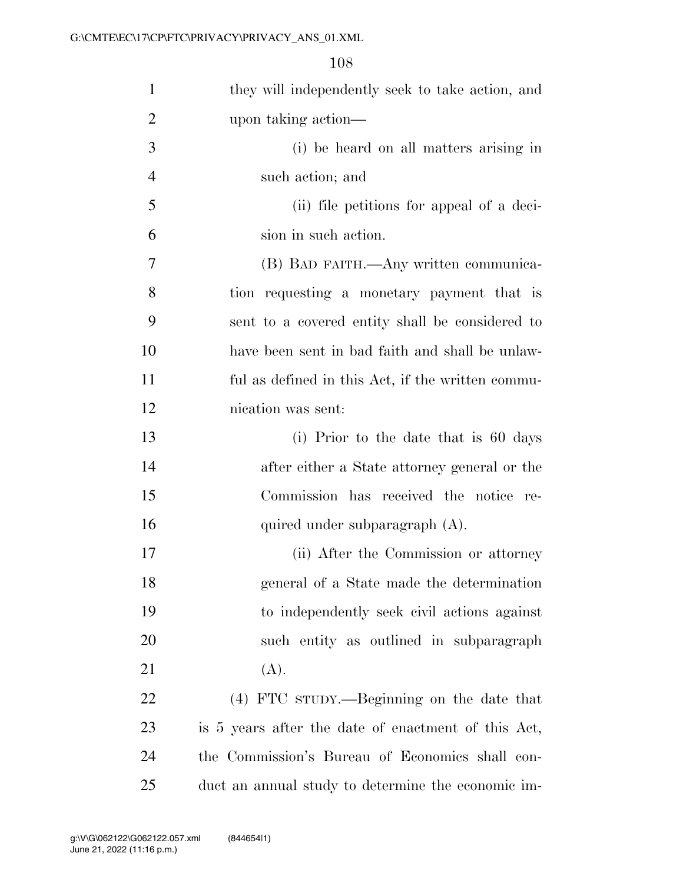| $\mathbf{1}$   | they will independently seek to take action, and    |
|----------------|-----------------------------------------------------|
| $\overline{2}$ | upon taking action—                                 |
| 3              | (i) be heard on all matters arising in              |
| $\overline{4}$ | such action; and                                    |
| 5              | (ii) file petitions for appeal of a deci-           |
| 6              | sion in such action.                                |
| $\tau$         | (B) BAD FAITH.—Any written communica-               |
| 8              | tion requesting a monetary payment that is          |
| 9              | sent to a covered entity shall be considered to     |
| 10             | have been sent in bad faith and shall be unlaw-     |
| 11             | ful as defined in this Act, if the written commu-   |
| 12             | nication was sent:                                  |
| 13             | (i) Prior to the date that is 60 days               |
| 14             | after either a State attorney general or the        |
| 15             | Commission has received the notice re-              |
| 16             | quired under subparagraph (A).                      |
| 17             | (ii) After the Commission or attorney               |
| 18             | general of a State made the determination           |
| 19             | to independently seek civil actions against         |
| 20             | such entity as outlined in subparagraph             |
| 21             | (A).                                                |
| 22             | (4) FTC sTUDY.—Beginning on the date that           |
| 23             | is 5 years after the date of enactment of this Act, |
| 24             | the Commission's Bureau of Economics shall con-     |
| 25             | duct an annual study to determine the economic im-  |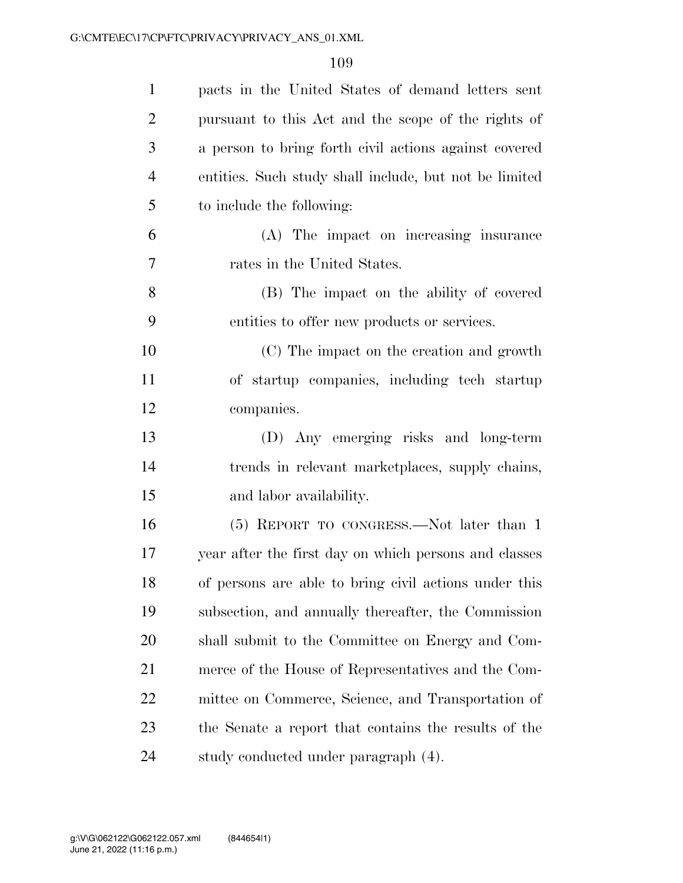| $\mathbf{1}$   | pacts in the United States of demand letters sent      |
|----------------|--------------------------------------------------------|
| $\overline{2}$ | pursuant to this Act and the scope of the rights of    |
| 3              | a person to bring forth civil actions against covered  |
| $\overline{4}$ | entities. Such study shall include, but not be limited |
| 5              | to include the following:                              |
| 6              | (A) The impact on increasing insurance                 |
| 7              | rates in the United States.                            |
| 8              | (B) The impact on the ability of covered               |
| 9              | entities to offer new products or services.            |
| 10             | (C) The impact on the creation and growth              |
| 11             | of startup companies, including tech startup           |
| 12             | companies.                                             |
| 13             | (D) Any emerging risks and long-term                   |
| 14             | trends in relevant marketplaces, supply chains,        |
| 15             | and labor availability.                                |
| 16             | (5) REPORT TO CONGRESS.—Not later than 1               |
| 17             | year after the first day on which persons and classes  |
| 18             | of persons are able to bring civil actions under this  |
| 19             | subsection, and annually thereafter, the Commission    |
| 20             | shall submit to the Committee on Energy and Com-       |
| 21             | merce of the House of Representatives and the Com-     |
| 22             | mittee on Commerce, Science, and Transportation of     |
| 23             | the Senate a report that contains the results of the   |
| 24             | study conducted under paragraph (4).                   |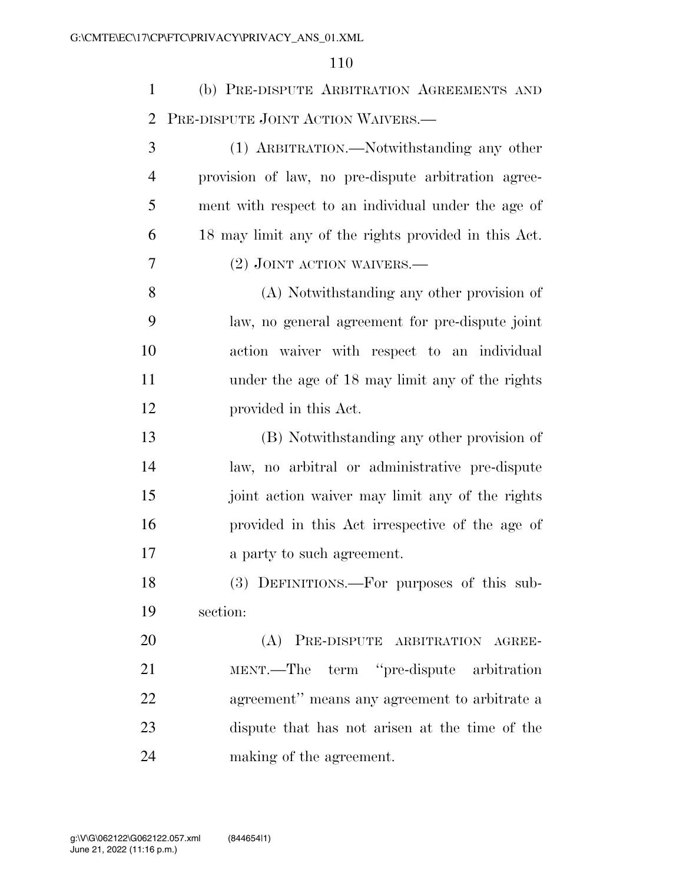(b) PRE-DISPUTE ARBITRATION AGREEMENTS AND PRE-DISPUTE JOINT ACTION WAIVERS.—

| 3              | (1) ARBITRATION.—Notwithstanding any other           |
|----------------|------------------------------------------------------|
| $\overline{4}$ | provision of law, no pre-dispute arbitration agree-  |
| 5              | ment with respect to an individual under the age of  |
| 6              | 18 may limit any of the rights provided in this Act. |
| 7              | $(2)$ JOINT ACTION WAIVERS.—                         |
| 8              | (A) Notwithstanding any other provision of           |
| 9              | law, no general agreement for pre-dispute joint      |
| 10             | action waiver with respect to an individual          |
| 11             | under the age of 18 may limit any of the rights      |
| 12             | provided in this Act.                                |
| 13             | (B) Notwithstanding any other provision of           |
| 14             | law, no arbitral or administrative pre-dispute       |
| 15             | joint action waiver may limit any of the rights      |
| 16             | provided in this Act irrespective of the age of      |
| 17             | a party to such agreement.                           |
| 18             | (3) DEFINITIONS.—For purposes of this sub-           |
| 19             | section:                                             |
| 20             | (A) PRE-DISPUTE ARBITRATION AGREE-                   |
| 21             | term "pre-dispute arbitration<br>MENT.—The           |
| 22             | agreement" means any agreement to arbitrate a        |
| 23             | dispute that has not arisen at the time of the       |
|                |                                                      |

making of the agreement.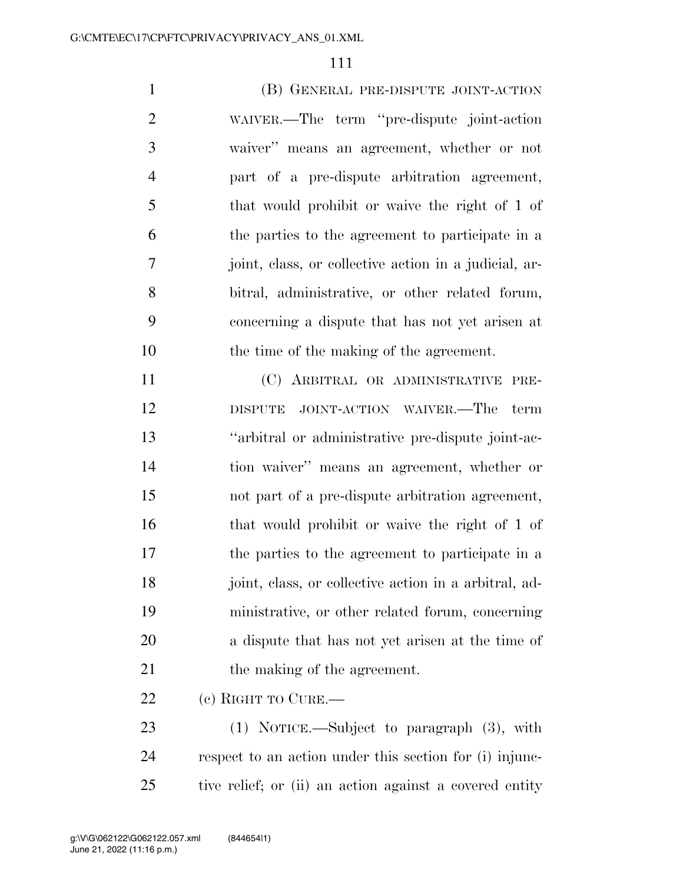(B) GENERAL PRE-DISPUTE JOINT-ACTION WAIVER.—The term ''pre-dispute joint-action waiver'' means an agreement, whether or not part of a pre-dispute arbitration agreement, that would prohibit or waive the right of 1 of the parties to the agreement to participate in a joint, class, or collective action in a judicial, ar- bitral, administrative, or other related forum, concerning a dispute that has not yet arisen at the time of the making of the agreement.

 (C) ARBITRAL OR ADMINISTRATIVE PRE- DISPUTE JOINT-ACTION WAIVER.—The term ''arbitral or administrative pre-dispute joint-ac- tion waiver'' means an agreement, whether or not part of a pre-dispute arbitration agreement, that would prohibit or waive the right of 1 of the parties to the agreement to participate in a joint, class, or collective action in a arbitral, ad- ministrative, or other related forum, concerning a dispute that has not yet arisen at the time of 21 the making of the agreement.

(c) RIGHT TO CURE.—

 (1) NOTICE.—Subject to paragraph (3), with respect to an action under this section for (i) injunc-tive relief; or (ii) an action against a covered entity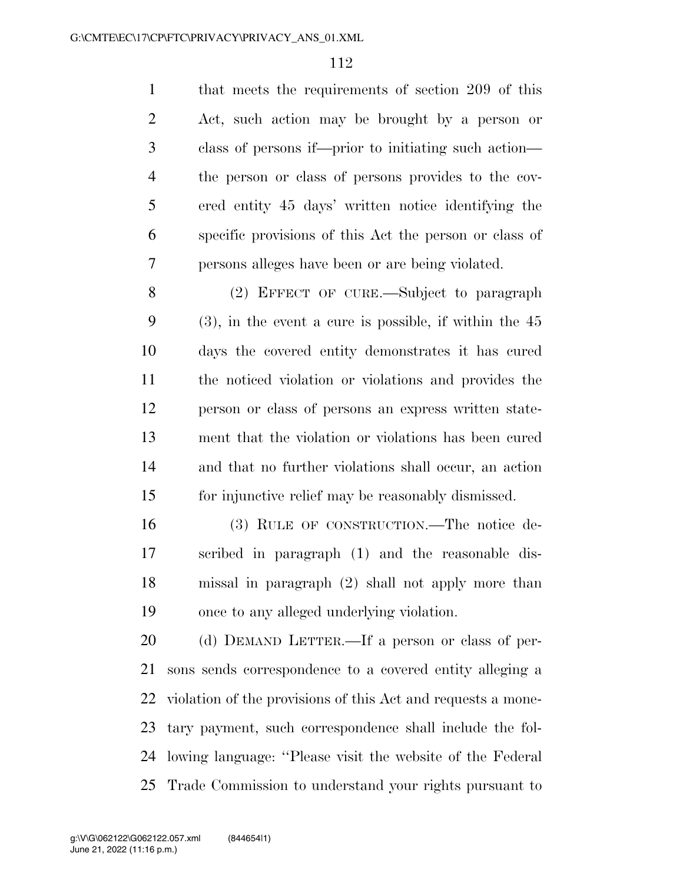that meets the requirements of section 209 of this Act, such action may be brought by a person or class of persons if—prior to initiating such action— the person or class of persons provides to the cov- ered entity 45 days' written notice identifying the specific provisions of this Act the person or class of persons alleges have been or are being violated.

 (2) EFFECT OF CURE.—Subject to paragraph (3), in the event a cure is possible, if within the 45 days the covered entity demonstrates it has cured the noticed violation or violations and provides the person or class of persons an express written state- ment that the violation or violations has been cured and that no further violations shall occur, an action for injunctive relief may be reasonably dismissed.

 (3) RULE OF CONSTRUCTION.—The notice de- scribed in paragraph (1) and the reasonable dis- missal in paragraph (2) shall not apply more than once to any alleged underlying violation.

 (d) DEMAND LETTER.—If a person or class of per- sons sends correspondence to a covered entity alleging a violation of the provisions of this Act and requests a mone- tary payment, such correspondence shall include the fol- lowing language: ''Please visit the website of the Federal Trade Commission to understand your rights pursuant to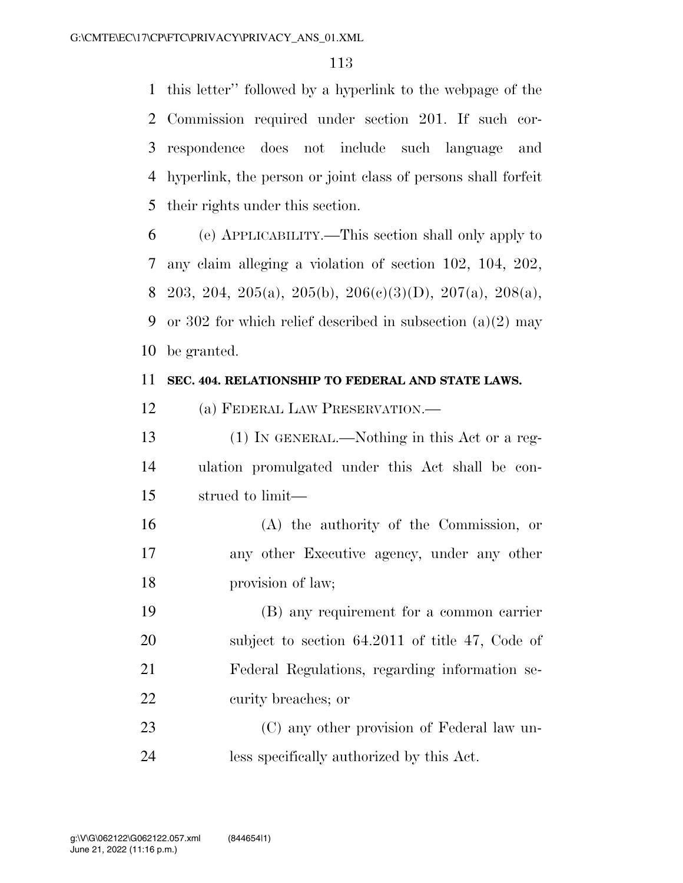this letter'' followed by a hyperlink to the webpage of the Commission required under section 201. If such cor- respondence does not include such language and hyperlink, the person or joint class of persons shall forfeit their rights under this section.

 (e) APPLICABILITY.—This section shall only apply to any claim alleging a violation of section 102, 104, 202, 8 203, 204, 205(a), 205(b), 206(c)(3)(D), 207(a), 208(a), or 302 for which relief described in subsection (a)(2) may be granted.

# **SEC. 404. RELATIONSHIP TO FEDERAL AND STATE LAWS.**

(a) FEDERAL LAW PRESERVATION.—

 (1) IN GENERAL.—Nothing in this Act or a reg- ulation promulgated under this Act shall be con-strued to limit—

 (A) the authority of the Commission, or any other Executive agency, under any other provision of law;

 (B) any requirement for a common carrier subject to section 64.2011 of title 47, Code of Federal Regulations, regarding information se-curity breaches; or

 (C) any other provision of Federal law un-less specifically authorized by this Act.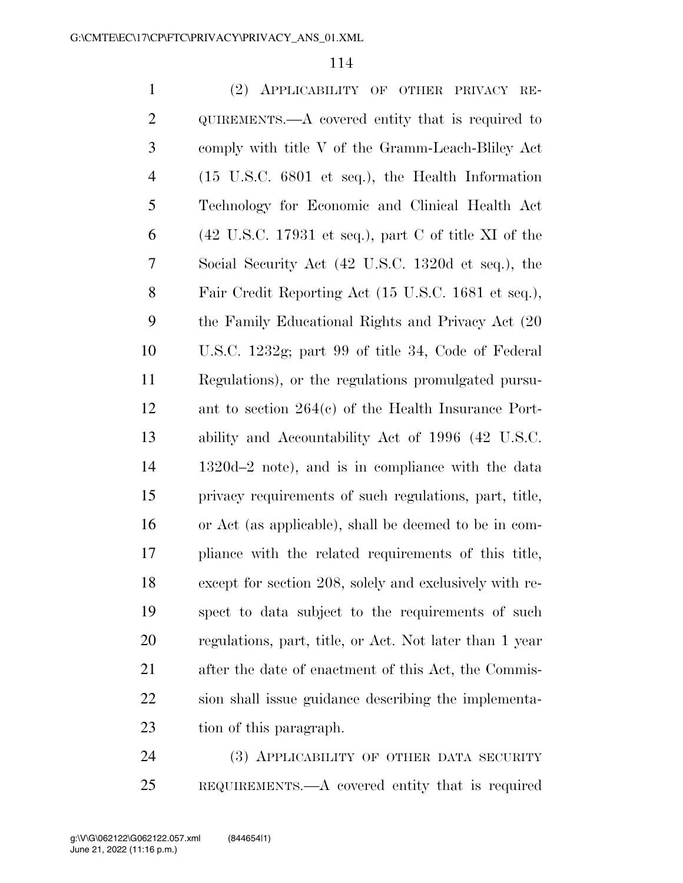| $\mathbf{1}$   | (2) APPLICABILITY OF OTHER PRIVACY RE-                                                             |
|----------------|----------------------------------------------------------------------------------------------------|
| $\overline{2}$ | $QUIREMENTS. - A covered entity that is required to$                                               |
| 3              | comply with title V of the Gramm-Leach-Bliley Act                                                  |
| 4              | $(15 \t{U.S.C. } 6801 \t{et seq.}),$ the Health Information                                        |
| 5              | Technology for Economic and Clinical Health Act                                                    |
| 6              | $(42 \text{ U.S.C. } 17931 \text{ et seq.}), \text{ part } C \text{ of title } XI \text{ of the }$ |
| 7              | Social Security Act (42 U.S.C. 1320d et seq.), the                                                 |
| 8              | Fair Credit Reporting Act (15 U.S.C. 1681 et seq.),                                                |
| 9              | the Family Educational Rights and Privacy Act (20)                                                 |
| 10             | U.S.C. 1232g; part 99 of title 34, Code of Federal                                                 |
| 11             | Regulations), or the regulations promulgated pursu-                                                |
| 12             | ant to section $264(c)$ of the Health Insurance Port-                                              |
| 13             | ability and Accountability Act of 1996 (42 U.S.C.                                                  |
| 14             | $1320d-2$ note), and is in compliance with the data                                                |
| 15             | privacy requirements of such regulations, part, title,                                             |
| 16             | or Act (as applicable), shall be deemed to be in com-                                              |
| 17             | pliance with the related requirements of this title,                                               |
| 18             | except for section 208, solely and exclusively with re-                                            |
| 19             | spect to data subject to the requirements of such                                                  |
| 20             | regulations, part, title, or Act. Not later than 1 year                                            |
| 21             | after the date of enactment of this Act, the Commis-                                               |
| 22             | sion shall issue guidance describing the implementa-                                               |
| 23             | tion of this paragraph.                                                                            |
|                |                                                                                                    |

 (3) APPLICABILITY OF OTHER DATA SECURITY REQUIREMENTS.—A covered entity that is required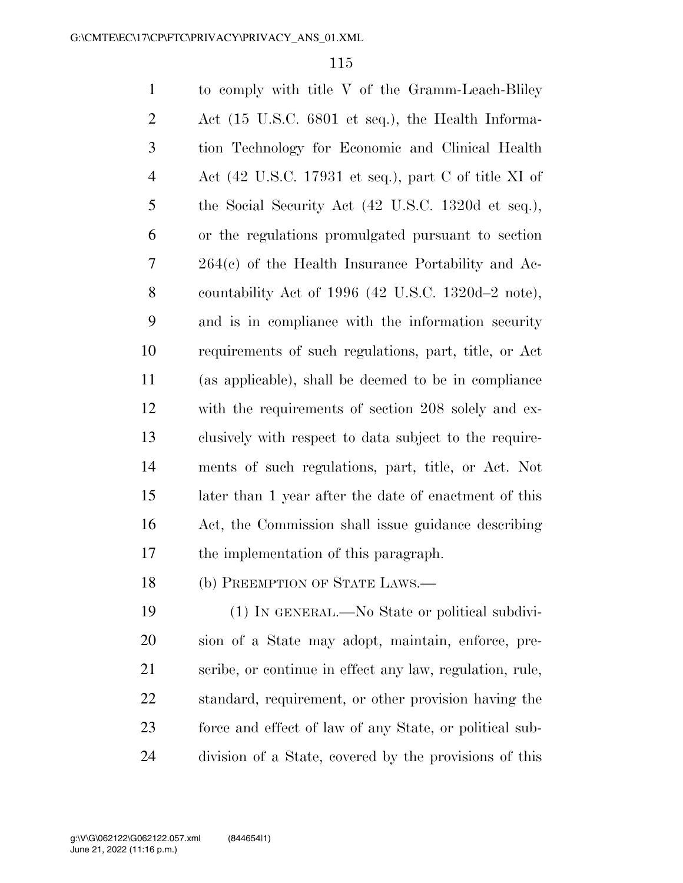to comply with title V of the Gramm-Leach-Bliley Act (15 U.S.C. 6801 et seq.), the Health Informa- tion Technology for Economic and Clinical Health Act (42 U.S.C. 17931 et seq.), part C of title XI of the Social Security Act (42 U.S.C. 1320d et seq.), or the regulations promulgated pursuant to section 264(c) of the Health Insurance Portability and Ac- countability Act of 1996 (42 U.S.C. 1320d–2 note), and is in compliance with the information security requirements of such regulations, part, title, or Act (as applicable), shall be deemed to be in compliance with the requirements of section 208 solely and ex- clusively with respect to data subject to the require- ments of such regulations, part, title, or Act. Not later than 1 year after the date of enactment of this Act, the Commission shall issue guidance describing the implementation of this paragraph.

(b) PREEMPTION OF STATE LAWS.—

 (1) IN GENERAL.—No State or political subdivi- sion of a State may adopt, maintain, enforce, pre- scribe, or continue in effect any law, regulation, rule, standard, requirement, or other provision having the force and effect of law of any State, or political sub-division of a State, covered by the provisions of this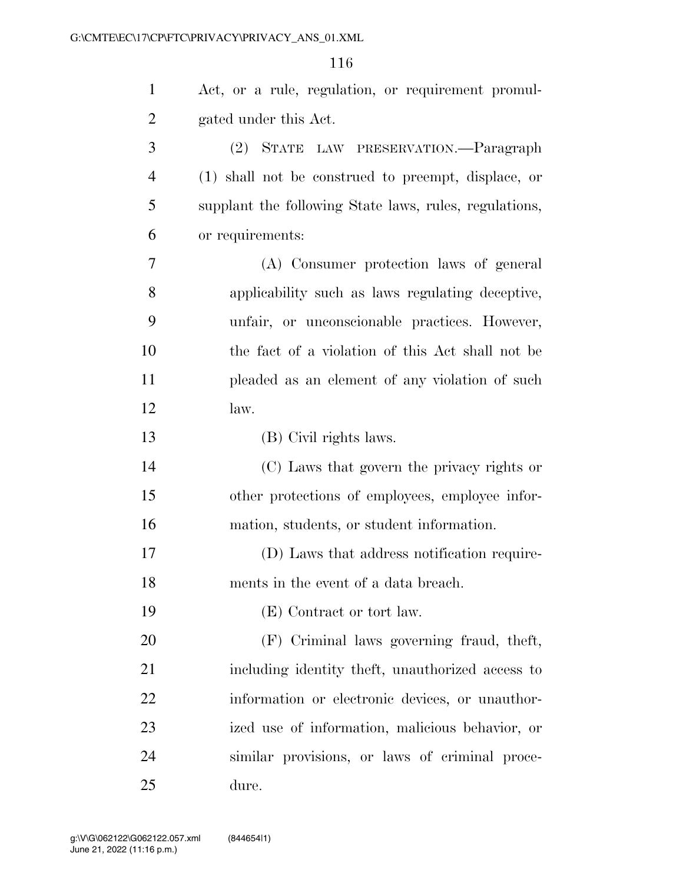| $\mathbf{1}$   | Act, or a rule, regulation, or requirement promul-     |
|----------------|--------------------------------------------------------|
| $\overline{2}$ | gated under this Act.                                  |
| 3              | (2) STATE LAW PRESERVATION.—Paragraph                  |
| 4              | (1) shall not be construed to preempt, displace, or    |
| 5              | supplant the following State laws, rules, regulations, |
| 6              | or requirements:                                       |
| 7              | (A) Consumer protection laws of general                |
| 8              | applicability such as laws regulating deceptive,       |
| 9              | unfair, or unconscionable practices. However,          |
| 10             | the fact of a violation of this Act shall not be       |
| 11             | pleaded as an element of any violation of such         |
| 12             | law.                                                   |
| 13             | (B) Civil rights laws.                                 |
| 14             | (C) Laws that govern the privacy rights or             |
| 15             | other protections of employees, employee infor-        |
| 16             | mation, students, or student information.              |
| 17             | (D) Laws that address notification require-            |
| 18             | ments in the event of a data breach.                   |
| 19             | (E) Contract or tort law.                              |
| 20             | (F) Criminal laws governing fraud, theft,              |
| 21             | including identity theft, unauthorized access to       |
| 22             | information or electronic devices, or unauthor-        |
| 23             | ized use of information, malicious behavior, or        |
| 24             | similar provisions, or laws of criminal proce-         |
| 25             | dure.                                                  |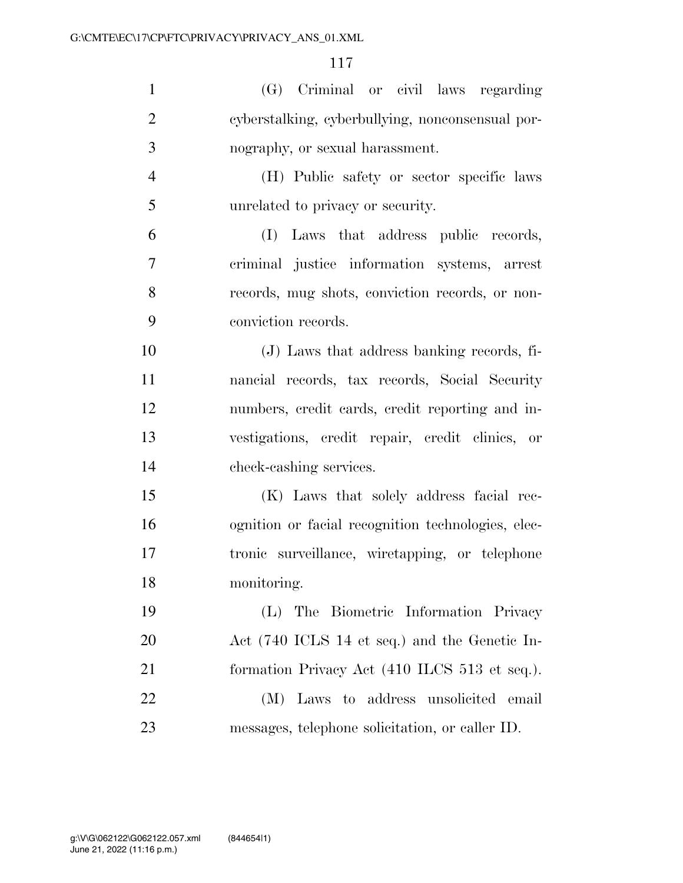| $\mathbf{1}$   | (G) Criminal or civil laws regarding               |
|----------------|----------------------------------------------------|
| $\overline{2}$ | cyberstalking, cyberbullying, nonconsensual por-   |
| 3              | nography, or sexual harassment.                    |
| $\overline{4}$ | (H) Public safety or sector specific laws          |
| 5              | unrelated to privacy or security.                  |
| 6              | (I) Laws that address public records,              |
| 7              | criminal justice information systems, arrest       |
| 8              | records, mug shots, conviction records, or non-    |
| 9              | conviction records.                                |
| 10             | (J) Laws that address banking records, fi-         |
| 11             | nancial records, tax records, Social Security      |
| 12             | numbers, credit cards, credit reporting and in-    |
| 13             | vestigations, credit repair, credit clinics, or    |
| 14             | check-cashing services.                            |
| 15             | (K) Laws that solely address facial rec-           |
| 16             | ognition or facial recognition technologies, elec- |
| 17             | tronic surveillance, wiretapping, or telephone     |
| 18             | monitoring.                                        |
| 19             | The Biometric Information Privacy<br>(L)           |
| <b>20</b>      | Act (740 ICLS 14 et seq.) and the Genetic In-      |
| 21             | formation Privacy Act (410 ILCS 513 et seq.).      |
| 22             | (M) Laws to address unsolicited email              |
| 23             | messages, telephone solicitation, or caller ID.    |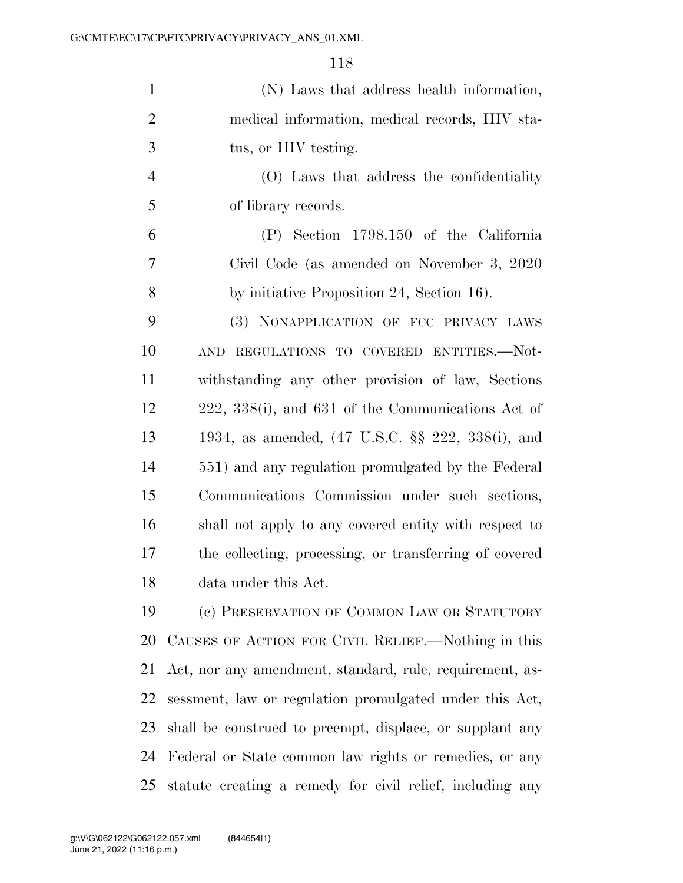| $\mathbf{1}$   | (N) Laws that address health information,                |
|----------------|----------------------------------------------------------|
| $\overline{2}$ | medical information, medical records, HIV sta-           |
| 3              | tus, or HIV testing.                                     |
| $\overline{4}$ | (O) Laws that address the confidentiality                |
| 5              | of library records.                                      |
| 6              | (P) Section 1798.150 of the California                   |
| $\overline{7}$ | Civil Code (as amended on November 3, 2020)              |
| 8              | by initiative Proposition 24, Section 16).               |
| 9              | (3) NONAPPLICATION OF FCC PRIVACY LAWS                   |
| 10             | REGULATIONS TO COVERED ENTITIES.-Not-<br><b>AND</b>      |
| 11             | withstanding any other provision of law, Sections        |
| 12             | 222, 338(i), and 631 of the Communications Act of        |
| 13             | 1934, as amended, (47 U.S.C. §§ 222, 338(i), and         |
| 14             | 551) and any regulation promulgated by the Federal       |
| 15             | Communications Commission under such sections,           |
| 16             | shall not apply to any covered entity with respect to    |
| 17             | the collecting, processing, or transferring of covered   |
| 18             | data under this Act.                                     |
| 19             | (c) PRESERVATION OF COMMON LAW OR STATUTORY              |
| 20             | CAUSES OF ACTION FOR CIVIL RELIEF.—Nothing in this       |
| 21             | Act, nor any amendment, standard, rule, requirement, as- |
| 22             | sessment, law or regulation promulgated under this Act,  |
| 23             | shall be construed to preempt, displace, or supplant any |
| 24             | Federal or State common law rights or remedies, or any   |
|                |                                                          |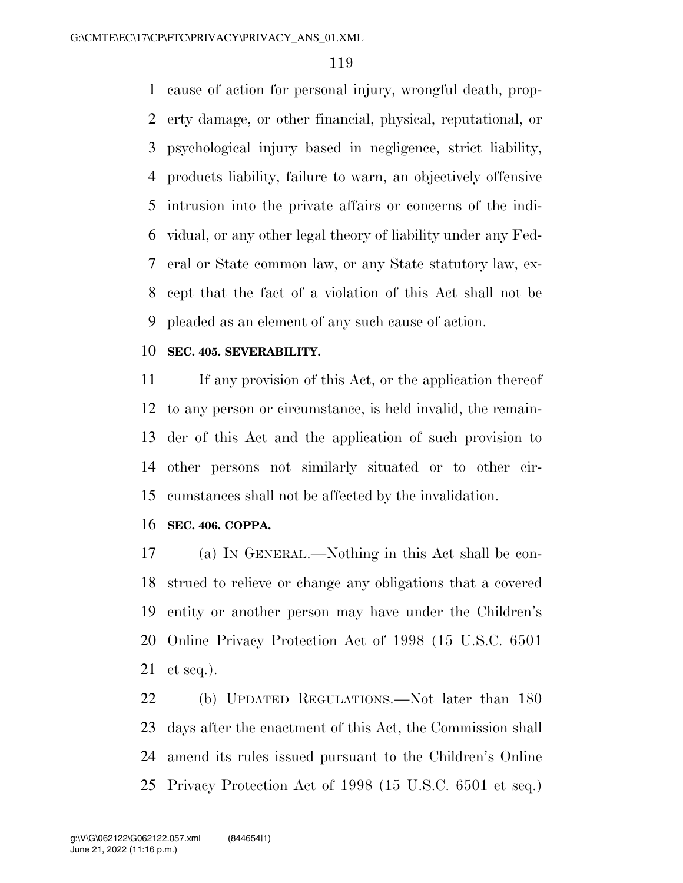cause of action for personal injury, wrongful death, prop- erty damage, or other financial, physical, reputational, or psychological injury based in negligence, strict liability, products liability, failure to warn, an objectively offensive intrusion into the private affairs or concerns of the indi- vidual, or any other legal theory of liability under any Fed- eral or State common law, or any State statutory law, ex- cept that the fact of a violation of this Act shall not be pleaded as an element of any such cause of action.

# **SEC. 405. SEVERABILITY.**

 If any provision of this Act, or the application thereof to any person or circumstance, is held invalid, the remain- der of this Act and the application of such provision to other persons not similarly situated or to other cir-cumstances shall not be affected by the invalidation.

#### **SEC. 406. COPPA.**

 (a) IN GENERAL.—Nothing in this Act shall be con- strued to relieve or change any obligations that a covered entity or another person may have under the Children's Online Privacy Protection Act of 1998 (15 U.S.C. 6501 et seq.).

 (b) UPDATED REGULATIONS.—Not later than 180 days after the enactment of this Act, the Commission shall amend its rules issued pursuant to the Children's Online Privacy Protection Act of 1998 (15 U.S.C. 6501 et seq.)